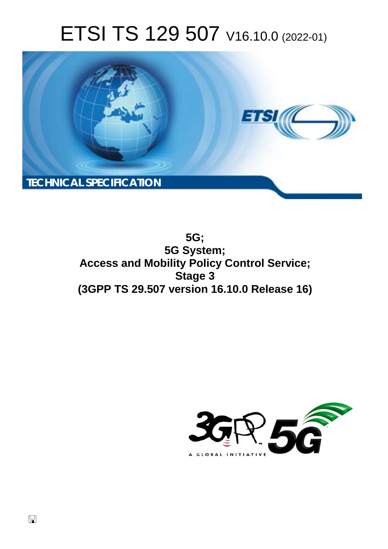# ETSI TS 129 507 V16.10.0 (2022-01)



**5G; 5G System; Access and Mobility Policy Control Service; Stage 3 (3GPP TS 29.507 version 16.10.0 Release 16)** 

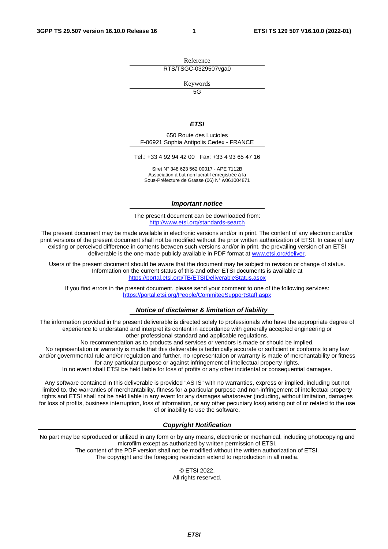Reference RTS/TSGC-0329507vga0

Keywords

 $\overline{5G}$ 

#### *ETSI*

650 Route des Lucioles F-06921 Sophia Antipolis Cedex - FRANCE

Tel.: +33 4 92 94 42 00 Fax: +33 4 93 65 47 16

Siret N° 348 623 562 00017 - APE 7112B Association à but non lucratif enregistrée à la Sous-Préfecture de Grasse (06) N° w061004871

#### *Important notice*

The present document can be downloaded from: <http://www.etsi.org/standards-search>

The present document may be made available in electronic versions and/or in print. The content of any electronic and/or print versions of the present document shall not be modified without the prior written authorization of ETSI. In case of any existing or perceived difference in contents between such versions and/or in print, the prevailing version of an ETSI deliverable is the one made publicly available in PDF format at [www.etsi.org/deliver](http://www.etsi.org/deliver).

Users of the present document should be aware that the document may be subject to revision or change of status. Information on the current status of this and other ETSI documents is available at <https://portal.etsi.org/TB/ETSIDeliverableStatus.aspx>

If you find errors in the present document, please send your comment to one of the following services: <https://portal.etsi.org/People/CommiteeSupportStaff.aspx>

#### *Notice of disclaimer & limitation of liability*

The information provided in the present deliverable is directed solely to professionals who have the appropriate degree of experience to understand and interpret its content in accordance with generally accepted engineering or other professional standard and applicable regulations.

No recommendation as to products and services or vendors is made or should be implied.

No representation or warranty is made that this deliverable is technically accurate or sufficient or conforms to any law and/or governmental rule and/or regulation and further, no representation or warranty is made of merchantability or fitness for any particular purpose or against infringement of intellectual property rights.

In no event shall ETSI be held liable for loss of profits or any other incidental or consequential damages.

Any software contained in this deliverable is provided "AS IS" with no warranties, express or implied, including but not limited to, the warranties of merchantability, fitness for a particular purpose and non-infringement of intellectual property rights and ETSI shall not be held liable in any event for any damages whatsoever (including, without limitation, damages for loss of profits, business interruption, loss of information, or any other pecuniary loss) arising out of or related to the use of or inability to use the software.

#### *Copyright Notification*

No part may be reproduced or utilized in any form or by any means, electronic or mechanical, including photocopying and microfilm except as authorized by written permission of ETSI. The content of the PDF version shall not be modified without the written authorization of ETSI.

The copyright and the foregoing restriction extend to reproduction in all media.

© ETSI 2022. All rights reserved.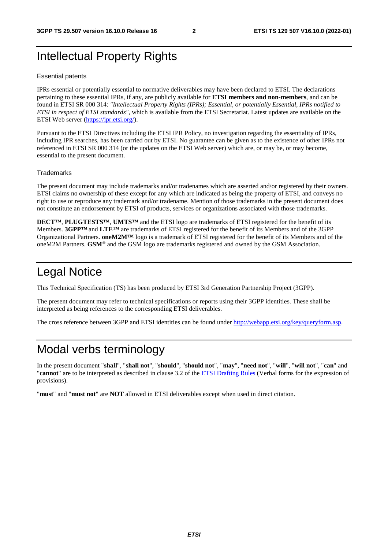## Intellectual Property Rights

#### Essential patents

IPRs essential or potentially essential to normative deliverables may have been declared to ETSI. The declarations pertaining to these essential IPRs, if any, are publicly available for **ETSI members and non-members**, and can be found in ETSI SR 000 314: *"Intellectual Property Rights (IPRs); Essential, or potentially Essential, IPRs notified to ETSI in respect of ETSI standards"*, which is available from the ETSI Secretariat. Latest updates are available on the ETSI Web server ([https://ipr.etsi.org/\)](https://ipr.etsi.org/).

Pursuant to the ETSI Directives including the ETSI IPR Policy, no investigation regarding the essentiality of IPRs, including IPR searches, has been carried out by ETSI. No guarantee can be given as to the existence of other IPRs not referenced in ETSI SR 000 314 (or the updates on the ETSI Web server) which are, or may be, or may become, essential to the present document.

#### **Trademarks**

The present document may include trademarks and/or tradenames which are asserted and/or registered by their owners. ETSI claims no ownership of these except for any which are indicated as being the property of ETSI, and conveys no right to use or reproduce any trademark and/or tradename. Mention of those trademarks in the present document does not constitute an endorsement by ETSI of products, services or organizations associated with those trademarks.

**DECT™**, **PLUGTESTS™**, **UMTS™** and the ETSI logo are trademarks of ETSI registered for the benefit of its Members. **3GPP™** and **LTE™** are trademarks of ETSI registered for the benefit of its Members and of the 3GPP Organizational Partners. **oneM2M™** logo is a trademark of ETSI registered for the benefit of its Members and of the oneM2M Partners. **GSM**® and the GSM logo are trademarks registered and owned by the GSM Association.

## Legal Notice

This Technical Specification (TS) has been produced by ETSI 3rd Generation Partnership Project (3GPP).

The present document may refer to technical specifications or reports using their 3GPP identities. These shall be interpreted as being references to the corresponding ETSI deliverables.

The cross reference between 3GPP and ETSI identities can be found under<http://webapp.etsi.org/key/queryform.asp>.

## Modal verbs terminology

In the present document "**shall**", "**shall not**", "**should**", "**should not**", "**may**", "**need not**", "**will**", "**will not**", "**can**" and "**cannot**" are to be interpreted as described in clause 3.2 of the [ETSI Drafting Rules](https://portal.etsi.org/Services/editHelp!/Howtostart/ETSIDraftingRules.aspx) (Verbal forms for the expression of provisions).

"**must**" and "**must not**" are **NOT** allowed in ETSI deliverables except when used in direct citation.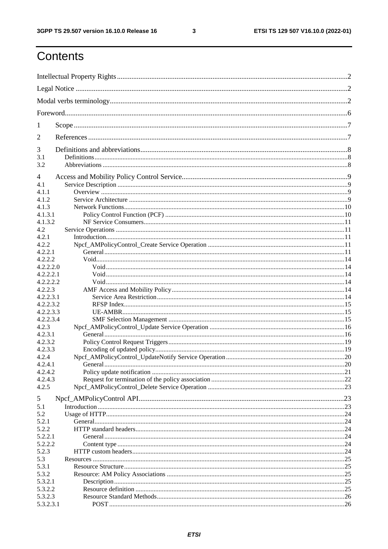$\mathbf{3}$ 

## Contents

| 1              |  |
|----------------|--|
| 2              |  |
| 3              |  |
| 3.1            |  |
| 3.2            |  |
| $\overline{4}$ |  |
| 4.1            |  |
| 4.1.1          |  |
| 4.1.2          |  |
| 4.1.3          |  |
| 4.1.3.1        |  |
| 4.1.3.2        |  |
| 4.2            |  |
| 4.2.1          |  |
| 4.2.2          |  |
| 4.2.2.1        |  |
| 4.2.2.2        |  |
| 4.2.2.2.0      |  |
| 4.2.2.2.1      |  |
| 4.2.2.2.2      |  |
| 4.2.2.3        |  |
| 4.2.2.3.1      |  |
| 4.2.2.3.2      |  |
| 4.2.2.3.3      |  |
| 4.2.2.3.4      |  |
| 4.2.3          |  |
| 4.2.3.1        |  |
| 4.2.3.2        |  |
| 4.2.3.3        |  |
| 4.2.4          |  |
| 4.2.4.1        |  |
| 4.2.4.2        |  |
| 4.2.4.3        |  |
| 4.2.5          |  |
| 5              |  |
| 5.1            |  |
| 5.2            |  |
| 5.2.1          |  |
| 5.2.2          |  |
| 5.2.2.1        |  |
| 5.2.2.2        |  |
| 5.2.3          |  |
| 5.3            |  |
| 5.3.1          |  |
| 5.3.2          |  |
| 5.3.2.1        |  |
| 5.3.2.2        |  |
| 5.3.2.3        |  |
| 5.3.2.3.1      |  |
|                |  |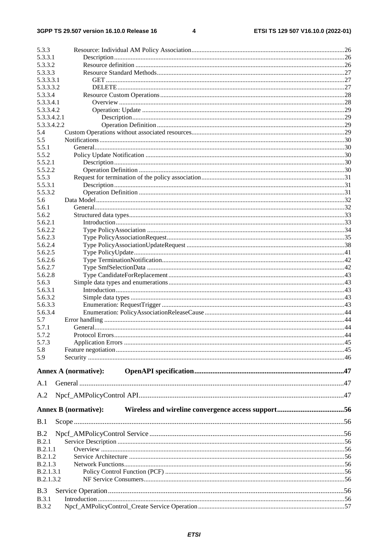$\overline{\mathbf{4}}$ 

| 5.3.3                       |  |
|-----------------------------|--|
| 5.3.3.1                     |  |
| 5.3.3.2                     |  |
| 5.3.3.3                     |  |
| 5.3.3.3.1                   |  |
| 5.3.3.3.2                   |  |
| 5.3.3.4                     |  |
| 5.3.3.4.1                   |  |
| 5.3.3.4.2                   |  |
| 5.3.3.4.2.1                 |  |
| 5.3.3.4.2.2                 |  |
| 5.4<br>5.5                  |  |
| 5.5.1                       |  |
| 5.5.2                       |  |
| 5.5.2.1                     |  |
| 5.5.2.2                     |  |
| 5.5.3                       |  |
| 5.5.3.1                     |  |
| 5.5.3.2                     |  |
| 5.6                         |  |
| 5.6.1                       |  |
| 5.6.2                       |  |
| 5.6.2.1                     |  |
| 5.6.2.2                     |  |
| 5.6.2.3                     |  |
| 5.6.2.4                     |  |
| 5.6.2.5                     |  |
| 5.6.2.6                     |  |
| 5.6.2.7                     |  |
| 5.6.2.8                     |  |
| 5.6.3                       |  |
| 5.6.3.1                     |  |
| 5.6.3.2                     |  |
| 5.6.3.3                     |  |
| 5.6.3.4                     |  |
| 5.7<br>5.7.1                |  |
|                             |  |
| 5.7.2<br>5.7.3              |  |
| 5.8                         |  |
| 5.9                         |  |
|                             |  |
| <b>Annex A (normative):</b> |  |
|                             |  |
| A.1                         |  |
| A.2                         |  |
|                             |  |
| <b>Annex B</b> (normative): |  |
|                             |  |
| B.1                         |  |
| B.2                         |  |
| B.2.1                       |  |
| B.2.1.1                     |  |
| <b>B.2.1.2</b>              |  |
| B.2.1.3                     |  |
| <b>B.2.1.3.1</b>            |  |
| <b>B.2.1.3.2</b>            |  |
| B.3                         |  |
| B.3.1                       |  |
| <b>B.3.2</b>                |  |
|                             |  |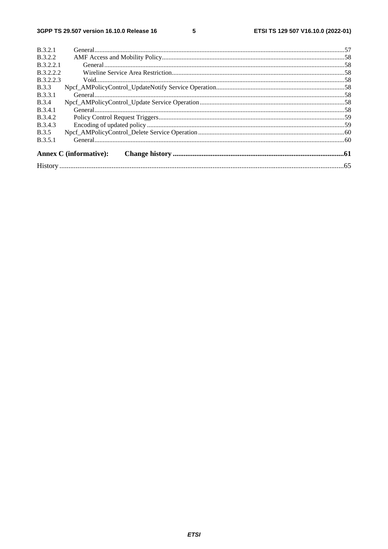#### $5\phantom{a}$

|                  | <b>Annex C</b> (informative): |  |
|------------------|-------------------------------|--|
| B.3.5.1          |                               |  |
| <b>B.3.5</b>     |                               |  |
| B.3.4.3          |                               |  |
| <b>B.3.4.2</b>   |                               |  |
| <b>B.3.4.1</b>   |                               |  |
| <b>B.3.4</b>     |                               |  |
| <b>B.3.3.1</b>   |                               |  |
| <b>B.3.3</b>     |                               |  |
| <b>B.3.2.2.3</b> |                               |  |
| <b>B.3.2.2.2</b> |                               |  |
| B.3.2.2.1        |                               |  |
| <b>B.3.2.2</b>   |                               |  |
| <b>B.3.2.1</b>   |                               |  |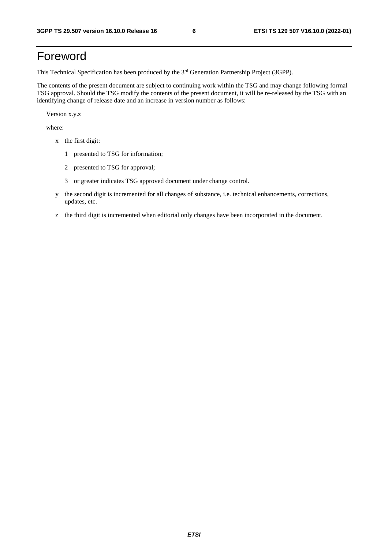## Foreword

This Technical Specification has been produced by the 3<sup>rd</sup> Generation Partnership Project (3GPP).

The contents of the present document are subject to continuing work within the TSG and may change following formal TSG approval. Should the TSG modify the contents of the present document, it will be re-released by the TSG with an identifying change of release date and an increase in version number as follows:

Version x.y.z

where:

- x the first digit:
	- 1 presented to TSG for information;
	- 2 presented to TSG for approval;
	- 3 or greater indicates TSG approved document under change control.
- y the second digit is incremented for all changes of substance, i.e. technical enhancements, corrections, updates, etc.
- z the third digit is incremented when editorial only changes have been incorporated in the document.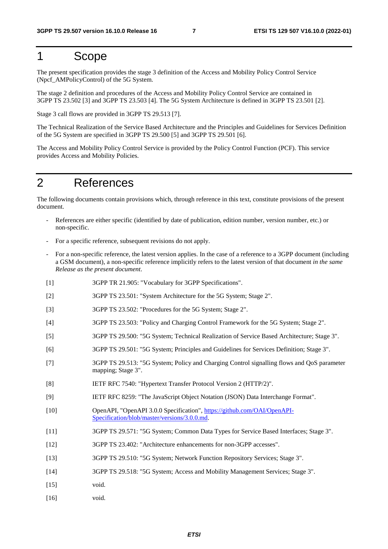## 1 Scope

The present specification provides the stage 3 definition of the Access and Mobility Policy Control Service (Npcf\_AMPolicyControl) of the 5G System.

The stage 2 definition and procedures of the Access and Mobility Policy Control Service are contained in 3GPP TS 23.502 [3] and 3GPP TS 23.503 [4]. The 5G System Architecture is defined in 3GPP TS 23.501 [2].

Stage 3 call flows are provided in 3GPP TS 29.513 [7].

The Technical Realization of the Service Based Architecture and the Principles and Guidelines for Services Definition of the 5G System are specified in 3GPP TS 29.500 [5] and 3GPP TS 29.501 [6].

The Access and Mobility Policy Control Service is provided by the Policy Control Function (PCF). This service provides Access and Mobility Policies.

## 2 References

The following documents contain provisions which, through reference in this text, constitute provisions of the present document.

- References are either specific (identified by date of publication, edition number, version number, etc.) or non-specific.
- For a specific reference, subsequent revisions do not apply.
- For a non-specific reference, the latest version applies. In the case of a reference to a 3GPP document (including a GSM document), a non-specific reference implicitly refers to the latest version of that document *in the same Release as the present document*.
- [1] 3GPP TR 21.905: "Vocabulary for 3GPP Specifications".
- [2] 3GPP TS 23.501: "System Architecture for the 5G System; Stage 2".
- [3] 3GPP TS 23.502: "Procedures for the 5G System; Stage 2".
- [4] 3GPP TS 23.503: "Policy and Charging Control Framework for the 5G System; Stage 2".
- [5] 3GPP TS 29.500: "5G System; Technical Realization of Service Based Architecture; Stage 3".
- [6] 3GPP TS 29.501: "5G System; Principles and Guidelines for Services Definition; Stage 3".
- [7] 3GPP TS 29.513: "5G System; Policy and Charging Control signalling flows and QoS parameter mapping; Stage 3".
- [8] IETF RFC 7540: "Hypertext Transfer Protocol Version 2 (HTTP/2)".
- [9] IETF RFC 8259: "The JavaScript Object Notation (JSON) Data Interchange Format".
- [10] OpenAPI, "OpenAPI 3.0.0 Specification", [https://github.com/OAI/OpenAPI](https://github.com/OAI/OpenAPI-Specification/blob/master/versions/3.0.0.md)-[Specification/blob/master/versions/3.0.0.md](https://github.com/OAI/OpenAPI-Specification/blob/master/versions/3.0.0.md).
- [11] 3GPP TS 29.571: "5G System; Common Data Types for Service Based Interfaces; Stage 3".
- [12] 3GPP TS 23.402: "Architecture enhancements for non-3GPP accesses".
- [13] 3GPP TS 29.510: "5G System; Network Function Repository Services; Stage 3".
- [14] 3GPP TS 29.518: "5G System; Access and Mobility Management Services; Stage 3".
- [15] void.
- [16] void.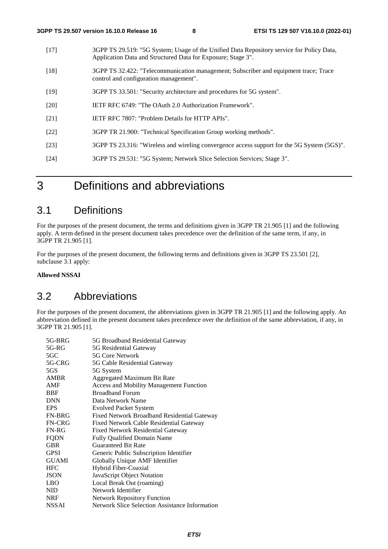- [17] 3GPP TS 29.519: "5G System; Usage of the Unified Data Repository service for Policy Data, Application Data and Structured Data for Exposure; Stage 3".
- [18] 3GPP TS 32.422: "Telecommunication management; Subscriber and equipment trace; Trace control and configuration management".
- [19] 3GPP TS 33.501: "Security architecture and procedures for 5G system".
- [20] IETF RFC 6749: "The OAuth 2.0 Authorization Framework".
- [21] IETF RFC 7807: "Problem Details for HTTP APIs".
- [22] 3GPP TR 21.900: "Technical Specification Group working methods".
- [23] 3GPP TS 23.316: "Wireless and wireling convergence access support for the 5G System (5GS)".
- [24] 3GPP TS 29.531: "5G System; Network Slice Selection Services; Stage 3".

## 3 Definitions and abbreviations

## 3.1 Definitions

For the purposes of the present document, the terms and definitions given in 3GPP TR 21.905 [1] and the following apply. A term defined in the present document takes precedence over the definition of the same term, if any, in 3GPP TR 21.905 [1].

For the purposes of the present document, the following terms and definitions given in 3GPP TS 23.501 [2], subclause 3.1 apply:

**Allowed NSSAI** 

## 3.2 Abbreviations

For the purposes of the present document, the abbreviations given in 3GPP TR 21.905 [1] and the following apply. An abbreviation defined in the present document takes precedence over the definition of the same abbreviation, if any, in 3GPP TR 21.905 [1].

| 5G Broadband Residential Gateway                      |
|-------------------------------------------------------|
| 5G Residential Gateway                                |
| 5G Core Network                                       |
| 5G Cable Residential Gateway                          |
| 5G System                                             |
| Aggregated Maximum Bit Rate                           |
| <b>Access and Mobility Management Function</b>        |
| <b>Broadband Forum</b>                                |
| Data Network Name                                     |
| <b>Evolved Packet System</b>                          |
| Fixed Network Broadband Residential Gateway           |
| Fixed Network Cable Residential Gateway               |
| <b>Fixed Network Residential Gateway</b>              |
| <b>Fully Qualified Domain Name</b>                    |
| <b>Guaranteed Bit Rate</b>                            |
| Generic Public Subscription Identifier                |
| Globally Unique AMF Identifier                        |
| Hybrid Fiber-Coaxial                                  |
| JavaScript Object Notation                            |
| Local Break Out (roaming)                             |
| Network Identifier                                    |
| <b>Network Repository Function</b>                    |
| <b>Network Slice Selection Assistance Information</b> |
|                                                       |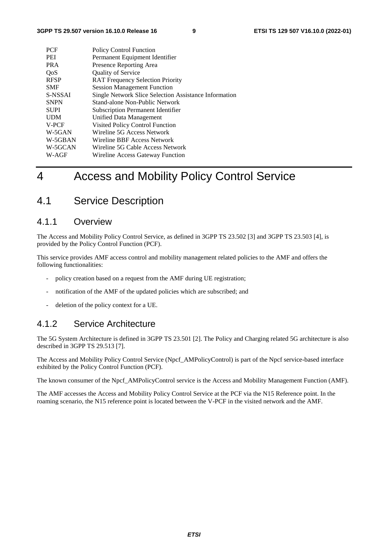| <b>PCF</b>  | <b>Policy Control Function</b>                        |
|-------------|-------------------------------------------------------|
| PEI         | Permanent Equipment Identifier                        |
| <b>PRA</b>  | Presence Reporting Area                               |
| QoS         | <b>Quality of Service</b>                             |
| <b>RFSP</b> | <b>RAT Frequency Selection Priority</b>               |
| <b>SMF</b>  | <b>Session Management Function</b>                    |
| S-NSSAI     | Single Network Slice Selection Assistance Information |
| <b>SNPN</b> | Stand-alone Non-Public Network                        |
| <b>SUPI</b> | <b>Subscription Permanent Identifier</b>              |
| <b>UDM</b>  | Unified Data Management                               |
| V-PCF       | <b>Visited Policy Control Function</b>                |
| W-5GAN      | Wireline 5G Access Network                            |
| W-5GBAN     | Wireline BBF Access Network                           |
| W-5GCAN     | Wireline 5G Cable Access Network                      |
| W-AGF       | Wireline Access Gateway Function                      |
|             |                                                       |

## 4 Access and Mobility Policy Control Service

## 4.1 Service Description

### 4.1.1 Overview

The Access and Mobility Policy Control Service, as defined in 3GPP TS 23.502 [3] and 3GPP TS 23.503 [4], is provided by the Policy Control Function (PCF).

This service provides AMF access control and mobility management related policies to the AMF and offers the following functionalities:

- policy creation based on a request from the AMF during UE registration;
- notification of the AMF of the updated policies which are subscribed; and
- deletion of the policy context for a UE.

### 4.1.2 Service Architecture

The 5G System Architecture is defined in 3GPP TS 23.501 [2]. The Policy and Charging related 5G architecture is also described in 3GPP TS 29.513 [7].

The Access and Mobility Policy Control Service (Npcf\_AMPolicyControl) is part of the Npcf service-based interface exhibited by the Policy Control Function (PCF).

The known consumer of the Npcf\_AMPolicyControl service is the Access and Mobility Management Function (AMF).

The AMF accesses the Access and Mobility Policy Control Service at the PCF via the N15 Reference point. In the roaming scenario, the N15 reference point is located between the V-PCF in the visited network and the AMF.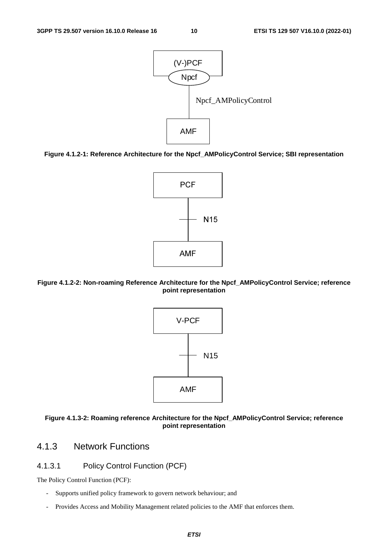

**Figure 4.1.2-1: Reference Architecture for the Npcf\_AMPolicyControl Service; SBI representation** 









## 4.1.3 Network Functions

### 4.1.3.1 Policy Control Function (PCF)

The Policy Control Function (PCF):

- Supports unified policy framework to govern network behaviour; and
- Provides Access and Mobility Management related policies to the AMF that enforces them.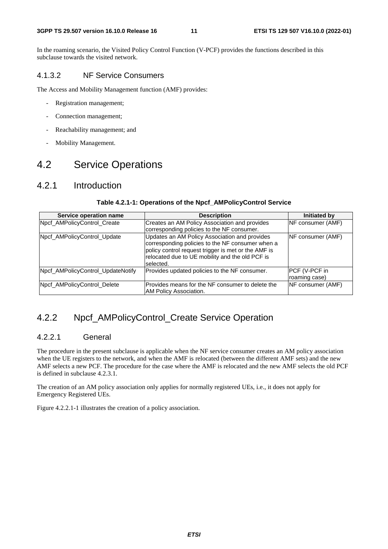In the roaming scenario, the Visited Policy Control Function (V-PCF) provides the functions described in this subclause towards the visited network.

#### 4.1.3.2 NF Service Consumers

The Access and Mobility Management function (AMF) provides:

- Registration management;
- Connection management;
- Reachability management; and
- Mobility Management.

## 4.2 Service Operations

### 4.2.1 Introduction

#### **Service operation name Description Initiated by** Npcf\_AMPolicyControl\_Create Creates an AM Policy Association and provides corresponding policies to the NF consumer. NF consumer (AMF) Npcf\_AMPolicyControl\_Update | Update | Updates an AM Policy Association and provides corresponding policies to the NF consumer when a policy control request trigger is met or the AMF is relocated due to UE mobility and the old PCF is selected. NF consumer (AMF) Npcf AMPolicyControl UpdateNotify Provides updated policies to the NF consumer. PCF (V-PCF in roaming case) Npcf AMPolicyControl Delete Provides means for the NF consumer to delete the AM Policy Association. NF consumer (AMF)

#### **Table 4.2.1-1: Operations of the Npcf\_AMPolicyControl Service**

## 4.2.2 Npcf AMPolicyControl Create Service Operation

### 4.2.2.1 General

The procedure in the present subclause is applicable when the NF service consumer creates an AM policy association when the UE registers to the network, and when the AMF is relocated (between the different AMF sets) and the new AMF selects a new PCF. The procedure for the case where the AMF is relocated and the new AMF selects the old PCF is defined in subclause 4.2.3.1.

The creation of an AM policy association only applies for normally registered UEs, i.e., it does not apply for Emergency Registered UEs.

Figure 4.2.2.1-1 illustrates the creation of a policy association.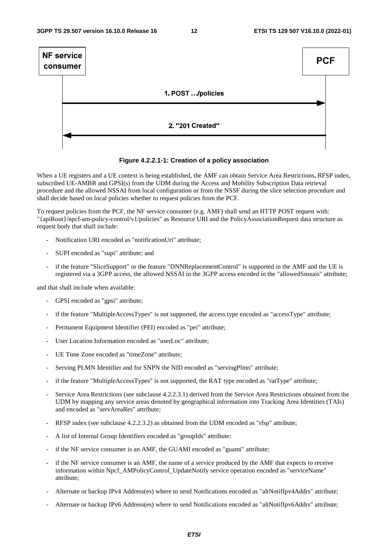

**Figure 4.2.2.1-1: Creation of a policy association** 

When a UE registers and a UE context is being established, the AMF can obtain Service Area Restrictions, RFSP index, subscribed UE-AMBR and GPSI(s) from the UDM during the Access and Mobility Subscription Data retrieval procedure and the allowed NSSAI from local configuration or from the NSSF during the slice selection procedure and shall decide based on local policies whether to request policies from the PCF.

To request policies from the PCF, the NF service consumer (e.g. AMF) shall send an HTTP POST request with: "{apiRoot}/npcf-am-policy-control/v1/policies" as Resource URI and the PolicyAssociationRequest data structure as request body that shall include:

- Notification URI encoded as "notificationUri" attribute;
- SUPI encoded as "supi" attribute; and
- if the feature "SliceSupport" or the feature "DNNReplacementControl" is supported in the AMF and the UE is registered via a 3GPP access, the allowed NSSAI in the 3GPP access encoded in the "allowedSnssais" attribute;

and that shall include when available:

- GPSI encoded as "gpsi" attribute;
- if the feature "MultipleAccessTypes" is not supported, the access type encoded as "accessType" attribute;
- Permanent Equipment Identifier (PEI) encoded as "pei" attribute;
- User Location Information encoded as "userLoc" attribute:
- UE Time Zone encoded as "timeZone" attribute;
- Serving PLMN Identifier and for SNPN the NID encoded as "servingPlmn" attribute;
- if the feature "MultipleAccessTypes" is not supported, the RAT type encoded as "ratType" attribute;
- Service Area Restrictions (see subclause 4.2.2.3.1) derived from the Service Area Restrictions obtained from the UDM by mapping any service areas denoted by geographical information into Tracking Area Identities (TAIs) and encoded as "servAreaRes" attribute;
- RFSP index (see subclause 4.2.2.3.2) as obtained from the UDM encoded as "rfsp" attribute;
- A list of Internal Group Identifiers encoded as "groupIds" attribute;
- if the NF service consumer is an AMF, the GUAMI encoded as "guami" attribute;
- if the NF service consumer is an AMF, the name of a service produced by the AMF that expects to receive information within Npcf\_AMPolicyControl\_UpdateNotify service operation encoded as "serviceName" attribute;
- Alternate or backup IPv4 Address(es) where to send Notifications encoded as "altNotifIpv4Addrs" attribute;
- Alternate or backup IPv6 Address(es) where to send Notifications encoded as "altNotifIpv6Addrs" attribute;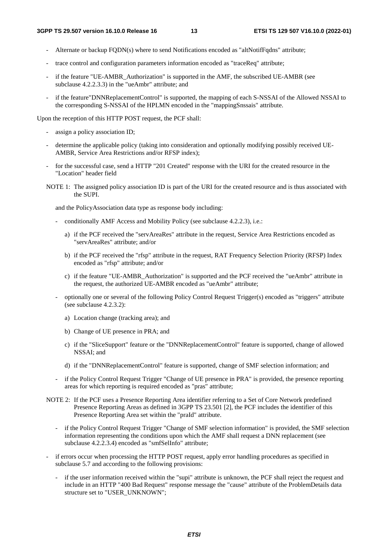- Alternate or backup FQDN(s) where to send Notifications encoded as "altNotifFqdns" attribute;
- trace control and configuration parameters information encoded as "traceReq" attribute;
- if the feature "UE-AMBR\_Authorization" is supported in the AMF, the subscribed UE-AMBR (see subclause 4.2.2.3.3) in the "ueAmbr" attribute; and
- if the feature"DNNReplacementControl" is supported, the mapping of each S-NSSAI of the Allowed NSSAI to the corresponding S-NSSAI of the HPLMN encoded in the "mappingSnssais" attribute.

Upon the reception of this HTTP POST request, the PCF shall:

- assign a policy association ID;
- determine the applicable policy (taking into consideration and optionally modifying possibly received UE-AMBR, Service Area Restrictions and/or RFSP index);
- for the successful case, send a HTTP "201 Created" response with the URI for the created resource in the "Location" header field
- NOTE 1: The assigned policy association ID is part of the URI for the created resource and is thus associated with the SUPI.

and the PolicyAssociation data type as response body including:

- conditionally AMF Access and Mobility Policy (see subclause 4.2.2.3), i.e.:
	- a) if the PCF received the "servAreaRes" attribute in the request, Service Area Restrictions encoded as "servAreaRes" attribute; and/or
	- b) if the PCF received the "rfsp" attribute in the request, RAT Frequency Selection Priority (RFSP) Index encoded as "rfsp" attribute; and/or
	- c) if the feature "UE-AMBR\_Authorization" is supported and the PCF received the "ueAmbr" attribute in the request, the authorized UE-AMBR encoded as "ueAmbr" attribute;
- optionally one or several of the following Policy Control Request Trigger(s) encoded as "triggers" attribute (see subclause 4.2.3.2):
	- a) Location change (tracking area); and
	- b) Change of UE presence in PRA; and
	- c) if the "SliceSupport" feature or the "DNNReplacementControl" feature is supported, change of allowed NSSAI; and
	- d) if the "DNNReplacementControl" feature is supported, change of SMF selection information; and
- if the Policy Control Request Trigger "Change of UE presence in PRA" is provided, the presence reporting areas for which reporting is required encoded as "pras" attribute;
- NOTE 2: If the PCF uses a Presence Reporting Area identifier referring to a Set of Core Network predefined Presence Reporting Areas as defined in 3GPP TS 23.501 [2], the PCF includes the identifier of this Presence Reporting Area set within the "praId" attribute.
	- if the Policy Control Request Trigger "Change of SMF selection information" is provided, the SMF selection information representing the conditions upon which the AMF shall request a DNN replacement (see subclause 4.2.2.3.4) encoded as "smfSelInfo" attribute;
- if errors occur when processing the HTTP POST request, apply error handling procedures as specified in subclause 5.7 and according to the following provisions:
	- if the user information received within the "supi" attribute is unknown, the PCF shall reject the request and include in an HTTP "400 Bad Request" response message the "cause" attribute of the ProblemDetails data structure set to "USER\_UNKNOWN";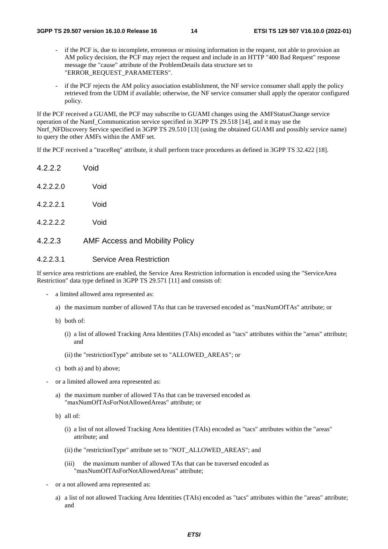- if the PCF is, due to incomplete, erroneous or missing information in the request, not able to provision an AM policy decision, the PCF may reject the request and include in an HTTP "400 Bad Request" response message the "cause" attribute of the ProblemDetails data structure set to "ERROR\_REQUEST\_PARAMETERS".
- if the PCF rejects the AM policy association establishment, the NF service consumer shall apply the policy retrieved from the UDM if available; otherwise, the NF service consumer shall apply the operator configured policy.

If the PCF received a GUAMI, the PCF may subscribe to GUAMI changes using the AMFStatusChange service operation of the Namf\_Communication service specified in 3GPP TS 29.518 [14], and it may use the Nnrf\_NFDiscovery Service specified in 3GPP TS 29.510 [13] (using the obtained GUAMI and possibly service name) to query the other AMFs within the AMF set.

If the PCF received a "traceReq" attribute, it shall perform trace procedures as defined in 3GPP TS 32.422 [18].

- 4.2.2.2 Void 4.2.2.2.0 Void
- 4.2.2.2.1 Void

4.2.2.2.2 Void

#### 4.2.2.3 AMF Access and Mobility Policy

#### 4.2.2.3.1 Service Area Restriction

If service area restrictions are enabled, the Service Area Restriction information is encoded using the "ServiceArea Restriction" data type defined in 3GPP TS 29.571 [11] and consists of:

- a limited allowed area represented as:
	- a) the maximum number of allowed TAs that can be traversed encoded as "maxNumOfTAs" attribute; or
	- b) both of:
		- (i) a list of allowed Tracking Area Identities (TAIs) encoded as "tacs" attributes within the "areas" attribute; and
		- (ii) the "restrictionType" attribute set to "ALLOWED\_AREAS"; or
	- c) both a) and b) above;
- or a limited allowed area represented as:
	- a) the maximum number of allowed TAs that can be traversed encoded as "maxNumOfTAsForNotAllowedAreas" attribute; or
	- b) all of:
		- (i) a list of not allowed Tracking Area Identities (TAIs) encoded as "tacs" attributes within the "areas" attribute; and
		- (ii) the "restrictionType" attribute set to "NOT\_ALLOWED\_AREAS"; and
		- (iii) the maximum number of allowed TAs that can be traversed encoded as "maxNumOfTAsForNotAllowedAreas" attribute;
- or a not allowed area represented as:
	- a) a list of not allowed Tracking Area Identities (TAIs) encoded as "tacs" attributes within the "areas" attribute; and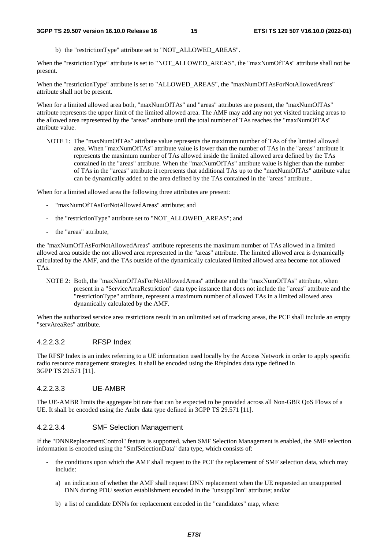b) the "restrictionType" attribute set to "NOT\_ALLOWED\_AREAS".

When the "restrictionType" attribute is set to "NOT\_ALLOWED\_AREAS", the "maxNumOfTAs" attribute shall not be present.

When the "restrictionType" attribute is set to "ALLOWED AREAS", the "maxNumOfTAsForNotAllowedAreas" attribute shall not be present.

When for a limited allowed area both, "maxNumOfTAs" and "areas" attributes are present, the "maxNumOfTAs" attribute represents the upper limit of the limited allowed area. The AMF may add any not yet visited tracking areas to the allowed area represented by the "areas" attribute until the total number of TAs reaches the "maxNumOfTAs" attribute value.

NOTE 1: The "maxNumOfTAs" attribute value represents the maximum number of TAs of the limited allowed area. When "maxNumOfTAs" attribute value is lower than the number of TAs in the "areas" attribute it represents the maximum number of TAs allowed inside the limited allowed area defined by the TAs contained in the "areas" attribute. When the "maxNumOfTAs" attribute value is higher than the number of TAs in the "areas" attribute it represents that additional TAs up to the "maxNumOfTAs" attribute value can be dynamically added to the area defined by the TAs contained in the "areas" attribute..

When for a limited allowed area the following three attributes are present:

- "maxNumOfTAsForNotAllowedAreas" attribute; and
- the "restrictionType" attribute set to "NOT\_ALLOWED\_AREAS"; and
- the "areas" attribute,

the "maxNumOfTAsForNotAllowedAreas" attribute represents the maximum number of TAs allowed in a limited allowed area outside the not allowed area represented in the "areas" attribute. The limited allowed area is dynamically calculated by the AMF, and the TAs outside of the dynamically calculated limited allowed area become not allowed TAs.

NOTE 2: Both, the "maxNumOfTAsForNotAllowedAreas" attribute and the "maxNumOfTAs" attribute, when present in a "ServiceAreaRestriction" data type instance that does not include the "areas" attribute and the "restrictionType" attribute, represent a maximum number of allowed TAs in a limited allowed area dynamically calculated by the AMF.

When the authorized service area restrictions result in an unlimited set of tracking areas, the PCF shall include an empty "servAreaRes" attribute.

#### 4.2.2.3.2 RFSP Index

The RFSP Index is an index referring to a UE information used locally by the Access Network in order to apply specific radio resource management strategies. It shall be encoded using the RfspIndex data type defined in 3GPP TS 29.571 [11].

#### 4.2.2.3.3 UE-AMBR

The UE-AMBR limits the aggregate bit rate that can be expected to be provided across all Non-GBR QoS Flows of a UE. It shall be encoded using the Ambr data type defined in 3GPP TS 29.571 [11].

#### 4.2.2.3.4 SMF Selection Management

If the "DNNReplacementControl" feature is supported, when SMF Selection Management is enabled, the SMF selection information is encoded using the "SmfSelectionData" data type, which consists of:

- the conditions upon which the AMF shall request to the PCF the replacement of SMF selection data, which may include:
	- a) an indication of whether the AMF shall request DNN replacement when the UE requested an unsupported DNN during PDU session establishment encoded in the "unsuppDnn" attribute; and/or
	- b) a list of candidate DNNs for replacement encoded in the "candidates" map, where: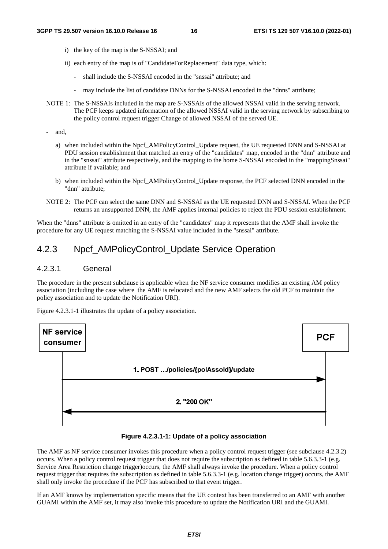- i) the key of the map is the S-NSSAI; and
- ii) each entry of the map is of "CandidateForReplacement" data type, which:
	- shall include the S-NSSAI encoded in the "snssai" attribute; and
	- may include the list of candidate DNNs for the S-NSSAI encoded in the "dnns" attribute;
- NOTE 1: The S-NSSAIs included in the map are S-NSSAIs of the allowed NSSAI valid in the serving network. The PCF keeps updated information of the allowed NSSAI valid in the serving network by subscribing to the policy control request trigger Change of allowed NSSAI of the served UE.

- and,

- a) when included within the Npcf\_AMPolicyControl\_Update request, the UE requested DNN and S-NSSAI at PDU session establishment that matched an entry of the "candidates" map, encoded in the "dnn" attribute and in the "snssai" attribute respectively, and the mapping to the home S-NSSAI encoded in the "mappingSnssai" attribute if available; and
- b) when included within the Npcf\_AMPolicyControl\_Update response, the PCF selected DNN encoded in the "dnn" attribute;
- NOTE 2: The PCF can select the same DNN and S-NSSAI as the UE requested DNN and S-NSSAI. When the PCF returns an unsupported DNN, the AMF applies internal policies to reject the PDU session establishment.

When the "dnns" attribute is omitted in an entry of the "candidates" map it represents that the AMF shall invoke the procedure for any UE request matching the S-NSSAI value included in the "snssai" attribute.

## 4.2.3 Npcf\_AMPolicyControl\_Update Service Operation

#### 4.2.3.1 General

The procedure in the present subclause is applicable when the NF service consumer modifies an existing AM policy association (including the case where the AMF is relocated and the new AMF selects the old PCF to maintain the policy association and to update the Notification URI).

Figure 4.2.3.1-1 illustrates the update of a policy association.



#### **Figure 4.2.3.1-1: Update of a policy association**

The AMF as NF service consumer invokes this procedure when a policy control request trigger (see subclause 4.2.3.2) occurs. When a policy control request trigger that does not require the subscription as defined in table 5.6.3.3-1 (e.g. Service Area Restriction change trigger)occurs, the AMF shall always invoke the procedure. When a policy control request trigger that requires the subscription as defined in table 5.6.3.3-1 (e.g. location change trigger) occurs, the AMF shall only invoke the procedure if the PCF has subscribed to that event trigger.

If an AMF knows by implementation specific means that the UE context has been transferred to an AMF with another GUAMI within the AMF set, it may also invoke this procedure to update the Notification URI and the GUAMI.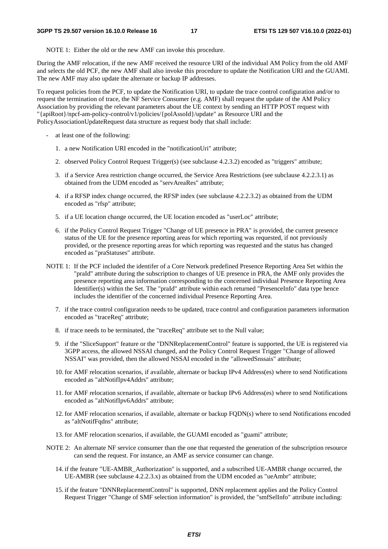NOTE 1: Either the old or the new AMF can invoke this procedure.

During the AMF relocation, if the new AMF received the resource URI of the individual AM Policy from the old AMF and selects the old PCF, the new AMF shall also invoke this procedure to update the Notification URI and the GUAMI. The new AMF may also update the alternate or backup IP addresses.

To request policies from the PCF, to update the Notification URI, to update the trace control configuration and/or to request the termination of trace, the NF Service Consumer (e.g. AMF) shall request the update of the AM Policy Association by providing the relevant parameters about the UE context by sending an HTTP POST request with "{apiRoot}/npcf-am-policy-control/v1/policies/{polAssoId}/update" as Resource URI and the PolicyAssociationUpdateRequest data structure as request body that shall include:

- at least one of the following:
	- 1. a new Notification URI encoded in the "notificationUri" attribute;
	- 2. observed Policy Control Request Trigger(s) (see subclause 4.2.3.2) encoded as "triggers" attribute;
	- 3. if a Service Area restriction change occurred, the Service Area Restrictions (see subclause 4.2.2.3.1) as obtained from the UDM encoded as "servAreaRes" attribute;
	- 4. if a RFSP index change occurred, the RFSP index (see subclause 4.2.2.3.2) as obtained from the UDM encoded as "rfsp" attribute;
	- 5. if a UE location change occurred, the UE location encoded as "userLoc" attribute;
	- 6. if the Policy Control Request Trigger "Change of UE presence in PRA" is provided, the current presence status of the UE for the presence reporting areas for which reporting was requested, if not previously provided, or the presence reporting areas for which reporting was requested and the status has changed encoded as "praStatuses" attribute.
- NOTE 1: If the PCF included the identifer of a Core Network predefined Presence Reporting Area Set within the "praId" attribute during the subscription to changes of UE presence in PRA, the AMF only provides the presence reporting area information corresponding to the concerned individual Presence Reporting Area Identifier(s) within the Set. The "praId" attribute within each returned "PresenceInfo" data type hence includes the identifier of the concerned individual Presence Reporting Area.
	- 7. if the trace control configuration needs to be updated, trace control and configuration parameters information encoded as "traceReq" attribute;
	- 8. if trace needs to be terminated, the "traceReq" attribute set to the Null value;
	- 9. if the "SliceSupport" feature or the "DNNReplacementControl" feature is supported, the UE is registered via 3GPP access, the allowed NSSAI changed, and the Policy Control Request Trigger "Change of allowed NSSAI" was provided, then the allowed NSSAI encoded in the "allowedSnssais" attribute;
	- 10. for AMF relocation scenarios, if available, alternate or backup IPv4 Address(es) where to send Notifications encoded as "altNotifIpv4Addrs" attribute;
	- 11. for AMF relocation scenarios, if available, alternate or backup IPv6 Address(es) where to send Notifications encoded as "altNotifIpv6Addrs" attribute;
	- 12. for AMF relocation scenarios, if available, alternate or backup FQDN(s) where to send Notifications encoded as "altNotifFqdns" attribute;
	- 13. for AMF relocation scenarios, if available, the GUAMI encoded as "guami" attribute;
- NOTE 2: An alternate NF service consumer than the one that requested the generation of the subscription resource can send the request. For instance, an AMF as service consumer can change.
	- 14. if the feature "UE-AMBR\_Authorization" is supported, and a subscribed UE-AMBR change occurred, the UE-AMBR (see subclause 4.2.2.3.x) as obtained from the UDM encoded as "ueAmbr" attribute;
	- 15. if the feature "DNNReplacementControl" is supported, DNN replacement applies and the Policy Control Request Trigger "Change of SMF selection information" is provided, the "smfSelInfo" attribute including: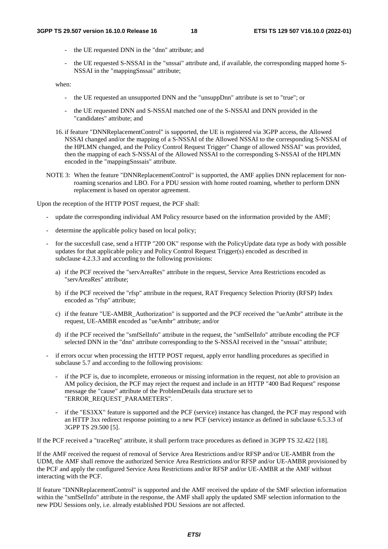- the UE requested DNN in the "dnn" attribute; and
- the UE requested S-NSSAI in the "snssai" attribute and, if available, the corresponding mapped home S-NSSAI in the "mappingSnssai" attribute;

when:

- the UE requested an unsupported DNN and the "unsuppDnn" attribute is set to "true"; or
- the UE requested DNN and S-NSSAI matched one of the S-NSSAI and DNN provided in the "candidates" attribute; and
- 16. if feature "DNNReplacementControl" is supported, the UE is registered via 3GPP access, the Allowed NSSAI changed and/or the mapping of a S-NSSAI of the Allowed NSSAI to the corresponding S-NSSAI of the HPLMN changed, and the Policy Control Request Trigger" Change of allowed NSSAI" was provided, then the mapping of each S-NSSAI of the Allowed NSSAI to the corresponding S-NSSAI of the HPLMN encoded in the "mappingSnssais" attribute.
- NOTE 3: When the feature "DNNReplacementControl" is supported, the AMF applies DNN replacement for nonroaming scenarios and LBO. For a PDU session with home routed roaming, whether to perform DNN replacement is based on operator agreement.

Upon the reception of the HTTP POST request, the PCF shall:

- update the corresponding individual AM Policy resource based on the information provided by the AMF;
- determine the applicable policy based on local policy;
- for the succesfull case, send a HTTP "200 OK" response with the PolicyUpdate data type as body with possible updates for that applicable policy and Policy Control Request Trigger(s) encoded as described in subclause 4.2.3.3 and according to the following provisions:
	- a) if the PCF received the "servAreaRes" attribute in the request, Service Area Restrictions encoded as "servAreaRes" attribute;
	- b) if the PCF received the "rfsp" attribute in the request, RAT Frequency Selection Priority (RFSP) Index encoded as "rfsp" attribute;
	- c) if the feature "UE-AMBR\_Authorization" is supported and the PCF received the "ueAmbr" attribute in the request, UE-AMBR encoded as "ueAmbr" attribute; and/or
	- d) if the PCF received the "smfSelInfo" attribute in the request, the "smfSelInfo" attribute encoding the PCF selected DNN in the "dnn" attribute corresponding to the S-NSSAI received in the "snssai" attribute;
- if errors occur when processing the HTTP POST request, apply error handling procedures as specified in subclause 5.7 and according to the following provisions:
	- if the PCF is, due to incomplete, erroneous or missing information in the request, not able to provision an AM policy decision, the PCF may reject the request and include in an HTTP "400 Bad Request" response message the "cause" attribute of the ProblemDetails data structure set to "ERROR\_REQUEST\_PARAMETERS".
	- if the "ES3XX" feature is supported and the PCF (service) instance has changed, the PCF may respond with an HTTP 3xx redirect response pointing to a new PCF (service) instance as defined in subclause 6.5.3.3 of 3GPP TS 29.500 [5].

If the PCF received a "traceReq" attribute, it shall perform trace procedures as defined in 3GPP TS 32.422 [18].

If the AMF received the request of removal of Service Area Restrictions and/or RFSP and/or UE-AMBR from the UDM, the AMF shall remove the authorized Service Area Restrictions and/or RFSP and/or UE-AMBR provisioned by the PCF and apply the configured Service Area Restrictions and/or RFSP and/or UE-AMBR at the AMF without interacting with the PCF.

If feature "DNNReplacementControl" is supported and the AMF received the update of the SMF selection information within the "smfSelInfo" attribute in the response, the AMF shall apply the updated SMF selection information to the new PDU Sessions only, i.e. already established PDU Sessions are not affected.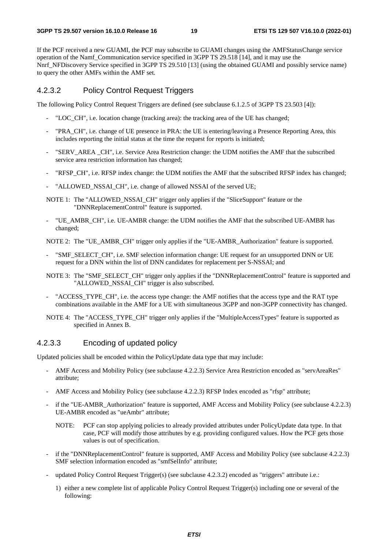If the PCF received a new GUAMI, the PCF may subscribe to GUAMI changes using the AMFStatusChange service operation of the Namf\_Communication service specified in 3GPP TS 29.518 [14], and it may use the Nnrf\_NFDiscovery Service specified in 3GPP TS 29.510 [13] (using the obtained GUAMI and possibly service name) to query the other AMFs within the AMF set.

#### 4.2.3.2 Policy Control Request Triggers

The following Policy Control Request Triggers are defined (see subclause 6.1.2.5 of 3GPP TS 23.503 [4]):

- "LOC\_CH", i.e. location change (tracking area): the tracking area of the UE has changed;
- "PRA\_CH", i.e. change of UE presence in PRA: the UE is entering/leaving a Presence Reporting Area, this includes reporting the initial status at the time the request for reports is initiated;
- "SERV\_AREA \_CH", i.e. Service Area Restriction change: the UDM notifies the AMF that the subscribed service area restriction information has changed;
- "RFSP\_CH", i.e. RFSP index change: the UDM notifies the AMF that the subscribed RFSP index has changed;
- "ALLOWED NSSAI CH", i.e. change of allowed NSSAI of the served UE;
- NOTE 1: The "ALLOWED\_NSSAI\_CH" trigger only applies if the "SliceSupport" feature or the "DNNReplacementControl" feature is supported.
- "UE\_AMBR\_CH", i.e. UE-AMBR change: the UDM notifies the AMF that the subscribed UE-AMBR has changed;

NOTE 2: The "UE\_AMBR\_CH" trigger only applies if the "UE-AMBR\_Authorization" feature is supported.

- "SMF\_SELECT\_CH", i.e. SMF selection information change: UE request for an unsupported DNN or UE request for a DNN within the list of DNN candidates for replacement per S-NSSAI; and
- NOTE 3: The "SMF\_SELECT\_CH" trigger only applies if the "DNNReplacementControl" feature is supported and "ALLOWED NSSAI CH" trigger is also subscribed.
- "ACCESS TYPE CH", i.e. the access type change: the AMF notifies that the access type and the RAT type combinations available in the AMF for a UE with simultaneous 3GPP and non-3GPP connectivity has changed.
- NOTE 4: The "ACCESS\_TYPE\_CH" trigger only applies if the "MultipleAccessTypes" feature is supported as specified in Annex B.

#### 4.2.3.3 Encoding of updated policy

Updated policies shall be encoded within the PolicyUpdate data type that may include:

- AMF Access and Mobility Policy (see subclause 4.2.2.3) Service Area Restriction encoded as "servAreaRes" attribute;
- AMF Access and Mobility Policy (see subclause 4.2.2.3) RFSP Index encoded as "rfsp" attribute;
- if the "UE-AMBR\_Authorization" feature is supported, AMF Access and Mobility Policy (see subclause 4.2.2.3) UE-AMBR encoded as "ueAmbr" attribute;
	- NOTE: PCF can stop applying policies to already provided attributes under PolicyUpdate data type. In that case, PCF will modify those attributes by e.g. providing configured values. How the PCF gets those values is out of specification.
- if the "DNNReplacementControl" feature is supported, AMF Access and Mobility Policy (see subclause 4.2.2.3) SMF selection information encoded as "smfSelInfo" attribute;
- updated Policy Control Request Trigger(s) (see subclause 4.2.3.2) encoded as "triggers" attribute i.e.:
	- 1) either a new complete list of applicable Policy Control Request Trigger(s) including one or several of the following: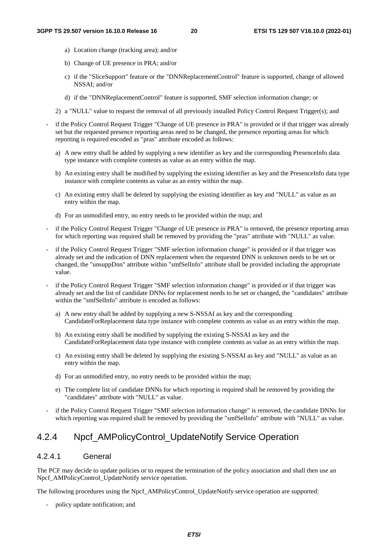- a) Location change (tracking area); and/or
- b) Change of UE presence in PRA; and/or
- c) if the "SliceSupport" feature or the "DNNReplacementControl" feature is supported, change of allowed NSSAI; and/or
- d) if the "DNNReplacementControl" feature is supported, SMF selection information change; or
- 2) a "NULL" value to request the removal of all previously installed Policy Control Request Trigger(s); and
- if the Policy Control Request Trigger "Change of UE presence in PRA" is provided or if that trigger was already set but the requested presence reporting areas need to be changed, the presence reporting areas for which reporting is required encoded as "pras" attribute encoded as follows:
	- a) A new entry shall be added by supplying a new identifier as key and the corresponding PresenceInfo data type instance with complete contents as value as an entry within the map.
	- b) An existing entry shall be modified by supplying the existing identifier as key and the PresenceInfo data type instance with complete contents as value as an entry within the map.
	- c) An existing entry shall be deleted by supplying the existing identifier as key and "NULL" as value as an entry within the map.
	- d) For an unmodified entry, no entry needs to be provided within the map; and
- if the Policy Control Request Trigger "Change of UE presence in PRA" is removed, the presence reporting areas for which reporting was required shall be removed by providing the "pras" attribute with "NULL" as value.
- if the Policy Control Request Trigger "SMF selection information change" is provided or if that trigger was already set and the indication of DNN replacement when the requested DNN is unknown needs to be set or changed, the "unsuppDnn" attribute within "smfSelInfo" attribute shall be provided including the appropriate value.
- if the Policy Control Request Trigger "SMF selection information change" is provided or if that trigger was already set and the list of candidate DNNs for replacement needs to be set or changed, the "candidates" attribute within the "smfSelInfo" attribute is encoded as follows:
	- a) A new entry shall be added by supplying a new S-NSSAI as key and the corresponding CandidateForReplacement data type instance with complete contents as value as an entry within the map.
	- b) An existing entry shall be modified by supplying the existing S-NSSAI as key and the CandidateForReplacement data type instance with complete contents as value as an entry within the map.
	- c) An existing entry shall be deleted by supplying the existing S-NSSAI as key and "NULL" as value as an entry within the map.
	- d) For an unmodified entry, no entry needs to be provided within the map;
	- e) The complete list of candidate DNNs for which reporting is required shall be removed by providing the "candidates" attribute with "NULL" as value.
- if the Policy Control Request Trigger "SMF selection information change" is removed, the candidate DNNs for which reporting was required shall be removed by providing the "smfSelInfo" attribute with "NULL" as value.

## 4.2.4 Npcf\_AMPolicyControl\_UpdateNotify Service Operation

### 4.2.4.1 General

The PCF may decide to update policies or to request the termination of the policy association and shall then use an Npcf\_AMPolicyControl\_UpdateNotify service operation.

The following procedures using the Npcf\_AMPolicyControl\_UpdateNotify service operation are supported:

- policy update notification; and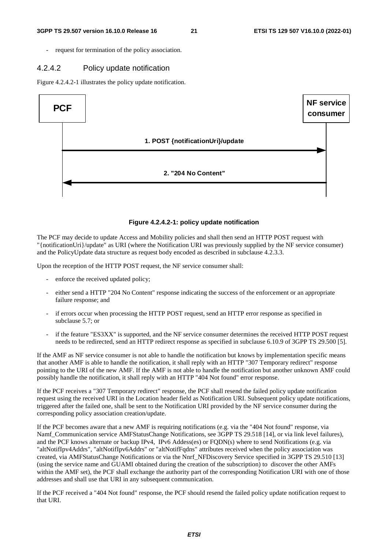request for termination of the policy association.

#### 4.2.4.2 Policy update notification

Figure 4.2.4.2-1 illustrates the policy update notification.



#### **Figure 4.2.4.2-1: policy update notification**

The PCF may decide to update Access and Mobility policies and shall then send an HTTP POST request with "{notificationUri}/update" as URI (where the Notification URI was previously supplied by the NF service consumer) and the PolicyUpdate data structure as request body encoded as described in subclause 4.2.3.3.

Upon the reception of the HTTP POST request, the NF service consumer shall:

- enforce the received updated policy;
- either send a HTTP "204 No Content" response indicating the success of the enforcement or an appropriate failure response; and
- if errors occur when processing the HTTP POST request, send an HTTP error response as specified in subclause 5.7; or
- if the feature "ES3XX" is supported, and the NF service consumer determines the received HTTP POST request needs to be redirected, send an HTTP redirect response as specified in subclause 6.10.9 of 3GPP TS 29.500 [5].

If the AMF as NF service consumer is not able to handle the notification but knows by implementation specific means that another AMF is able to handle the notification, it shall reply with an HTTP "307 Temporary redirect" response pointing to the URI of the new AMF. If the AMF is not able to handle the notification but another unknown AMF could possibly handle the notification, it shall reply with an HTTP "404 Not found" error response.

If the PCF receives a "307 Temporary redirect" response, the PCF shall resend the failed policy update notification request using the received URI in the Location header field as Notification URI. Subsequent policy update notifications, triggered after the failed one, shall be sent to the Notification URI provided by the NF service consumer during the corresponding policy association creation/update.

If the PCF becomes aware that a new AMF is requiring notifications (e.g. via the "404 Not found" response, via Namf\_Communication service AMFStatusChange Notifications, see 3GPP TS 29.518 [14], or via link level failures), and the PCF knows alternate or backup IPv4, IPv6 Addess(es) or FQDN(s) where to send Notifications (e.g. via "altNotifIpv4Addrs", "altNotifIpv6Addrs" or "altNotifFqdns" attributes received when the policy association was created, via AMFStatusChange Notifications or via the Nnrf\_NFDiscovery Service specified in 3GPP TS 29.510 [13] (using the service name and GUAMI obtained during the creation of the subscription) to discover the other AMFs within the AMF set), the PCF shall exchange the authority part of the corresponding Notification URI with one of those addresses and shall use that URI in any subsequent communication.

If the PCF received a "404 Not found" response, the PCF should resend the failed policy update notification request to that URI.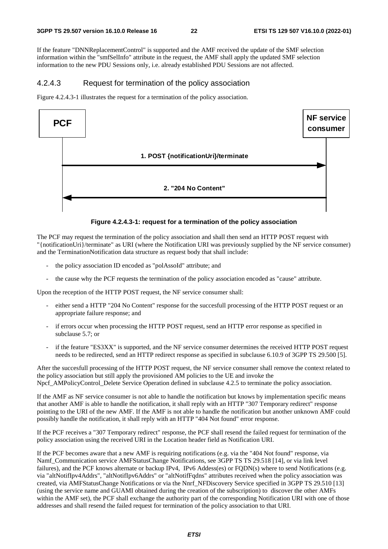If the feature "DNNReplacementControl" is supported and the AMF received the update of the SMF selection information within the "smfSelInfo" attribute in the request, the AMF shall apply the updated SMF selection information to the new PDU Sessions only, i.e. already established PDU Sessions are not affected.

#### 4.2.4.3 Request for termination of the policy association

Figure 4.2.4.3-1 illustrates the request for a termination of the policy association.



**Figure 4.2.4.3-1: request for a termination of the policy association** 

The PCF may request the termination of the policy association and shall then send an HTTP POST request with "{notificationUri}/terminate" as URI (where the Notification URI was previously supplied by the NF service consumer) and the TerminationNotification data structure as request body that shall include:

- the policy association ID encoded as "polAssoId" attribute; and
- the cause why the PCF requests the termination of the policy association encoded as "cause" attribute.

Upon the reception of the HTTP POST request, the NF service consumer shall:

- either send a HTTP "204 No Content" response for the succesfull processing of the HTTP POST request or an appropriate failure response; and
- if errors occur when processing the HTTP POST request, send an HTTP error response as specified in subclause 5.7; or
- if the feature "ES3XX" is supported, and the NF service consumer determines the received HTTP POST request needs to be redirected, send an HTTP redirect response as specified in subclause 6.10.9 of 3GPP TS 29.500 [5].

After the succesfull processing of the HTTP POST request, the NF service consumer shall remove the context related to the policy association but still apply the provisioned AM policies to the UE and invoke the Npcf AMPolicyControl Delete Service Operation defined in subclause 4.2.5 to terminate the policy association.

If the AMF as NF service consumer is not able to handle the notification but knows by implementation specific means that another AMF is able to handle the notification, it shall reply with an HTTP "307 Temporary redirect" response pointing to the URI of the new AMF. If the AMF is not able to handle the notification but another unknown AMF could possibly handle the notification, it shall reply with an HTTP "404 Not found" error response.

If the PCF receives a "307 Temporary redirect" response, the PCF shall resend the failed request for termination of the policy association using the received URI in the Location header field as Notification URI.

If the PCF becomes aware that a new AMF is requiring notifications (e.g. via the "404 Not found" response, via Namf\_Communication service AMFStatusChange Notifications, see 3GPP TS TS 29.518 [14], or via link level failures), and the PCF knows alternate or backup IPv4, IPv6 Addess(es) or FODN(s) where to send Notifications (e.g. via "altNotifIpv4Addrs", "altNotifIpv6Addrs" or "altNotifFqdns" attributes received when the policy association was created, via AMFStatusChange Notifications or via the Nnrf\_NFDiscovery Service specified in 3GPP TS 29.510 [13] (using the service name and GUAMI obtained during the creation of the subscription) to discover the other AMFs within the AMF set), the PCF shall exchange the authority part of the corresponding Notification URI with one of those addresses and shall resend the failed request for termination of the policy association to that URI.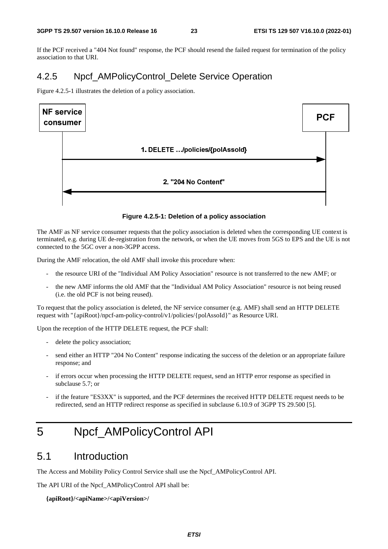If the PCF received a "404 Not found" response, the PCF should resend the failed request for termination of the policy association to that URI.

## 4.2.5 Npcf AMPolicyControl Delete Service Operation

Figure 4.2.5-1 illustrates the deletion of a policy association.



#### **Figure 4.2.5-1: Deletion of a policy association**

The AMF as NF service consumer requests that the policy association is deleted when the corresponding UE context is terminated, e.g. during UE de-registration from the network, or when the UE moves from 5GS to EPS and the UE is not connected to the 5GC over a non-3GPP access.

During the AMF relocation, the old AMF shall invoke this procedure when:

- the resource URI of the "Individual AM Policy Association" resource is not transferred to the new AMF; or
- the new AMF informs the old AMF that the "Individual AM Policy Association" resource is not being reused (i.e. the old PCF is not being reused).

To request that the policy association is deleted, the NF service consumer (e.g. AMF) shall send an HTTP DELETE request with "{apiRoot}/npcf-am-policy-control/v1/policies/{polAssoId}" as Resource URI.

Upon the reception of the HTTP DELETE request, the PCF shall:

- delete the policy association;
- send either an HTTP "204 No Content" response indicating the success of the deletion or an appropriate failure response; and
- if errors occur when processing the HTTP DELETE request, send an HTTP error response as specified in subclause 5.7; or
- if the feature "ES3XX" is supported, and the PCF determines the received HTTP DELETE request needs to be redirected, send an HTTP redirect response as specified in subclause 6.10.9 of 3GPP TS 29.500 [5].

## 5 Npcf\_AMPolicyControl API

## 5.1 Introduction

The Access and Mobility Policy Control Service shall use the Npcf\_AMPolicyControl API.

The API URI of the Npcf\_AMPolicyControl API shall be:

**{apiRoot}/<apiName>/<apiVersion>/**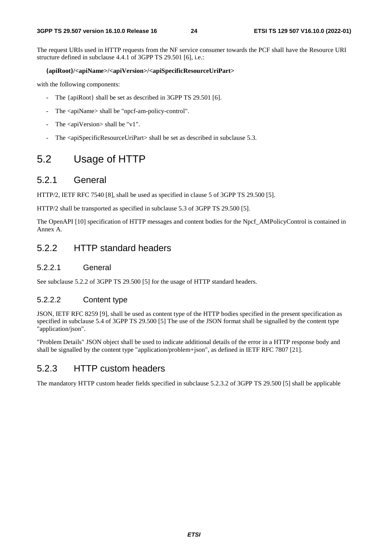The request URIs used in HTTP requests from the NF service consumer towards the PCF shall have the Resource URI structure defined in subclause 4.4.1 of 3GPP TS 29.501 [6], i.e.:

#### **{apiRoot}/<apiName>/<apiVersion>/<apiSpecificResourceUriPart>**

with the following components:

- The {apiRoot} shall be set as described in 3GPP TS 29.501 [6].
- The <apiName> shall be "npcf-am-policy-control".
- The  $\langle$ apiVersion $>$ shall be "v1".
- The <apiSpecificResourceUriPart> shall be set as described in subclause 5.3.

## 5.2 Usage of HTTP

### 5.2.1 General

HTTP/2, IETF RFC 7540 [8], shall be used as specified in clause 5 of 3GPP TS 29.500 [5].

HTTP/2 shall be transported as specified in subclause 5.3 of 3GPP TS 29.500 [5].

The OpenAPI [10] specification of HTTP messages and content bodies for the Npcf\_AMPolicyControl is contained in Annex A.

## 5.2.2 HTTP standard headers

#### 5.2.2.1 General

See subclause 5.2.2 of 3GPP TS 29.500 [5] for the usage of HTTP standard headers.

### 5.2.2.2 Content type

JSON, IETF RFC 8259 [9], shall be used as content type of the HTTP bodies specified in the present specification as specified in subclause 5.4 of 3GPP TS 29.500 [5] The use of the JSON format shall be signalled by the content type "application/json".

"Problem Details" JSON object shall be used to indicate additional details of the error in a HTTP response body and shall be signalled by the content type "application/problem+json", as defined in IETF RFC 7807 [21].

### 5.2.3 HTTP custom headers

The mandatory HTTP custom header fields specified in subclause 5.2.3.2 of 3GPP TS 29.500 [5] shall be applicable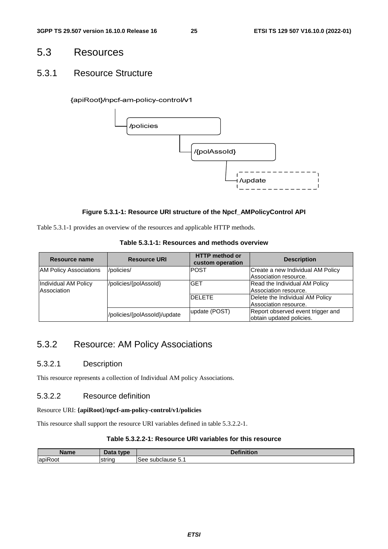## 5.3 Resources

### 5.3.1 Resource Structure

#### {apiRoot}/npcf-am-policy-control/v1



#### **Figure 5.3.1-1: Resource URI structure of the Npcf\_AMPolicyControl API**

Table 5.3.1-1 provides an overview of the resources and applicable HTTP methods.

| Table 5.3.1-1: Resources and methods overview |  |
|-----------------------------------------------|--|
|-----------------------------------------------|--|

| Resource name                 | <b>Resource URI</b>          | <b>HTTP</b> method or<br>custom operation | <b>Description</b>                |
|-------------------------------|------------------------------|-------------------------------------------|-----------------------------------|
| <b>AM Policy Associations</b> | /policies/                   | <b>POST</b>                               | Create a new Individual AM Policy |
|                               |                              |                                           | Association resource.             |
| Individual AM Policy          | /policies/{polAssold}        | <b>GET</b>                                | Read the Individual AM Policy     |
| Association                   |                              |                                           | Association resource.             |
|                               |                              | <b>DELETE</b>                             | Delete the Individual AM Policy   |
|                               |                              |                                           | Association resource.             |
|                               | /policies/{polAssold}/update | update (POST)                             | Report observed event trigger and |
|                               |                              |                                           | obtain updated policies.          |

## 5.3.2 Resource: AM Policy Associations

### 5.3.2.1 Description

This resource represents a collection of Individual AM policy Associations.

### 5.3.2.2 Resource definition

#### Resource URI: **{apiRoot}/npcf-am-policy-control/v1/policies**

This resource shall support the resource URI variables defined in table 5.3.2.2-1.

### **Table 5.3.2.2-1: Resource URI variables for this resource**

| יהם<br>Name                 |        | .<br>$\mathbf{r}$<br>- -<br>чνњ         |
|-----------------------------|--------|-----------------------------------------|
| $\cdot$ $-$<br>lapil<br>.OO | strinc | subc'<br>5ee<br>$\cdots$<br>.Jiduse p.⊥ |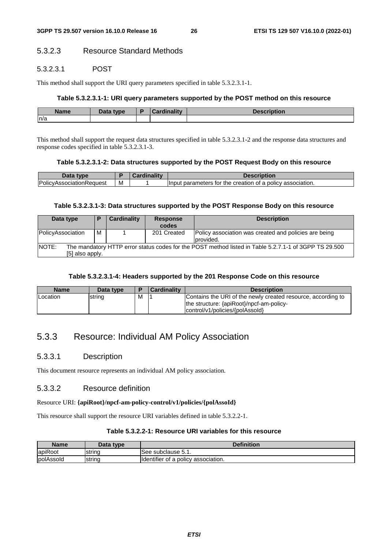### 5.3.2.3 Resource Standard Methods

#### 5.3.2.3.1 POST

This method shall support the URI query parameters specified in table 5.3.2.3.1-1.

#### **Table 5.3.2.3.1-1: URI query parameters supported by the POST method on this resource**

| <b>Name</b> | <b>Data type</b> | <b>Singlity</b><br>`ord | <i>sintine</i> |
|-------------|------------------|-------------------------|----------------|
| ln/a        |                  |                         |                |

This method shall support the request data structures specified in table 5.3.2.3.1-2 and the response data structures and response codes specified in table 5.3.2.3.1-3.

#### **Table 5.3.2.3.1-2: Data structures supported by the POST Request Body on this resource**

| Data type                |   | <b>Cardinality</b> | Description                                                 |
|--------------------------|---|--------------------|-------------------------------------------------------------|
| PolicyAssociationRequest | M |                    | llnput parameters for the creation of a policy association. |

#### **Table 5.3.2.3.1-3: Data structures supported by the POST Response Body on this resource**

| Data type                                                                                                              | P | Cardinality | <b>Response</b><br>codes | <b>Description</b>                                                 |  |
|------------------------------------------------------------------------------------------------------------------------|---|-------------|--------------------------|--------------------------------------------------------------------|--|
| PolicyAssociation                                                                                                      | м |             | 201 Created              | Policy association was created and policies are being<br>provided. |  |
| <b>INOTE:</b><br>The mandatory HTTP error status codes for the POST method listed in Table 5.2.7.1-1 of 3GPP TS 29.500 |   |             |                          |                                                                    |  |
| [5] also apply.                                                                                                        |   |             |                          |                                                                    |  |

#### **Table 5.3.2.3.1-4: Headers supported by the 201 Response Code on this resource**

| <b>Name</b> | Data type |   | <b>Cardinality</b> | <b>Description</b>                                                                                                                          |
|-------------|-----------|---|--------------------|---------------------------------------------------------------------------------------------------------------------------------------------|
| Location    | string    | M |                    | Contains the URI of the newly created resource, according to<br>the structure: {apiRoot}/npcf-am-policy-<br>control/v1/policies/{polAssold} |

## 5.3.3 Resource: Individual AM Policy Association

#### 5.3.3.1 Description

This document resource represents an individual AM policy association.

#### 5.3.3.2 Resource definition

#### Resource URI: **{apiRoot}/npcf-am-policy-control/v1/policies/{polAssoId}**

This resource shall support the resource URI variables defined in table 5.3.2.2-1.

#### **Table 5.3.2.2-1: Resource URI variables for this resource**

| Name              | Data type | <b>Definition</b>                   |
|-------------------|-----------|-------------------------------------|
| apiRoot           | Istrina   | ISee subclause 5.1.                 |
| <b>IpolAssold</b> | string    | Identifier of a policy association. |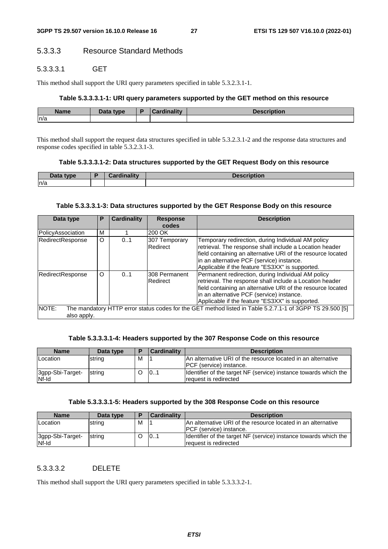### 5.3.3.3 Resource Standard Methods

### 5.3.3.3.1 GET

This method shall support the URI query parameters specified in table 5.3.2.3.1-1.

#### **Table 5.3.3.3.1-1: URI query parameters supported by the GET method on this resource**

| <b>Name</b> | Data type | <b><i><u>aralinality</u></i></b><br>пашм | <b>Description</b> |
|-------------|-----------|------------------------------------------|--------------------|
| n/a         |           |                                          |                    |

This method shall support the request data structures specified in table 5.3.2.3.1-2 and the response data structures and response codes specified in table 5.3.2.3.1-3.

#### **Table 5.3.3.3.1-2: Data structures supported by the GET Request Body on this resource**

| Data type | Cordinality<br>™unidill⊾.<br>$\overline{\phantom{a}}$ | De<br><b>SCribtion</b> |
|-----------|-------------------------------------------------------|------------------------|
| n/a       |                                                       |                        |

#### **Table 5.3.3.3.1-3: Data structures supported by the GET Response Body on this resource**

| Data type            | Р        | <b>Cardinality</b> | <b>Response</b><br>codes   | <b>Description</b>                                                                                                                                                                                                                                                           |
|----------------------|----------|--------------------|----------------------------|------------------------------------------------------------------------------------------------------------------------------------------------------------------------------------------------------------------------------------------------------------------------------|
| PolicyAssociation    | М        |                    | 200 OK                     |                                                                                                                                                                                                                                                                              |
| RedirectResponse     | $\Omega$ | 0.1                | 307 Temporary<br>Redirect  | Temporary redirection, during Individual AM policy<br>retrieval. The response shall include a Location header<br>field containing an alternative URI of the resource located<br>in an alternative PCF (service) instance.<br>Applicable if the feature "ES3XX" is supported. |
| RedirectResponse     | O        | 0.1                | I308 Permanent<br>Redirect | Permanent redirection, during Individual AM policy<br>retrieval. The response shall include a Location header<br>field containing an alternative URI of the resource located<br>in an alternative PCF (service) instance.<br>Applicable if the feature "ES3XX" is supported. |
| NOTE:<br>also apply. |          |                    |                            | The mandatory HTTP error status codes for the GET method listed in Table 5.2.7.1-1 of 3GPP TS 29.500 [5]                                                                                                                                                                     |

#### **Table 5.3.3.3.1-4: Headers supported by the 307 Response Code on this resource**

| <b>Name</b>               | Data type      | E | Cardinality | <b>Description</b>                                                                               |  |
|---------------------------|----------------|---|-------------|--------------------------------------------------------------------------------------------------|--|
| Location                  | string         | м |             | IAn alternative URI of the resource located in an alternative<br><b>IPCF</b> (service) instance. |  |
| 3gpp-Sbi-Target-<br>Nf-Id | <b>Istrina</b> |   | 101         | Identifier of the target NF (service) instance towards which the<br>request is redirected        |  |

#### **Table 5.3.3.3.1-5: Headers supported by the 308 Response Code on this resource**

| <b>Name</b>               | Data type | Е | <b>Cardinality</b> | <b>Description</b>                                                                         |  |
|---------------------------|-----------|---|--------------------|--------------------------------------------------------------------------------------------|--|
| Location                  | string    | м |                    | IAn alternative URI of the resource located in an alternative                              |  |
|                           |           |   |                    | <b>IPCF</b> (service) instance.                                                            |  |
| 3gpp-Sbi-Target-<br>Nf-Id | string    |   | 101                | Identifier of the target NF (service) instance towards which the<br>Irequest is redirected |  |

### 5.3.3.3.2 DELETE

This method shall support the URI query parameters specified in table 5.3.3.3.2-1.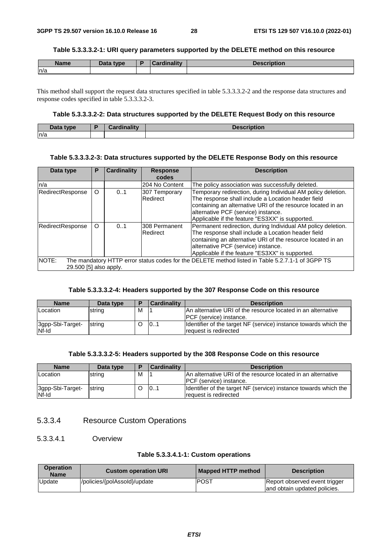#### **Table 5.3.3.3.2-1: URI query parameters supported by the DELETE method on this resource**

| <b>Name</b> | Data type | Cardinalitv | <b>Description</b> |
|-------------|-----------|-------------|--------------------|
| n/a         |           |             |                    |

This method shall support the request data structures specified in table 5.3.3.3.2-2 and the response data structures and response codes specified in table 5.3.3.3.2-3.

#### **Table 5.3.3.3.2-2: Data structures supported by the DELETE Request Body on this resource**

| Data type<br>Data | <b>The Address</b><br>. | <b>Description</b> |
|-------------------|-------------------------|--------------------|
| n/a               |                         |                    |

#### **Table 5.3.3.3.2-3: Data structures supported by the DELETE Response Body on this resource**

| Data type                       | P | <b>Cardinality</b> | <b>Response</b><br>codes  | <b>Description</b>                                                                                                                                                                                                                                                          |
|---------------------------------|---|--------------------|---------------------------|-----------------------------------------------------------------------------------------------------------------------------------------------------------------------------------------------------------------------------------------------------------------------------|
| ln/a                            |   |                    | 204 No Content            | The policy association was successfully deleted.                                                                                                                                                                                                                            |
| RedirectResponse                | O | 01                 | 307 Temporary<br>Redirect | Temporary redirection, during Individual AM policy deletion.<br>The response shall include a Location header field<br>containing an alternative URI of the resource located in an<br>alternative PCF (service) instance.<br>Applicable if the feature "ES3XX" is supported. |
| RedirectResponse                | O | 0.1                | 308 Permanent<br>Redirect | Permanent redirection, during Individual AM policy deletion.<br>The response shall include a Location header field<br>containing an alternative URI of the resource located in an<br>alternative PCF (service) instance.<br>Applicable if the feature "ES3XX" is supported. |
| NOTE:<br>29.500 [5] also apply. |   |                    |                           | The mandatory HTTP error status codes for the DELETE method listed in Table 5.2.7.1-1 of 3GPP TS                                                                                                                                                                            |

#### **Table 5.3.3.3.2-4: Headers supported by the 307 Response Code on this resource**

| <b>Name</b>               | Data type | і в | <b>Cardinality</b> | <b>Description</b>                                                                               |  |
|---------------------------|-----------|-----|--------------------|--------------------------------------------------------------------------------------------------|--|
| <b>Location</b>           | string    | M   |                    | IAn alternative URI of the resource located in an alternative<br><b>IPCF</b> (service) instance. |  |
| 3gpp-Sbi-Target-<br>Nf-Id | string    |     | 101                | Identifier of the target NF (service) instance towards which the<br>Irequest is redirected       |  |

#### **Table 5.3.3.3.2-5: Headers supported by the 308 Response Code on this resource**

| <b>Name</b>               | Data type | E | Cardinality | <b>Description</b>                                                                              |  |
|---------------------------|-----------|---|-------------|-------------------------------------------------------------------------------------------------|--|
| Location                  | string    | M |             | An alternative URI of the resource located in an alternative<br><b>IPCF</b> (service) instance. |  |
| 3gpp-Sbi-Target-<br>Nf-Id | string    |   | 101         | Identifier of the target NF (service) instance towards which the<br>Irequest is redirected      |  |

### 5.3.3.4 Resource Custom Operations

### 5.3.3.4.1 Overview

#### **Table 5.3.3.4.1-1: Custom operations**

| <b>Operation</b><br><b>Name</b> | <b>Custom operation URI</b>  | Mapped HTTP method | <b>Description</b>                                            |
|---------------------------------|------------------------------|--------------------|---------------------------------------------------------------|
| Update                          | /policies/{polAssold}/update | <b>IPOST</b>       | Report observed event trigger<br>and obtain updated policies. |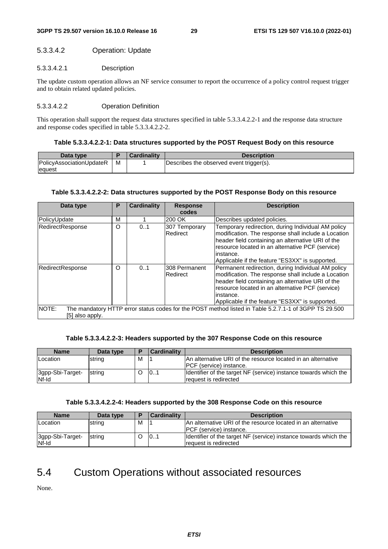#### 5.3.3.4.2 Operation: Update

#### 5.3.3.4.2.1 Description

The update custom operation allows an NF service consumer to report the occurrence of a policy control request trigger and to obtain related updated policies.

#### 5.3.3.4.2.2 Operation Definition

This operation shall support the request data structures specified in table 5.3.3.4.2.2-1 and the response data structure and response codes specified in table 5.3.3.4.2.2-2.

#### **Table 5.3.3.4.2.2-1: Data structures supported by the POST Request Body on this resource**

| Data type                       |   | <b>Cardinality</b> | <b>Description</b>                       |
|---------------------------------|---|--------------------|------------------------------------------|
| <b>PolicyAssociationUpdateR</b> | м |                    | Describes the observed event trigger(s). |
| lequest                         |   |                    |                                          |

#### **Table 5.3.3.4.2.2-2: Data structures supported by the POST Response Body on this resource**

| Data type                                                                                                                         | Р | <b>Cardinality</b> | <b>Response</b><br>codes  | <b>Description</b>                                                                                                                                                                                                                                                                 |  |  |  |
|-----------------------------------------------------------------------------------------------------------------------------------|---|--------------------|---------------------------|------------------------------------------------------------------------------------------------------------------------------------------------------------------------------------------------------------------------------------------------------------------------------------|--|--|--|
|                                                                                                                                   |   |                    |                           |                                                                                                                                                                                                                                                                                    |  |  |  |
| PolicyUpdate                                                                                                                      | М |                    | 200 OK                    | Describes updated policies.                                                                                                                                                                                                                                                        |  |  |  |
| RedirectResponse                                                                                                                  | O | 01                 | 307 Temporary<br>Redirect | Temporary redirection, during Individual AM policy<br>modification. The response shall include a Location<br>header field containing an alternative URI of the<br>resource located in an alternative PCF (service)<br>instance.<br>Applicable if the feature "ES3XX" is supported. |  |  |  |
| RedirectResponse                                                                                                                  | Ω | 0.1                | 308 Permanent<br>Redirect | Permanent redirection, during Individual AM policy<br>modification. The response shall include a Location<br>header field containing an alternative URI of the<br>resource located in an alternative PCF (service)<br>instance.<br>Applicable if the feature "ES3XX" is supported. |  |  |  |
| NOTE:<br>The mandatory HTTP error status codes for the POST method listed in Table 5.2.7.1-1 of 3GPP TS 29.500<br>[5] also apply. |   |                    |                           |                                                                                                                                                                                                                                                                                    |  |  |  |

#### **Table 5.3.3.4.2.2-3: Headers supported by the 307 Response Code on this resource**

| <b>Name</b>      | Data type |   | <b>Cardinality</b> | <b>Description</b>                                               |
|------------------|-----------|---|--------------------|------------------------------------------------------------------|
| Location         | string    | м |                    | IAn alternative URI of the resource located in an alternative    |
|                  |           |   |                    | <b>IPCF</b> (service) instance.                                  |
| 3gpp-Sbi-Target- | string    |   | 101                | Identifier of the target NF (service) instance towards which the |
| Nf-Id            |           |   |                    | request is redirected                                            |

#### **Table 5.3.3.4.2.2-4: Headers supported by the 308 Response Code on this resource**

| <b>Name</b>                      | Data type | ▪ | <b>Cardinality</b> | <b>Description</b>                                                                              |
|----------------------------------|-----------|---|--------------------|-------------------------------------------------------------------------------------------------|
| <b>Location</b>                  | string    | м |                    | An alternative URI of the resource located in an alternative<br><b>IPCF</b> (service) instance. |
| 3gpp-Sbi-Target-<br><b>Nf-Id</b> | string    |   | 101                | Identifier of the target NF (service) instance towards which the<br>request is redirected       |

## 5.4 Custom Operations without associated resources

None.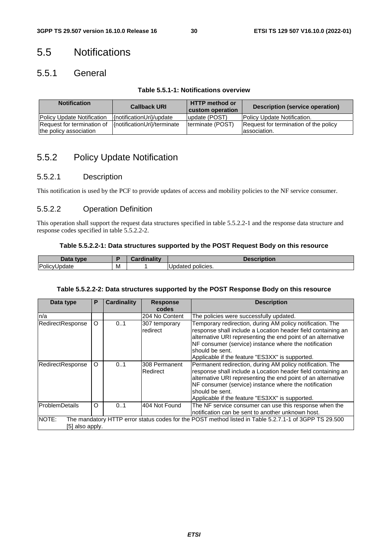## 5.5 Notifications

## 5.5.1 General

| <b>Notification</b>                                  | <b>Callback URI</b>         | <b>HTTP method or</b><br>custom operation | Description (service operation)                        |
|------------------------------------------------------|-----------------------------|-------------------------------------------|--------------------------------------------------------|
| <b>Policy Update Notification</b>                    | {notificationUri}/update    | update (POST)                             | Policy Update Notification.                            |
| Request for termination of<br>the policy association | {notificationUri}/terminate | Iterminate (POST)                         | Request for termination of the policy<br>lassociation. |

## 5.5.2 Policy Update Notification

### 5.5.2.1 Description

This notification is used by the PCF to provide updates of access and mobility policies to the NF service consumer.

### 5.5.2.2 Operation Definition

This operation shall support the request data structures specified in table 5.5.2.2-1 and the response data structure and response codes specified in table 5.5.2.2-2.

### **Table 5.5.2.2-1: Data structures supported by the POST Request Body on this resource**

| anto a<br><b>TVDA</b><br>Dala |   | . .<br>$-1.1.1.7$ | iption                 |
|-------------------------------|---|-------------------|------------------------|
| Policy<br>odate               | M |                   | <br>policies.<br>aated |

### **Table 5.5.2.2-2: Data structures supported by the POST Response Body on this resource**

| Data type        | P                                                                                                                        | <b>Cardinality</b> | <b>Response</b><br>codes  | <b>Description</b>                                                                                                                                                                                                                                                                                                       |  |  |  |  |  |
|------------------|--------------------------------------------------------------------------------------------------------------------------|--------------------|---------------------------|--------------------------------------------------------------------------------------------------------------------------------------------------------------------------------------------------------------------------------------------------------------------------------------------------------------------------|--|--|--|--|--|
| n/a              |                                                                                                                          |                    | 204 No Content            | The policies were successfully updated.                                                                                                                                                                                                                                                                                  |  |  |  |  |  |
| RedirectResponse | O                                                                                                                        | 01                 | 307 temporary<br>redirect | Temporary redirection, during AM policy notification. The<br>response shall include a Location header field containing an<br>alternative URI representing the end point of an alternative<br>NF consumer (service) instance where the notification<br>should be sent.<br>Applicable if the feature "ES3XX" is supported. |  |  |  |  |  |
| RedirectResponse | $\Omega$                                                                                                                 | 0.1                | 308 Permanent<br>Redirect | Permanent redirection, during AM policy notification. The<br>response shall include a Location header field containing an<br>alternative URI representing the end point of an alternative<br>NF consumer (service) instance where the notification<br>should be sent.<br>Applicable if the feature "ES3XX" is supported. |  |  |  |  |  |
| ProblemDetails   | $\Omega$                                                                                                                 | 0.1                | 404 Not Found             | The NF service consumer can use this response when the<br>notification can be sent to another unknown host.                                                                                                                                                                                                              |  |  |  |  |  |
| NOTE:            | The mandatory HTTP error status codes for the POST method listed in Table 5.2.7.1-1 of 3GPP TS 29.500<br>[5] also apply. |                    |                           |                                                                                                                                                                                                                                                                                                                          |  |  |  |  |  |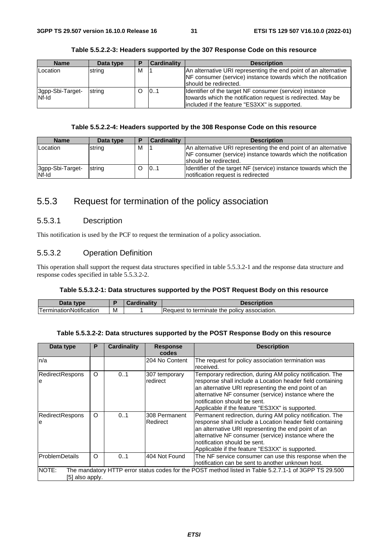| <b>Name</b>               | Data type | Ð | <b>Cardinality</b> | <b>Description</b>                                                                                                                                                       |
|---------------------------|-----------|---|--------------------|--------------------------------------------------------------------------------------------------------------------------------------------------------------------------|
| Location                  | string    | м |                    | An alternative URI representing the end point of an alternative<br>NF consumer (service) instance towards which the notification<br>should be redirected.                |
| 3gpp-Sbi-Target-<br>Nf-Id | string    |   | 101                | Identifier of the target NF consumer (service) instance<br>towards which the notification request is redirected. May be<br>included if the feature "ES3XX" is supported. |

#### **Table 5.5.2.2-3: Headers supported by the 307 Response Code on this resource**

#### **Table 5.5.2.2-4: Headers supported by the 308 Response Code on this resource**

| <b>Name</b>               | Data type | ▪ | <b>Cardinality</b> | <b>Description</b>                                                                                                               |
|---------------------------|-----------|---|--------------------|----------------------------------------------------------------------------------------------------------------------------------|
| Location                  | string    | м |                    | An alternative URI representing the end point of an alternative<br>NF consumer (service) instance towards which the notification |
|                           |           |   |                    | Ishould be redirected.                                                                                                           |
| 3gpp-Sbi-Target-<br>Nf-Id | string    |   | 101                | Identifier of the target NF (service) instance towards which the<br>notification request is redirected                           |

## 5.5.3 Request for termination of the policy association

### 5.5.3.1 Description

This notification is used by the PCF to request the termination of a policy association.

#### 5.5.3.2 Operation Definition

This operation shall support the request data structures specified in table 5.5.3.2-1 and the response data structure and response codes specified in table 5.5.3.2-2.

#### **Table 5.5.3.2-1: Data structures supported by the POST Request Body on this resource**

| Data<br><b>t</b> vne          | ۰. | <b>Cardinalitv</b> | <b>Description</b>                                                    |
|-------------------------------|----|--------------------|-----------------------------------------------------------------------|
| .<br>l erminationNotification | M  |                    | ⊧terminate<br>- policy association.<br>⊣Request <sup>+</sup> ≏<br>the |

#### **Table 5.5.3.2-2: Data structures supported by the POST Response Body on this resource**

| Data type                                                                                                                         | P        | <b>Cardinality</b> | <b>Response</b><br>codes  | <b>Description</b>                                                                                                                                                                                                                                                                                                       |  |  |  |
|-----------------------------------------------------------------------------------------------------------------------------------|----------|--------------------|---------------------------|--------------------------------------------------------------------------------------------------------------------------------------------------------------------------------------------------------------------------------------------------------------------------------------------------------------------------|--|--|--|
| n/a                                                                                                                               |          |                    | 204 No Content            | The request for policy association termination was<br>received.                                                                                                                                                                                                                                                          |  |  |  |
| <b>RedirectRespons</b><br>e                                                                                                       | $\circ$  | 01                 | 307 temporary<br>redirect | Temporary redirection, during AM policy notification. The<br>response shall include a Location header field containing<br>an alternative URI representing the end point of an<br>alternative NF consumer (service) instance where the<br>notification should be sent.<br>Applicable if the feature "ES3XX" is supported. |  |  |  |
| <b>RedirectRespons</b><br>e                                                                                                       | $\circ$  | 0.1                | 308 Permanent<br>Redirect | Permanent redirection, during AM policy notification. The<br>response shall include a Location header field containing<br>an alternative URI representing the end point of an<br>alternative NF consumer (service) instance where the<br>notification should be sent.<br>Applicable if the feature "ES3XX" is supported. |  |  |  |
| <b>ProblemDetails</b>                                                                                                             | $\Omega$ | 0.1                | 404 Not Found             | The NF service consumer can use this response when the<br>notification can be sent to another unknown host.                                                                                                                                                                                                              |  |  |  |
| NOTE:<br>The mandatory HTTP error status codes for the POST method listed in Table 5.2.7.1-1 of 3GPP TS 29.500<br>[5] also apply. |          |                    |                           |                                                                                                                                                                                                                                                                                                                          |  |  |  |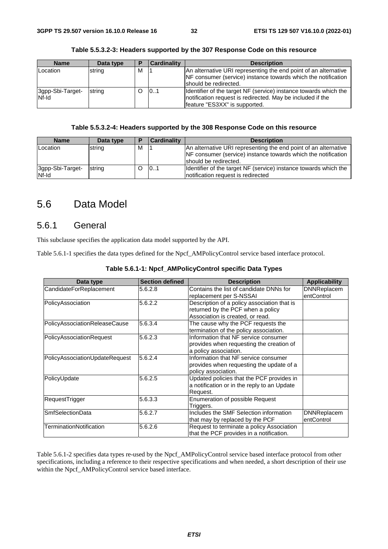| <b>Name</b>               | Data type | Р | Cardinality | <b>Description</b>                                                                                                                                               |
|---------------------------|-----------|---|-------------|------------------------------------------------------------------------------------------------------------------------------------------------------------------|
| Location                  | string    | м |             | An alternative URI representing the end point of an alternative<br>NF consumer (service) instance towards which the notification<br>should be redirected.        |
| 3gpp-Sbi-Target-<br>Nf-Id | string    |   | 101         | Identifier of the target NF (service) instance towards which the<br>Inotification request is redirected. May be included if the<br>feature "ES3XX" is supported. |

#### **Table 5.5.3.2-3: Headers supported by the 307 Response Code on this resource**

#### **Table 5.5.3.2-4: Headers supported by the 308 Response Code on this resource**

| <b>Name</b>               | Data type | D | <b>Cardinality</b> | <b>Description</b>                                                                                                                                        |
|---------------------------|-----------|---|--------------------|-----------------------------------------------------------------------------------------------------------------------------------------------------------|
| Location                  | string    | м |                    | An alternative URI representing the end point of an alternative<br>NF consumer (service) instance towards which the notification<br>should be redirected. |
| 3gpp-Sbi-Target-<br>Nf-Id | string    |   | 0.1                | Identifier of the target NF (service) instance towards which the<br>Inotification request is redirected                                                   |

## 5.6 Data Model

### 5.6.1 General

This subclause specifies the application data model supported by the API.

Table 5.6.1-1 specifies the data types defined for the Npcf\_AMPolicyControl service based interface protocol.

| Data type                      | <b>Section defined</b> | <b>Description</b>                                                                                                   | <b>Applicability</b>             |
|--------------------------------|------------------------|----------------------------------------------------------------------------------------------------------------------|----------------------------------|
| CandidateForReplacement        | 5.6.2.8                | Contains the list of candidate DNNs for<br>replacement per S-NSSAI                                                   | <b>DNNReplacem</b><br>entControl |
| PolicyAssociation              | 5.6.2.2                | Description of a policy association that is<br>returned by the PCF when a policy<br>Association is created, or read. |                                  |
| PolicyAssociationReleaseCause  | 5.6.3.4                | The cause why the PCF requests the<br>termination of the policy association.                                         |                                  |
| PolicyAssociationRequest       | 5.6.2.3                | Information that NF service consumer<br>provides when requesting the creation of<br>a policy association.            |                                  |
| PolicyAssociationUpdateRequest | 5.6.2.4                | Information that NF service consumer<br>provides when requesting the update of a<br>policy association.              |                                  |
| PolicyUpdate                   | 5.6.2.5                | Updated policies that the PCF provides in<br>a notification or in the reply to an Update<br>Request.                 |                                  |
| RequestTrigger                 | 5.6.3.3                | Enumeration of possible Request<br>Triggers.                                                                         |                                  |
| <b>SmfSelectionData</b>        | 5.6.2.7                | Includes the SMF Selection information<br>that may by replaced by the PCF                                            | <b>DNNReplacem</b><br>entControl |
| TerminationNotification        | 5.6.2.6                | Request to terminate a policy Association<br>that the PCF provides in a notification.                                |                                  |

#### **Table 5.6.1-1: Npcf\_AMPolicyControl specific Data Types**

Table 5.6.1-2 specifies data types re-used by the Npcf\_AMPolicyControl service based interface protocol from other specifications, including a reference to their respective specifications and when needed, a short description of their use within the Npcf\_AMPolicyControl service based interface.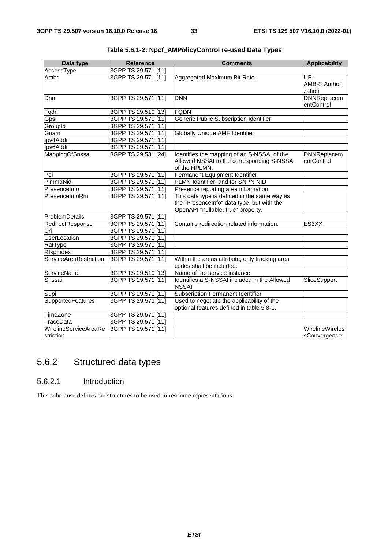| Data type                          | <b>Reference</b>    | <b>Comments</b>                                                                                                                  | <b>Applicability</b>             |
|------------------------------------|---------------------|----------------------------------------------------------------------------------------------------------------------------------|----------------------------------|
| AccessType                         | 3GPP TS 29.571 [11] |                                                                                                                                  |                                  |
| Ambr                               | 3GPP TS 29.571 [11] | Aggregated Maximum Bit Rate.                                                                                                     | UE-<br>AMBR_Authori<br>zation    |
| Dnn                                | 3GPP TS 29.571 [11] | <b>DNN</b>                                                                                                                       | <b>DNNReplacem</b><br>entControl |
| Fqdn                               | 3GPP TS 29.510 [13] | <b>FQDN</b>                                                                                                                      |                                  |
| Gpsi                               | 3GPP TS 29.571 [11] | <b>Generic Public Subscription Identifier</b>                                                                                    |                                  |
| GroupId                            | 3GPP TS 29.571 [11] |                                                                                                                                  |                                  |
| Guami                              | 3GPP TS 29.571 [11] | Globally Unique AMF Identifier                                                                                                   |                                  |
| Ipv4Addr                           | 3GPP TS 29.571 [11] |                                                                                                                                  |                                  |
| Ipv6Addr                           | 3GPP TS 29.571 [11] |                                                                                                                                  |                                  |
| MappingOfSnssai                    | 3GPP TS 29.531 [24] | Identifies the mapping of an S-NSSAI of the<br>Allowed NSSAI to the corresponding S-NSSAI<br>of the HPLMN.                       | <b>DNNReplacem</b><br>entControl |
| Pei                                | 3GPP TS 29.571 [11] | Permanent Equipment Identifier                                                                                                   |                                  |
| PlmnldNid                          | 3GPP TS 29.571 [11] | PLMN Identifier, and for SNPN NID                                                                                                |                                  |
| PresenceInfo                       | 3GPP TS 29.571 [11] | Presence reporting area information                                                                                              |                                  |
| PresenceInfoRm                     | 3GPP TS 29.571 [11] | This data type is defined in the same way as<br>the "PresenceInfo" data type, but with the<br>OpenAPI "nullable: true" property. |                                  |
| ProblemDetails                     | 3GPP TS 29.571 [11] |                                                                                                                                  |                                  |
| RedirectResponse                   | 3GPP TS 29.571 [11] | Contains redirection related information.                                                                                        | ES3XX                            |
| Uri                                | 3GPP TS 29.571 [11] |                                                                                                                                  |                                  |
| <b>UserLocation</b>                | 3GPP TS 29.571 [11] |                                                                                                                                  |                                  |
| RatType                            | 3GPP TS 29.571 [11] |                                                                                                                                  |                                  |
| RfspIndex                          | 3GPP TS 29.571 [11] |                                                                                                                                  |                                  |
| ServiceAreaRestriction             | 3GPP TS 29.571 [11] | Within the areas attribute, only tracking area<br>codes shall be included.                                                       |                                  |
| ServiceName                        | 3GPP TS 29.510 [13] | Name of the service instance.                                                                                                    |                                  |
| Snssai                             | 3GPP TS 29.571 [11] | Identifies a S-NSSAI included in the Allowed<br><b>NSSAI.</b>                                                                    | SliceSupport                     |
| Supi                               | 3GPP TS 29.571 [11] | <b>Subscription Permanent Identifier</b>                                                                                         |                                  |
| SupportedFeatures                  | 3GPP TS 29.571 [11] | Used to negotiate the applicability of the<br>optional features defined in table 5.8-1.                                          |                                  |
| TimeZone                           | 3GPP TS 29.571 [11] |                                                                                                                                  |                                  |
| <b>TraceData</b>                   | 3GPP TS 29.571 [11] |                                                                                                                                  |                                  |
| WirelineServiceAreaRe<br>striction | 3GPP TS 29.571 [11] |                                                                                                                                  | WirelineWireles<br>sConvergence  |

|  | Table 5.6.1-2: Npcf_AMPolicyControl re-used Data Types |  |
|--|--------------------------------------------------------|--|
|--|--------------------------------------------------------|--|

## 5.6.2 Structured data types

### 5.6.2.1 Introduction

This subclause defines the structures to be used in resource representations.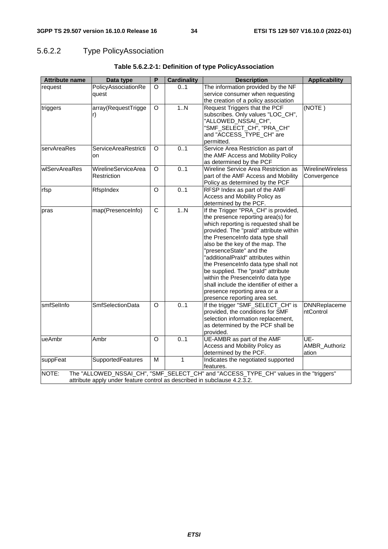## 5.6.2.2 Type PolicyAssociation

| <b>Attribute name</b> | Data type                                                                | $\overline{P}$ | <b>Cardinality</b> | <b>Description</b>                                                                    | <b>Applicability</b>    |
|-----------------------|--------------------------------------------------------------------------|----------------|--------------------|---------------------------------------------------------------------------------------|-------------------------|
| request               | PolicyAssociationRe                                                      | O              | 0.1                | The information provided by the NF                                                    |                         |
|                       | quest                                                                    |                |                    | service consumer when requesting                                                      |                         |
|                       |                                                                          |                |                    | the creation of a policy association                                                  |                         |
| triggers              | array(RequestTrigge                                                      | $\circ$        | 1N                 | Request Triggers that the PCF                                                         | (NOTE)                  |
|                       | r)                                                                       |                |                    | subscribes. Only values "LOC_CH",                                                     |                         |
|                       |                                                                          |                |                    | "ALLOWED_NSSAI_CH",                                                                   |                         |
|                       |                                                                          |                |                    | "SMF_SELECT_CH", "PRA_CH"                                                             |                         |
|                       |                                                                          |                |                    | and "ACCESS_TYPE_CH" are                                                              |                         |
|                       |                                                                          |                |                    | permitted.                                                                            |                         |
| servAreaRes           | ServiceAreaRestricti                                                     | O              | 0.1                | Service Area Restriction as part of                                                   |                         |
|                       | on                                                                       |                |                    | the AMF Access and Mobility Policy                                                    |                         |
|                       |                                                                          |                |                    | as determined by the PCF                                                              |                         |
| wlServAreaRes         | <b>WirelineServiceArea</b>                                               | $\circ$        | 0.1                | Wireline Service Area Restriction as                                                  | <b>WirelineWireless</b> |
|                       | Restriction                                                              |                |                    | part of the AMF Access and Mobility                                                   | Convergence             |
|                       |                                                                          |                |                    | Policy as determined by the PCF                                                       |                         |
| rfsp                  | RfspIndex                                                                | O              | 0.1                | RFSP Index as part of the AMF                                                         |                         |
|                       |                                                                          |                |                    | Access and Mobility Policy as                                                         |                         |
|                       |                                                                          |                |                    | determined by the PCF.                                                                |                         |
| pras                  | map(PresenceInfo)                                                        | $\overline{C}$ | 1. N               | If the Trigger "PRA_CH" is provided,                                                  |                         |
|                       |                                                                          |                |                    | the presence reporting area(s) for                                                    |                         |
|                       |                                                                          |                |                    | which reporting is requested shall be                                                 |                         |
|                       |                                                                          |                |                    | provided. The "prald" attribute within                                                |                         |
|                       |                                                                          |                |                    | the PresenceInfo data type shall                                                      |                         |
|                       |                                                                          |                |                    | also be the key of the map. The                                                       |                         |
|                       |                                                                          |                |                    | "presenceState" and the                                                               |                         |
|                       |                                                                          |                |                    | "additionalPraId" attributes within                                                   |                         |
|                       |                                                                          |                |                    | the PresenceInfo data type shall not                                                  |                         |
|                       |                                                                          |                |                    | be supplied. The "praId" attribute                                                    |                         |
|                       |                                                                          |                |                    | within the PresenceInfo data type                                                     |                         |
|                       |                                                                          |                |                    | shall include the identifier of either a                                              |                         |
|                       |                                                                          |                |                    | presence reporting area or a                                                          |                         |
|                       |                                                                          |                |                    | presence reporting area set.                                                          |                         |
| smfSelInfo            | <b>SmfSelectionData</b>                                                  | O              | 0.1                | If the trigger "SMF_SELECT_CH" is                                                     | <b>DNNReplaceme</b>     |
|                       |                                                                          |                |                    | provided, the conditions for SMF                                                      | ntControl               |
|                       |                                                                          |                |                    | selection information replacement,                                                    |                         |
|                       |                                                                          |                |                    | as determined by the PCF shall be                                                     |                         |
|                       |                                                                          |                |                    | provided.                                                                             |                         |
| ueAmbr                | Ambr                                                                     | O              | 0.1                | UE-AMBR as part of the AMF                                                            | UE-                     |
|                       |                                                                          |                |                    | Access and Mobility Policy as                                                         | AMBR_Authoriz           |
|                       |                                                                          |                |                    | determined by the PCF.                                                                | ation                   |
| suppFeat              | SupportedFeatures                                                        | M              | $\mathbf{1}$       | Indicates the negotiated supported                                                    |                         |
|                       |                                                                          |                |                    | features.                                                                             |                         |
| NOTE:                 |                                                                          |                |                    | The "ALLOWED_NSSAI_CH", "SMF_SELECT_CH" and "ACCESS_TYPE_CH" values in the "triggers" |                         |
|                       | attribute apply under feature control as described in subclause 4.2.3.2. |                |                    |                                                                                       |                         |

### **Table 5.6.2.2-1: Definition of type PolicyAssociation**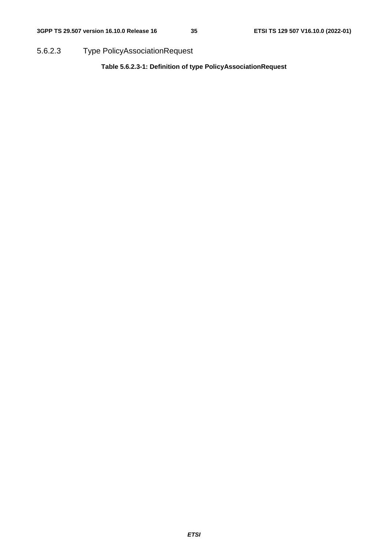5.6.2.3 Type PolicyAssociationRequest

**Table 5.6.2.3-1: Definition of type PolicyAssociationRequest**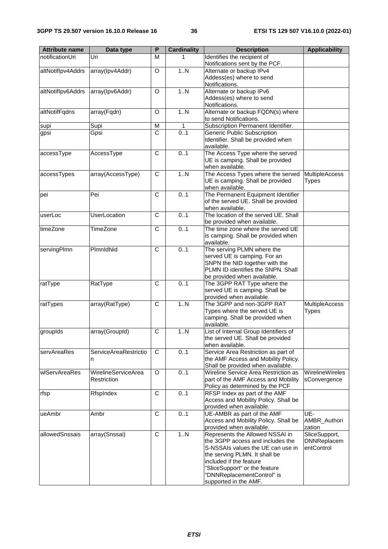| <b>Attribute name</b> | Data type                  | P                     | <b>Cardinality</b> | <b>Description</b>                                                   | <b>Applicability</b>   |
|-----------------------|----------------------------|-----------------------|--------------------|----------------------------------------------------------------------|------------------------|
| notificationUri       | Uri                        | M                     |                    | Identifies the recipient of                                          |                        |
|                       |                            |                       |                    | Notifications sent by the PCF.                                       |                        |
| altNotiflpv4Addrs     | array(Ipv4Addr)            | O                     | 1.N                | Alternate or backup IPv4                                             |                        |
|                       |                            |                       |                    | Addess(es) where to send                                             |                        |
|                       |                            |                       | Notifications.     |                                                                      |                        |
| altNotiflpv6Addrs     | array(Ipv6Addr)            | O                     | 1N                 | Alternate or backup IPv6                                             |                        |
|                       |                            |                       |                    | Addess(es) where to send<br>Notifications.                           |                        |
| altNotifFqdns         | array(Fqdn)                | O                     | 1N                 | Alternate or backup FQDN(s) where                                    |                        |
|                       |                            |                       |                    | to send Notifications.                                               |                        |
| supi                  | Supi                       | M                     | 1                  | Subscription Permanent Identifier.                                   |                        |
| gpsi                  | Gpsi                       | $\overline{\text{c}}$ | 0.1                | <b>Generic Public Subscription</b>                                   |                        |
|                       |                            |                       |                    | Identifier. Shall be provided when                                   |                        |
|                       |                            |                       |                    | available.                                                           |                        |
| accessType            | AccessType                 | C                     | 0.1                | The Access Type where the served                                     |                        |
|                       |                            |                       |                    | UE is camping. Shall be provided                                     |                        |
|                       |                            |                       |                    | when available.                                                      |                        |
| accessTypes           | array(AccessType)          | $\overline{\text{c}}$ | 1N                 | The Access Types where the served                                    | <b>MultipleAccess</b>  |
|                       |                            |                       |                    | UE is camping. Shall be provided<br>when available.                  | Types                  |
| pei                   | Pei                        | C                     | 0.1                | The Permanent Equipment Identifier                                   |                        |
|                       |                            |                       |                    | of the served UE. Shall be provided                                  |                        |
|                       |                            |                       |                    | when available.                                                      |                        |
| userLoc               | <b>UserLocation</b>        | C                     | 0.1                | The location of the served UE, Shall                                 |                        |
|                       |                            |                       |                    | be provided when available.                                          |                        |
| timeZone              | TimeZone                   | C                     | 0.1                | The time zone where the served UE                                    |                        |
|                       |                            |                       |                    | is camping. Shall be provided when                                   |                        |
|                       |                            |                       |                    | available.                                                           |                        |
| servingPlmn           | PlmnldNid                  | C                     | 0.1                | The serving PLMN where the                                           |                        |
|                       |                            |                       |                    | served UE is camping. For an                                         |                        |
|                       |                            |                       |                    | SNPN the NID together with the<br>PLMN ID identifies the SNPN. Shall |                        |
|                       |                            |                       |                    | be provided when available.                                          |                        |
| ratType               | RatType                    | C                     | 0.1                | The 3GPP RAT Type where the                                          |                        |
|                       |                            |                       |                    | served UE is camping. Shall be                                       |                        |
|                       |                            |                       |                    | provided when available.                                             |                        |
| ratTypes              | array(RatType)             | C                     | 1.N                | The 3GPP and non-3GPP RAT                                            | <b>MultipleAccess</b>  |
|                       |                            |                       |                    | Types where the served UE is                                         | <b>Types</b>           |
|                       |                            |                       |                    | camping. Shall be provided when                                      |                        |
|                       |                            |                       |                    | available.                                                           |                        |
| groupIds              | array(GroupId)             | C                     | 1N                 | List of Internal Group Identifiers of                                |                        |
|                       |                            |                       |                    | the served UE. Shall be provided<br>when available.                  |                        |
| servAreaRes           | ServiceAreaRestrictio      | C                     | 0.1                | Service Area Restriction as part of                                  |                        |
|                       | n                          |                       |                    | the AMF Access and Mobility Policy.                                  |                        |
|                       |                            |                       |                    | Shall be provided when available.                                    |                        |
| wlServAreaRes         | <b>WirelineServiceArea</b> | O                     | 0.1                | Wireline Service Area Restriction as                                 | <b>WirelineWireles</b> |
|                       | Restriction                |                       |                    | part of the AMF Access and Mobility                                  | sConvergence           |
|                       |                            |                       |                    | Policy as determined by the PCF                                      |                        |
| rfsp                  | RfspIndex                  | C                     | 0.1                | RFSP Index as part of the AMF                                        |                        |
|                       |                            |                       |                    | Access and Mobility Policy. Shall be                                 |                        |
|                       |                            |                       |                    | provided when available.                                             |                        |
| ueAmbr                | Ambr                       | C                     | 0.1                | UE-AMBR as part of the AMF                                           | UE-                    |
|                       |                            |                       |                    | Access and Mobility Policy. Shall be<br>provided when available.     | AMBR_Authori<br>zation |
| allowedSnssais        | array(Snssai)              | C                     | 1N                 | Represents the Allowed NSSAI in                                      | SliceSupport,          |
|                       |                            |                       |                    | the 3GPP access and includes the                                     | <b>DNNReplacem</b>     |
|                       |                            |                       |                    | S-NSSAIs values the UE can use in                                    | entControl             |
|                       |                            |                       |                    | the serving PLMN. It shall be                                        |                        |
|                       |                            |                       |                    | included if the feature                                              |                        |
|                       |                            |                       |                    | "SliceSupport" or the feature                                        |                        |
|                       |                            |                       |                    | "DNNReplacementControl" is                                           |                        |
|                       |                            |                       |                    | supported in the AMF.                                                |                        |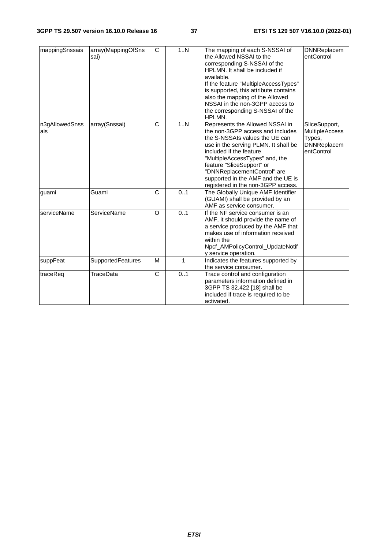| mappingSnssais        | array(MappingOfSns<br>sai) | C | 1N  | The mapping of each S-NSSAI of<br>the Allowed NSSAI to the<br>corresponding S-NSSAI of the<br>HPLMN. It shall be included if<br>available.<br>If the feature "MultipleAccessTypes"<br>is supported, this attribute contains<br>also the mapping of the Allowed<br>NSSAI in the non-3GPP access to<br>the corresponding S-NSSAI of the<br>HPLMN.    | <b>DNNReplacem</b><br>entControl                                                     |
|-----------------------|----------------------------|---|-----|----------------------------------------------------------------------------------------------------------------------------------------------------------------------------------------------------------------------------------------------------------------------------------------------------------------------------------------------------|--------------------------------------------------------------------------------------|
| n3gAllowedSnss<br>ais | array(Snssai)              | C | 1.N | Represents the Allowed NSSAI in<br>the non-3GPP access and includes<br>the S-NSSAIs values the UE can<br>use in the serving PLMN. It shall be<br>included if the feature<br>"MultipleAccessTypes" and, the<br>feature "SliceSupport" or<br>"DNNReplacementControl" are<br>supported in the AMF and the UE is<br>registered in the non-3GPP access. | SliceSupport,<br><b>MultipleAccess</b><br>Types,<br><b>DNNReplacem</b><br>entControl |
| guami                 | Guami                      | C | 0.1 | The Globally Unique AMF Identifier<br>(GUAMI) shall be provided by an<br>AMF as service consumer.                                                                                                                                                                                                                                                  |                                                                                      |
| serviceName           | <b>ServiceName</b>         | O | 0.1 | If the NF service consumer is an<br>AMF, it should provide the name of<br>a service produced by the AMF that<br>makes use of information received<br>within the<br>Npcf_AMPolicyControl_UpdateNotif<br>y service operation.                                                                                                                        |                                                                                      |
| suppFeat              | <b>SupportedFeatures</b>   | M | 1   | Indicates the features supported by<br>the service consumer.                                                                                                                                                                                                                                                                                       |                                                                                      |
| traceReq              | TraceData                  | C | 0.1 | Trace control and configuration<br>parameters information defined in<br>3GPP TS 32.422 [18] shall be<br>included if trace is required to be<br>activated.                                                                                                                                                                                          |                                                                                      |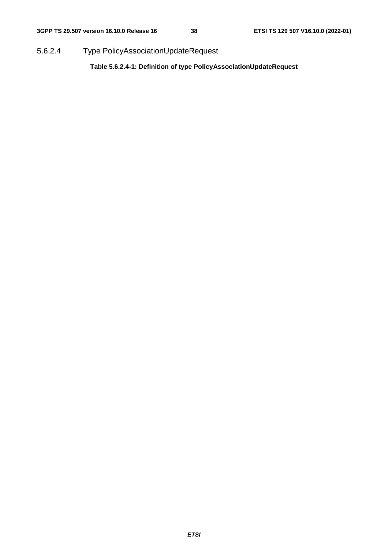5.6.2.4 Type PolicyAssociationUpdateRequest

**Table 5.6.2.4-1: Definition of type PolicyAssociationUpdateRequest**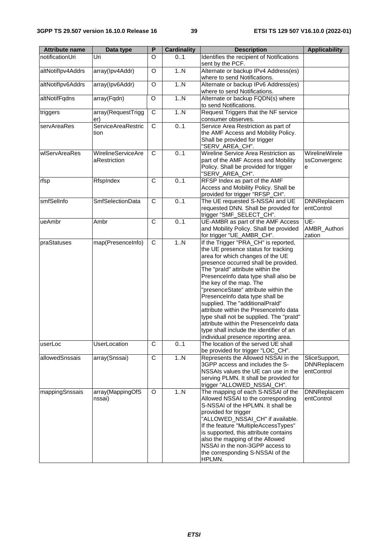| <b>Attribute name</b> | Data type                                 | P              | <b>Cardinality</b> | <b>Description</b>                                                                                                                                                                                                                                                                                                                                                                                                                                                                                                                                                                            | <b>Applicability</b>                              |
|-----------------------|-------------------------------------------|----------------|--------------------|-----------------------------------------------------------------------------------------------------------------------------------------------------------------------------------------------------------------------------------------------------------------------------------------------------------------------------------------------------------------------------------------------------------------------------------------------------------------------------------------------------------------------------------------------------------------------------------------------|---------------------------------------------------|
| notificationUri       | Uri                                       | O              | 01                 | Identifies the recipient of Notifications<br>sent by the PCF.                                                                                                                                                                                                                                                                                                                                                                                                                                                                                                                                 |                                                   |
| altNotiflpv4Addrs     | array(Ipv4Addr)                           | O              | 1.N                | Alternate or backup IPv4 Address(es)<br>where to send Notifications.                                                                                                                                                                                                                                                                                                                                                                                                                                                                                                                          |                                                   |
| altNotiflpv6Addrs     | array(Ipv6Addr)                           | O              | 1.N                | Alternate or backup IPv6 Address(es)<br>where to send Notifications.                                                                                                                                                                                                                                                                                                                                                                                                                                                                                                                          |                                                   |
| altNotifFqdns         | array(Fqdn)                               | O              | 1.N                | Alternate or backup FQDN(s) where<br>to send Notifications.                                                                                                                                                                                                                                                                                                                                                                                                                                                                                                                                   |                                                   |
| triggers              | array(RequestTrigg<br>er)                 | $\overline{C}$ | 1.N                | Request Triggers that the NF service<br>consumer observes.                                                                                                                                                                                                                                                                                                                                                                                                                                                                                                                                    |                                                   |
| servAreaRes           | <b>ServiceAreaRestric</b><br>tion         | $\overline{C}$ | 0.1                | Service Area Restriction as part of<br>the AMF Access and Mobility Policy.<br>Shall be provided for trigger<br>"SERV_AREA_CH".                                                                                                                                                                                                                                                                                                                                                                                                                                                                |                                                   |
| wlServAreaRes         | <b>WirelineServiceAre</b><br>aRestriction | $\overline{C}$ | 0.1                | Wireline Service Area Restriction as<br>part of the AMF Access and Mobility<br>Policy. Shall be provided for trigger<br>"SERV_AREA_CH".                                                                                                                                                                                                                                                                                                                                                                                                                                                       | WirelineWirele<br>ssConvergenc<br>e               |
| rfsp                  | RfspIndex                                 | $\overline{C}$ | 0.1                | RFSP Index as part of the AMF<br>Access and Mobility Policy. Shall be<br>provided for trigger "RFSP_CH".                                                                                                                                                                                                                                                                                                                                                                                                                                                                                      |                                                   |
| smfSelInfo            | <b>SmfSelectionData</b>                   | C              | 0.1                | The UE requested S-NSSAI and UE<br>requested DNN. Shall be provided for<br>trigger "SMF_SELECT_CH".                                                                                                                                                                                                                                                                                                                                                                                                                                                                                           | <b>DNNReplacem</b><br>entControl                  |
| ueAmbr                | Ambr                                      | $\overline{C}$ | 0.1                | UE-AMBR as part of the AMF Access<br>and Mobility Policy. Shall be provided<br>for trigger "UE_AMBR_CH".                                                                                                                                                                                                                                                                                                                                                                                                                                                                                      | UE-<br>AMBR_Authori<br>zation                     |
| praStatuses           | map(PresenceInfo)                         | $\overline{C}$ | 1.N                | If the Trigger "PRA_CH" is reported,<br>the UE presence status for tracking<br>area for which changes of the UE<br>presence occurred shall be provided.<br>The "prald" attribute within the<br>PresenceInfo data type shall also be<br>the key of the map. The<br>"presenceState" attribute within the<br>PresenceInfo data type shall be<br>supplied. The "additionalPraId"<br>attribute within the PresenceInfo data<br>type shall not be supplied. The "prald"<br>attribute within the PresenceInfo data<br>type shall include the identifier of an<br>individual presence reporting area. |                                                   |
| userLoc               | <b>UserLocation</b>                       | C              | 0.1                | The location of the served UE shall<br>be provided for trigger "LOC_CH".                                                                                                                                                                                                                                                                                                                                                                                                                                                                                                                      |                                                   |
| allowedSnssais        | array(Snssai)                             | $\mathbf C$    | 1N                 | Represents the Allowed NSSAI in the<br>3GPP access and includes the S-<br>NSSAIs values the UE can use in the<br>serving PLMN. It shall be provided for<br>trigger "ALLOWED_NSSAI_CH".                                                                                                                                                                                                                                                                                                                                                                                                        | SliceSupport,<br><b>DNNReplacem</b><br>entControl |
| mappingSnssais        | array(MappingOfS<br>nssai)                | $\circ$        | 1N                 | The mapping of each S-NSSAI of the<br>Allowed NSSAI to the corresponding<br>S-NSSAI of the HPLMN. It shall be<br>provided for trigger<br>"ALLOWED_NSSAI_CH" if available.<br>If the feature "MultipleAccessTypes"<br>is supported, this attribute contains<br>also the mapping of the Allowed<br>NSSAI in the non-3GPP access to<br>the corresponding S-NSSAI of the<br>HPLMN.                                                                                                                                                                                                                | <b>DNNReplacem</b><br>entControl                  |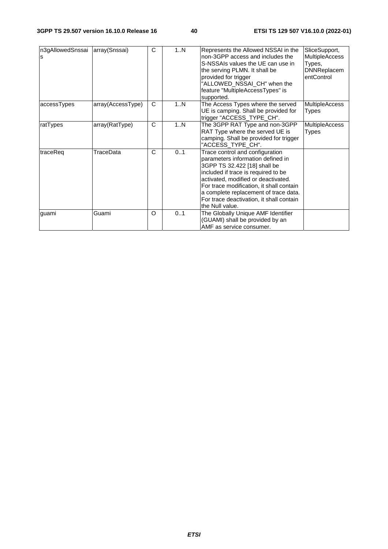| n3gAllowedSnssai<br>s | array(Snssai)     | C            | 1N  | Represents the Allowed NSSAI in the<br>non-3GPP access and includes the<br>S-NSSAIs values the UE can use in<br>the serving PLMN. It shall be<br>provided for trigger<br>"ALLOWED NSSAI CH" when the<br>feature "MultipleAccessTypes" is<br>supported.                                                                                 | SliceSupport,<br><b>MultipleAccess</b><br>Types,<br><b>DNNReplacem</b><br>entControl |
|-----------------------|-------------------|--------------|-----|----------------------------------------------------------------------------------------------------------------------------------------------------------------------------------------------------------------------------------------------------------------------------------------------------------------------------------------|--------------------------------------------------------------------------------------|
| accessTypes           | array(AccessType) | C            | 1N  | The Access Types where the served<br>UE is camping. Shall be provided for<br>trigger "ACCESS_TYPE_CH".                                                                                                                                                                                                                                 | <b>MultipleAccess</b><br>Types                                                       |
| ratTypes              | array(RatType)    | $\mathsf{C}$ | 1N  | The 3GPP RAT Type and non-3GPP<br>RAT Type where the served UE is<br>camping. Shall be provided for trigger<br>"ACCESS_TYPE_CH".                                                                                                                                                                                                       | <b>MultipleAccess</b><br><b>Types</b>                                                |
| traceReg              | TraceData         | C            | 01  | Trace control and configuration<br>parameters information defined in<br>3GPP TS 32.422 [18] shall be<br>included if trace is required to be<br>activated, modified or deactivated.<br>For trace modification, it shall contain<br>a complete replacement of trace data.<br>For trace deactivation, it shall contain<br>the Null value. |                                                                                      |
| guami                 | Guami             | O            | 0.1 | The Globally Unique AMF Identifier<br>(GUAMI) shall be provided by an<br>AMF as service consumer.                                                                                                                                                                                                                                      |                                                                                      |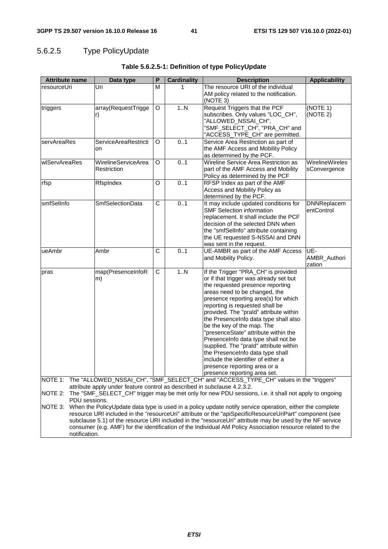## 5.6.2.5 Type PolicyUpdate

notification.

| <b>Attribute name</b> | Data type                                                                | P              | <b>Cardinality</b> | <b>Description</b>                                                                                                            | <b>Applicability</b>            |
|-----------------------|--------------------------------------------------------------------------|----------------|--------------------|-------------------------------------------------------------------------------------------------------------------------------|---------------------------------|
| resourceUri           | Uri                                                                      | М              | 1                  | The resource URI of the individual                                                                                            |                                 |
|                       |                                                                          |                |                    | AM policy related to the notification.<br>(NOTE 3)                                                                            |                                 |
| triggers              | array(RequestTrigge                                                      | O              | 1N                 | Request Triggers that the PCF                                                                                                 | (NOTE 1)                        |
|                       | r)                                                                       |                |                    | subscribes. Only values "LOC_CH",                                                                                             | (NOTE 2)                        |
|                       |                                                                          |                |                    | "ALLOWED_NSSAI_CH",<br>"SMF_SELECT_CH", "PRA_CH" and                                                                          |                                 |
|                       |                                                                          |                |                    | "ACCESS_TYPE_CH" are permitted.                                                                                               |                                 |
| servAreaRes           | <b>ServiceAreaRestricti</b>                                              | O              | 0.1                | Service Area Restriction as part of                                                                                           |                                 |
|                       | on                                                                       |                |                    | the AMF Access and Mobility Policy                                                                                            |                                 |
|                       |                                                                          |                |                    | as determined by the PCF.<br>Wireline Service Area Restriction as                                                             |                                 |
| wlServAreaRes         | WirelineServiceArea<br>Restriction                                       | O              | 0.1                | part of the AMF Access and Mobility                                                                                           | WirelineWireles<br>sConvergence |
|                       |                                                                          |                |                    | Policy as determined by the PCF                                                                                               |                                 |
| rfsp                  | RfspIndex                                                                | O              | 0.1                | RFSP Index as part of the AMF                                                                                                 |                                 |
|                       |                                                                          |                |                    | Access and Mobility Policy as                                                                                                 |                                 |
|                       |                                                                          |                |                    | determined by the PCF.                                                                                                        |                                 |
| smfSelInfo            | <b>SmfSelectionData</b>                                                  | C              | 0.1                | It may include updated conditions for                                                                                         | <b>DNNReplacem</b>              |
|                       |                                                                          |                |                    | <b>SMF Selection information</b>                                                                                              | entControl                      |
|                       |                                                                          |                |                    | replacement. It shall include the PCF                                                                                         |                                 |
|                       |                                                                          |                |                    | decision of the selected DNN when                                                                                             |                                 |
|                       |                                                                          |                |                    | the "smfSelInfo" attribute containing                                                                                         |                                 |
|                       |                                                                          |                |                    | the UE requested S-NSSAI and DNN<br>was sent in the request.                                                                  |                                 |
| ueAmbr                | Ambr                                                                     | $\overline{C}$ | 0.1                | UE-AMBR as part of the AMF Access                                                                                             | UE-                             |
|                       |                                                                          |                |                    | and Mobility Policy.                                                                                                          | AMBR_Authori                    |
|                       |                                                                          |                |                    |                                                                                                                               | zation                          |
| pras                  | map(PresenceInfoR                                                        | $\mathsf C$    | 1N                 | If the Trigger "PRA_CH" is provided                                                                                           |                                 |
|                       | m)                                                                       |                |                    | or if that trigger was already set but                                                                                        |                                 |
|                       |                                                                          |                |                    | the requested presence reporting                                                                                              |                                 |
|                       |                                                                          |                |                    | areas need to be changed, the                                                                                                 |                                 |
|                       |                                                                          |                |                    | presence reporting area(s) for which<br>reporting is requested shall be                                                       |                                 |
|                       |                                                                          |                |                    | provided. The "prald" attribute within                                                                                        |                                 |
|                       |                                                                          |                |                    | the PresenceInfo data type shall also                                                                                         |                                 |
|                       |                                                                          |                |                    | be the key of the map. The                                                                                                    |                                 |
|                       |                                                                          |                |                    | "presenceState" attribute within the                                                                                          |                                 |
|                       |                                                                          |                |                    | PresenceInfo data type shall not be                                                                                           |                                 |
|                       |                                                                          |                |                    | supplied. The "prald" attribute within                                                                                        |                                 |
|                       |                                                                          |                |                    | the PresenceInfo data type shall                                                                                              |                                 |
|                       |                                                                          |                |                    | include the identifier of either a                                                                                            |                                 |
|                       |                                                                          |                |                    | presence reporting area or a                                                                                                  |                                 |
|                       |                                                                          |                |                    | presence reporting area set.<br>NOTE 1: The "ALLOWED_NSSAI_CH", "SMF_SELECT_CH" and "ACCESS_TYPE_CH" values in the "triggers" |                                 |
|                       | attribute apply under feature control as described in subclause 4.2.3.2. |                |                    |                                                                                                                               |                                 |
| NOTE 2:               |                                                                          |                |                    | The "SMF_SELECT_CH" trigger may be met only for new PDU sessions, i.e. it shall not apply to ongoing                          |                                 |
| PDU sessions.         |                                                                          |                |                    |                                                                                                                               |                                 |
| NOTE 3:               |                                                                          |                |                    | When the PolicyUpdate data type is used in a policy update notify service operation, either the complete                      |                                 |
|                       |                                                                          |                |                    | resource URI included in the "resourceUri" attribute or the "apiSpecificResourceUriPart" component (see                       |                                 |
|                       |                                                                          |                |                    | subclause 5.1) of the resource URI included in the "resourceUri" attribute may be used by the NF service                      |                                 |
|                       |                                                                          |                |                    | consumer (e.g. AMF) for the identification of the Individual AM Policy Association resource related to the                    |                                 |

| Table 5.6.2.5-1: Definition of type PolicyUpdate |  |  |
|--------------------------------------------------|--|--|
|--------------------------------------------------|--|--|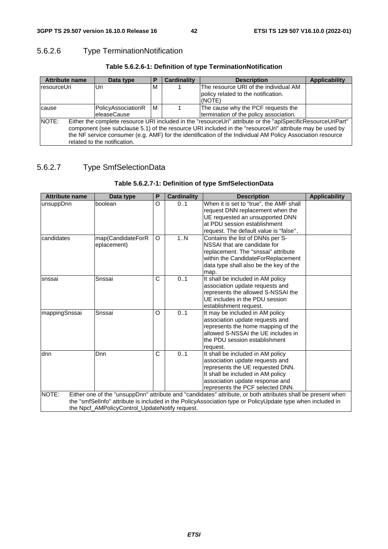## 5.6.2.6 Type TerminationNotification

| Table 5.6.2.6-1: Definition of type TerminationNotification |  |
|-------------------------------------------------------------|--|
|-------------------------------------------------------------|--|

| <b>Attribute name</b><br>Data type                                                                                                                                                                                                                                                                                                                                              |                                           | P | <b>Cardinality</b> | <b>Description</b>                                                                     | <b>Applicability</b> |
|---------------------------------------------------------------------------------------------------------------------------------------------------------------------------------------------------------------------------------------------------------------------------------------------------------------------------------------------------------------------------------|-------------------------------------------|---|--------------------|----------------------------------------------------------------------------------------|----------------------|
| resourceUri                                                                                                                                                                                                                                                                                                                                                                     | lUri.                                     | м |                    | The resource URI of the individual AM<br>policy related to the notification.<br>(NOTE) |                      |
| cause                                                                                                                                                                                                                                                                                                                                                                           | PolicyAssociationR<br><b>leleaseCause</b> | м |                    | The cause why the PCF requests the<br>termination of the policy association.           |                      |
| NOTE:<br>Either the complete resource URI included in the "resourceUri" attribute or the "apiSpecificResourceUriPart"<br>component (see subclause 5.1) of the resource URI included in the "resourceUri" attribute may be used by<br>the NF service consumer (e.g. AMF) for the identification of the Individual AM Policy Association resource<br>related to the notification. |                                           |   |                    |                                                                                        |                      |

### 5.6.2.7 Type SmfSelectionData

### **Table 5.6.2.7-1: Definition of type SmfSelectionData**

| <b>Attribute name</b>                                                                                      | Data type                                      | P | <b>Cardinality</b> | <b>Description</b>                                                                                           | <b>Applicability</b> |  |
|------------------------------------------------------------------------------------------------------------|------------------------------------------------|---|--------------------|--------------------------------------------------------------------------------------------------------------|----------------------|--|
| unsuppDnn                                                                                                  | boolean                                        | O | 0.1                | When it is set to "true", the AMF shall                                                                      |                      |  |
|                                                                                                            |                                                |   |                    | request DNN replacement when the                                                                             |                      |  |
|                                                                                                            |                                                |   |                    | UE requested an unsupported DNN                                                                              |                      |  |
|                                                                                                            |                                                |   |                    | at PDU session establishment                                                                                 |                      |  |
|                                                                                                            |                                                |   |                    | request. The default value is "false".                                                                       |                      |  |
| candidates                                                                                                 | map(CandidateForR                              | O | 1N                 | Contains the list of DNNs per S-<br>NSSAI that are candidate for                                             |                      |  |
|                                                                                                            | eplacement)                                    |   |                    | replacement. The "snssai" attribute                                                                          |                      |  |
|                                                                                                            |                                                |   |                    | within the CandidateForReplacement                                                                           |                      |  |
|                                                                                                            |                                                |   |                    | data type shall also be the key of the                                                                       |                      |  |
|                                                                                                            |                                                |   |                    |                                                                                                              |                      |  |
| snssai                                                                                                     | Snssai                                         | C | 01                 | map.<br>It shall be included in AM policy                                                                    |                      |  |
|                                                                                                            |                                                |   |                    | association update requests and                                                                              |                      |  |
|                                                                                                            |                                                |   |                    | represents the allowed S-NSSAI the                                                                           |                      |  |
|                                                                                                            |                                                |   |                    | UE includes in the PDU session                                                                               |                      |  |
|                                                                                                            |                                                |   |                    | establishment request.                                                                                       |                      |  |
| mappingSnssai                                                                                              | Snssai                                         | O | 0.1                | It may be included in AM policy                                                                              |                      |  |
|                                                                                                            |                                                |   |                    | association update requests and                                                                              |                      |  |
|                                                                                                            |                                                |   |                    | represents the home mapping of the                                                                           |                      |  |
|                                                                                                            |                                                |   |                    | allowed S-NSSAI the UE includes in                                                                           |                      |  |
|                                                                                                            |                                                |   |                    | the PDU session establishment                                                                                |                      |  |
|                                                                                                            |                                                |   |                    | request.                                                                                                     |                      |  |
| dnn                                                                                                        | Dnn                                            | C | 0.1                | It shall be included in AM policy                                                                            |                      |  |
|                                                                                                            |                                                |   |                    | association update requests and                                                                              |                      |  |
|                                                                                                            |                                                |   |                    | represents the UE requested DNN.                                                                             |                      |  |
|                                                                                                            |                                                |   |                    | It shall be included in AM policy                                                                            |                      |  |
|                                                                                                            |                                                |   |                    | association update response and                                                                              |                      |  |
|                                                                                                            |                                                |   |                    | represents the PCF selected DNN.                                                                             |                      |  |
| NOTE:                                                                                                      |                                                |   |                    | Either one of the "unsuppDnn" attribute and "candidates" attribute, or both attributes shall be present when |                      |  |
| the "smfSellnfo" attribute is included in the PolicyAssociation type or PolicyUpdate type when included in |                                                |   |                    |                                                                                                              |                      |  |
|                                                                                                            | the Npcf_AMPolicyControl_UpdateNotify request. |   |                    |                                                                                                              |                      |  |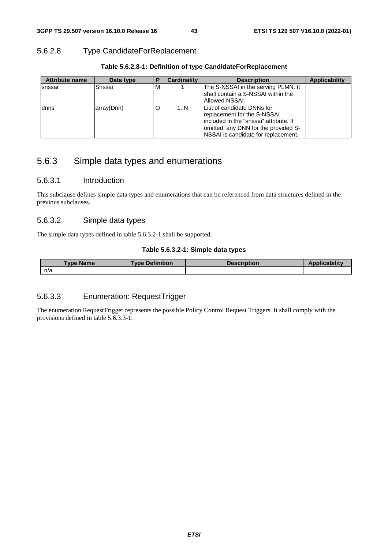### 5.6.2.8 Type CandidateForReplacement

| <b>Attribute name</b> | Data type  | D       | <b>Cardinality</b> | <b>Description</b>                                                                                                                                                                          | <b>Applicability</b> |
|-----------------------|------------|---------|--------------------|---------------------------------------------------------------------------------------------------------------------------------------------------------------------------------------------|----------------------|
| snssai                | lSnssai    | м       |                    | The S-NSSAI in the serving PLMN. It<br>shall contain a S-NSSAI within the<br>Allowed NSSAI.                                                                                                 |                      |
| dnns                  | array(Dnn) | $\circ$ | 1N                 | List of candidate DNNs for<br>replacement for the S-NSSAI<br>lincluded in the "snssai" attribute. If<br>lomitted, any DNN for the provided S-<br><b>NSSAI</b> is candidate for replacement. |                      |

### **Table 5.6.2.8-1: Definition of type CandidateForReplacement**

## 5.6.3 Simple data types and enumerations

#### 5.6.3.1 Introduction

This subclause defines simple data types and enumerations that can be referenced from data structures defined in the previous subclauses.

### 5.6.3.2 Simple data types

The simple data types defined in table 5.6.3.2-1 shall be supported.

#### **Table 5.6.3.2-1: Simple data types**

| Type Name | <b>Type Definition</b> | <b>Description</b> | $\sqrt{2}$ cability |
|-----------|------------------------|--------------------|---------------------|
| n/a       |                        |                    |                     |

### 5.6.3.3 Enumeration: RequestTrigger

The enumeration RequestTrigger represents the possible Policy Control Request Triggers. It shall comply with the provisions defined in table 5.6.3.3-1.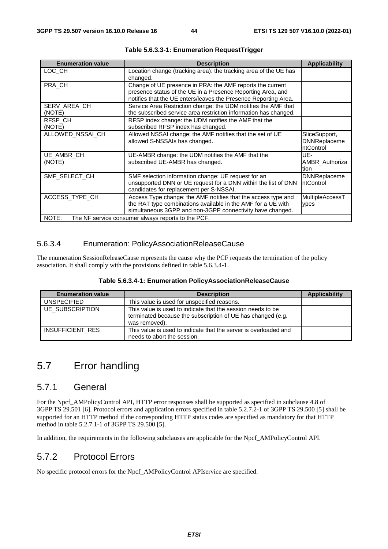| <b>Enumeration value</b> | <b>Description</b>                                                                                                                                                                          | <b>Applicability</b>                              |
|--------------------------|---------------------------------------------------------------------------------------------------------------------------------------------------------------------------------------------|---------------------------------------------------|
| LOC_CH                   | Location change (tracking area): the tracking area of the UE has<br>changed.                                                                                                                |                                                   |
| PRA_CH                   | Change of UE presence in PRA: the AMF reports the current<br>presence status of the UE in a Presence Reporting Area, and<br>notifies that the UE enters/leaves the Presence Reporting Area. |                                                   |
| SERV_AREA_CH<br>(NOTE)   | Service Area Restriction change: the UDM notifies the AMF that<br>the subscribed service area restriction information has changed.                                                          |                                                   |
| RFSP CH<br>(NOTE)        | RFSP index change: the UDM notifies the AMF that the<br>subscribed RFSP index has changed.                                                                                                  |                                                   |
| ALLOWED NSSAI CH         | Allowed NSSAI change: the AMF notifies that the set of UE<br>allowed S-NSSAIs has changed.                                                                                                  | SliceSupport,<br><b>DNNReplaceme</b><br>ntControl |
| UE AMBR CH<br>(NOTE)     | UE-AMBR change: the UDM notifies the AMF that the<br>subscribed UE-AMBR has changed.                                                                                                        | UE-<br>AMBR Authoriza<br>tion                     |
| SMF_SELECT_CH            | SMF selection information change: UE request for an<br>unsupported DNN or UE request for a DNN within the list of DNN<br>candidates for replacement per S-NSSAI.                            | DNNReplaceme<br>ntControl                         |
| ACCESS_TYPE_CH           | Access Type change: the AMF notifies that the access type and<br>the RAT type combinations available in the AMF for a UE with<br>simultaneous 3GPP and non-3GPP connectivity have changed.  | MultipleAccessT<br>ypes                           |
| NOTE:                    | The NF service consumer always reports to the PCF.                                                                                                                                          |                                                   |

**Table 5.6.3.3-1: Enumeration RequestTrigger** 

### 5.6.3.4 Enumeration: PolicyAssociationReleaseCause

The enumeration SessionReleaseCause represents the cause why the PCF requests the termination of the policy association. It shall comply with the provisions defined in table 5.6.3.4-1.

| Table 5.6.3.4-1: Enumeration PolicyAssociationReleaseCause |  |
|------------------------------------------------------------|--|
|------------------------------------------------------------|--|

| <b>Enumeration value</b> | <b>Description</b>                                                                                                                          | <b>Applicability</b> |
|--------------------------|---------------------------------------------------------------------------------------------------------------------------------------------|----------------------|
| <b>UNSPECIFIED</b>       | This value is used for unspecified reasons.                                                                                                 |                      |
| <b>UE SUBSCRIPTION</b>   | This value is used to indicate that the session needs to be<br>terminated because the subscription of UE has changed (e.g.<br>was removed). |                      |
| INSUFFICIENT_RES         | This value is used to indicate that the server is overloaded and<br>needs to abort the session.                                             |                      |

## 5.7 Error handling

### 5.7.1 General

For the Npcf\_AMPolicyControl API, HTTP error responses shall be supported as specified in subclause 4.8 of 3GPP TS 29.501 [6]. Protocol errors and application errors specified in table 5.2.7.2-1 of 3GPP TS 29.500 [5] shall be supported for an HTTP method if the corresponding HTTP status codes are specified as mandatory for that HTTP method in table 5.2.7.1-1 of 3GPP TS 29.500 [5].

In addition, the requirements in the following subclauses are applicable for the Npcf\_AMPolicyControl API.

## 5.7.2 Protocol Errors

No specific protocol errors for the Npcf\_AMPolicyControl APIservice are specified.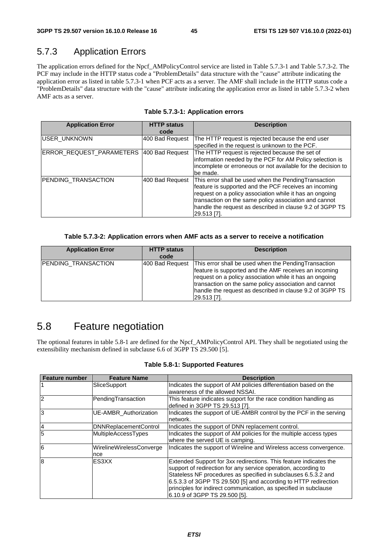## 5.7.3 Application Errors

The application errors defined for the Npcf\_AMPolicyControl service are listed in Table 5.7.3-1 and Table 5.7.3-2. The PCF may include in the HTTP status code a "ProblemDetails" data structure with the "cause" attribute indicating the application error as listed in table 5.7.3-1 when PCF acts as a server. The AMF shall include in the HTTP status code a "ProblemDetails" data structure with the "cause" attribute indicating the application error as listed in table 5.7.3-2 when AMF acts as a server.

| <b>Application Error</b> | <b>HTTP status</b><br>code | <b>Description</b>                                                                                                                                                                                                                                                                                            |
|--------------------------|----------------------------|---------------------------------------------------------------------------------------------------------------------------------------------------------------------------------------------------------------------------------------------------------------------------------------------------------------|
| IUSER UNKNOWN            | 400 Bad Request            | The HTTP request is rejected because the end user<br>specified in the request is unknown to the PCF.                                                                                                                                                                                                          |
| ERROR_REQUEST_PARAMETERS | 400 Bad Request            | The HTTP request is rejected because the set of<br>information needed by the PCF for AM Policy selection is<br>incomplete or erroneous or not available for the decision to<br>be made.                                                                                                                       |
| PENDING_TRANSACTION      | 400 Bad Request            | This error shall be used when the PendingTransaction<br>feature is supported and the PCF receives an incoming<br>request on a policy association while it has an ongoing<br>transaction on the same policy association and cannot<br>handle the request as described in clause 9.2 of 3GPP TS<br> 29.513 [7]. |

#### **Table 5.7.3-1: Application errors**

#### **Table 5.7.3-2: Application errors when AMF acts as a server to receive a notification**

| <b>Application Error</b> | <b>HTTP status</b><br>code | <b>Description</b>                                                                                                                                                                                                                                                                                            |
|--------------------------|----------------------------|---------------------------------------------------------------------------------------------------------------------------------------------------------------------------------------------------------------------------------------------------------------------------------------------------------------|
| PENDING_TRANSACTION      | 400 Bad Request            | This error shall be used when the Pending Transaction<br>feature is supported and the AMF receives an incoming<br>request on a policy association while it has an ongoing<br>transaction on the same policy association and cannot<br>handle the request as described in clause 9.2 of 3GPP TS<br>29.513 [7]. |

## 5.8 Feature negotiation

The optional features in table 5.8-1 are defined for the Npcf\_AMPolicyControl API. They shall be negotiated using the extensibility mechanism defined in subclause 6.6 of 3GPP TS 29.500 [5].

**Table 5.8-1: Supported Features** 

| <b>Feature number</b> | <b>Feature Name</b>             | <b>Description</b>                                                                                                                                                                                                                                                                                                                                                            |
|-----------------------|---------------------------------|-------------------------------------------------------------------------------------------------------------------------------------------------------------------------------------------------------------------------------------------------------------------------------------------------------------------------------------------------------------------------------|
|                       | SliceSupport                    | Indicates the support of AM policies differentiation based on the<br>awareness of the allowed NSSAI.                                                                                                                                                                                                                                                                          |
| 12                    | PendingTransaction              | This feature indicates support for the race condition handling as<br>defined in 3GPP TS 29.513 [7].                                                                                                                                                                                                                                                                           |
| 3                     | <b>UE-AMBR</b> Authorization    | Indicates the support of UE-AMBR control by the PCF in the serving<br>network.                                                                                                                                                                                                                                                                                                |
| $\overline{A}$        | <b>DNNReplacementControl</b>    | Indicates the support of DNN replacement control.                                                                                                                                                                                                                                                                                                                             |
| $\overline{5}$        | <b>MultipleAccessTypes</b>      | Indicates the support of AM policies for the multiple access types<br>where the served UE is camping.                                                                                                                                                                                                                                                                         |
| 6                     | WirelineWirelessConverge<br>nce | Indicates the support of Wireline and Wireless access convergence.                                                                                                                                                                                                                                                                                                            |
| $\mathbf{8}$          | ES3XX                           | Extended Support for 3xx redirections. This feature indicates the<br>support of redirection for any service operation, according to<br>Stateless NF procedures as specified in subclauses 6.5.3.2 and<br>6.5.3.3 of 3GPP TS 29.500 [5] and according to HTTP redirection<br>principles for indirect communication, as specified in subclause<br>6.10.9 of 3GPP TS 29.500 [5]. |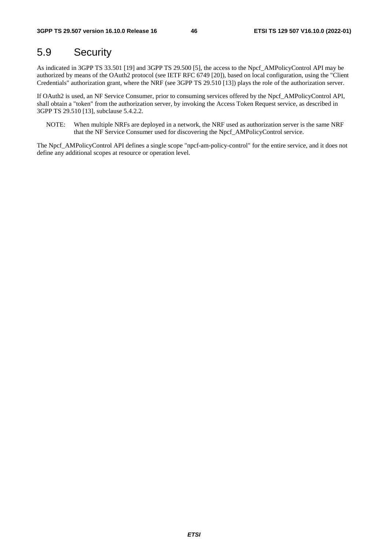## 5.9 Security

As indicated in 3GPP TS 33.501 [19] and 3GPP TS 29.500 [5], the access to the Npcf\_AMPolicyControl API may be authorized by means of the OAuth2 protocol (see IETF RFC 6749 [20]), based on local configuration, using the "Client Credentials" authorization grant, where the NRF (see 3GPP TS 29.510 [13]) plays the role of the authorization server.

If OAuth2 is used, an NF Service Consumer, prior to consuming services offered by the Npcf\_AMPolicyControl API, shall obtain a "token" from the authorization server, by invoking the Access Token Request service, as described in 3GPP TS 29.510 [13], subclause 5.4.2.2.

NOTE: When multiple NRFs are deployed in a network, the NRF used as authorization server is the same NRF that the NF Service Consumer used for discovering the Npcf\_AMPolicyControl service.

The Npcf\_AMPolicyControl API defines a single scope "npcf-am-policy-control" for the entire service, and it does not define any additional scopes at resource or operation level.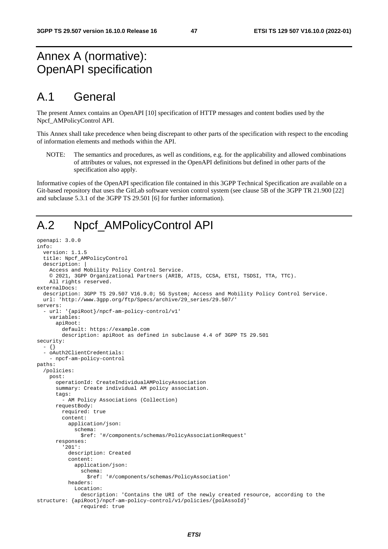## Annex A (normative): OpenAPI specification

## A.1 General

The present Annex contains an OpenAPI [10] specification of HTTP messages and content bodies used by the Npcf\_AMPolicyControl API.

This Annex shall take precedence when being discrepant to other parts of the specification with respect to the encoding of information elements and methods within the API.

NOTE: The semantics and procedures, as well as conditions, e.g. for the applicability and allowed combinations of attributes or values, not expressed in the OpenAPI definitions but defined in other parts of the specification also apply.

Informative copies of the OpenAPI specification file contained in this 3GPP Technical Specification are available on a Git-based repository that uses the GitLab software version control system (see clause 5B of the 3GPP TR 21.900 [22] and subclause 5.3.1 of the 3GPP TS 29.501 [6] for further information).

## A.2 Npcf\_AMPolicyControl API

```
openapi: 3.0.0 
info: 
   version: 1.1.5 
   title: Npcf_AMPolicyControl 
   description: | 
     Access and Mobility Policy Control Service. 
     © 2021, 3GPP Organizational Partners (ARIB, ATIS, CCSA, ETSI, TSDSI, TTA, TTC). 
     All rights reserved. 
externalDocs: 
   description: 3GPP TS 29.507 V16.9.0; 5G System; Access and Mobility Policy Control Service. 
   url: 'http://www.3gpp.org/ftp/Specs/archive/29_series/29.507/' 
servers: 
   - url: '{apiRoot}/npcf-am-policy-control/v1' 
     variables: 
       apiRoot: 
         default: https://example.com 
         description: apiRoot as defined in subclause 4.4 of 3GPP TS 29.501 
security: 
   - {} 
   - oAuth2ClientCredentials: 
     - npcf-am-policy-control 
paths: 
   /policies: 
     post: 
       operationId: CreateIndividualAMPolicyAssociation 
       summary: Create individual AM policy association. 
       tags: 
          - AM Policy Associations (Collection) 
       requestBody: 
         required: true 
         content: 
           application/json: 
              schema: 
                $ref: '#/components/schemas/PolicyAssociationRequest' 
       responses: 
          '201': 
           description: Created 
           content: 
              application/json: 
                schema: 
                  $ref: '#/components/schemas/PolicyAssociation' 
           headers: 
              Location: 
                description: 'Contains the URI of the newly created resource, according to the 
structure: {apiRoot}/npcf-am-policy-control/v1/policies/{polAssoId}' 
                required: true
```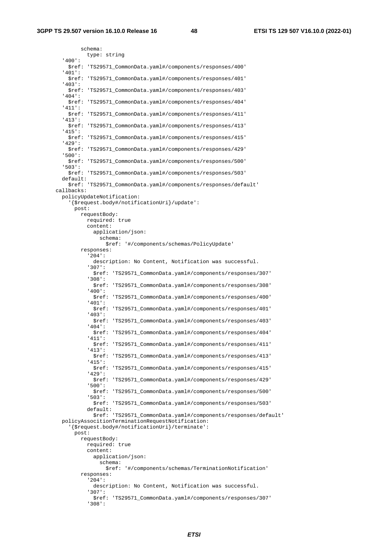schema: type: string '400': \$ref: 'TS29571\_CommonData.yaml#/components/responses/400' '401': \$ref: 'TS29571\_CommonData.yaml#/components/responses/401' '403': \$ref: 'TS29571\_CommonData.yaml#/components/responses/403' '404': \$ref: 'TS29571\_CommonData.yaml#/components/responses/404' '411': \$ref: 'TS29571\_CommonData.yaml#/components/responses/411' '413': \$ref: 'TS29571\_CommonData.yaml#/components/responses/413' '415': \$ref: 'TS29571\_CommonData.yaml#/components/responses/415' '429': \$ref: 'TS29571\_CommonData.yaml#/components/responses/429' '500': \$ref: 'TS29571\_CommonData.yaml#/components/responses/500' '503': \$ref: 'TS29571\_CommonData.yaml#/components/responses/503' default: \$ref: 'TS29571\_CommonData.yaml#/components/responses/default' callbacks: policyUpdateNotification: '{\$request.body#/notificationUri}/update': post: requestBody: required: true content: application/json: schema: \$ref: '#/components/schemas/PolicyUpdate' responses: '204': description: No Content, Notification was successful. '307': \$ref: 'TS29571\_CommonData.yaml#/components/responses/307' '308': \$ref: 'TS29571\_CommonData.yaml#/components/responses/308' '400': \$ref: 'TS29571\_CommonData.yaml#/components/responses/400' '401': \$ref: 'TS29571\_CommonData.yaml#/components/responses/401' '403': \$ref: 'TS29571\_CommonData.yaml#/components/responses/403' '404': \$ref: 'TS29571\_CommonData.yaml#/components/responses/404' '411': \$ref: 'TS29571\_CommonData.yaml#/components/responses/411' '413': \$ref: 'TS29571\_CommonData.yaml#/components/responses/413' '415': \$ref: 'TS29571\_CommonData.yaml#/components/responses/415' '429': \$ref: 'TS29571\_CommonData.yaml#/components/responses/429' '500': \$ref: 'TS29571\_CommonData.yaml#/components/responses/500' '503': \$ref: 'TS29571\_CommonData.yaml#/components/responses/503' default: \$ref: 'TS29571\_CommonData.yaml#/components/responses/default' policyAssocitionTerminationRequestNotification: '{\$request.body#/notificationUri}/terminate': post: requestBody: required: true content: application/json: schema: \$ref: '#/components/schemas/TerminationNotification' responses: '204': description: No Content, Notification was successful. '307': \$ref: 'TS29571\_CommonData.yaml#/components/responses/307' '308':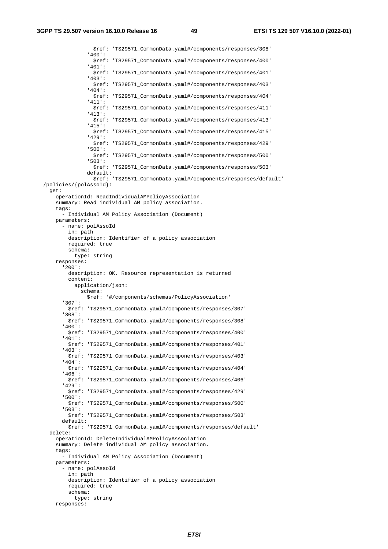\$ref: 'TS29571\_CommonData.yaml#/components/responses/308' '400': \$ref: 'TS29571\_CommonData.yaml#/components/responses/400' '401': \$ref: 'TS29571\_CommonData.yaml#/components/responses/401' '403': \$ref: 'TS29571\_CommonData.yaml#/components/responses/403' '404': \$ref: 'TS29571\_CommonData.yaml#/components/responses/404' '411': \$ref: 'TS29571\_CommonData.yaml#/components/responses/411' '413': \$ref: 'TS29571\_CommonData.yaml#/components/responses/413' '415': \$ref: 'TS29571\_CommonData.yaml#/components/responses/415' '429': \$ref: 'TS29571\_CommonData.yaml#/components/responses/429' '500': \$ref: 'TS29571\_CommonData.yaml#/components/responses/500' '503': \$ref: 'TS29571\_CommonData.yaml#/components/responses/503' default: \$ref: 'TS29571\_CommonData.yaml#/components/responses/default' /policies/{polAssoId}: get: operationId: ReadIndividualAMPolicyAssociation summary: Read individual AM policy association. tags: - Individual AM Policy Association (Document) parameters: - name: polAssoId in: path description: Identifier of a policy association required: true schema: type: string responses: '200': description: OK. Resource representation is returned content: application/json: schema: \$ref: '#/components/schemas/PolicyAssociation' '307': \$ref: 'TS29571\_CommonData.yaml#/components/responses/307' '308': \$ref: 'TS29571\_CommonData.yaml#/components/responses/308' '400': \$ref: 'TS29571\_CommonData.yaml#/components/responses/400' '401': \$ref: 'TS29571\_CommonData.yaml#/components/responses/401' '403': \$ref: 'TS29571\_CommonData.yaml#/components/responses/403' '404': \$ref: 'TS29571\_CommonData.yaml#/components/responses/404' '406': \$ref: 'TS29571\_CommonData.yaml#/components/responses/406' '429': \$ref: 'TS29571\_CommonData.yaml#/components/responses/429' '500': \$ref: 'TS29571\_CommonData.yaml#/components/responses/500' '503': \$ref: 'TS29571\_CommonData.yaml#/components/responses/503' default: \$ref: 'TS29571\_CommonData.yaml#/components/responses/default' delete: operationId: DeleteIndividualAMPolicyAssociation summary: Delete individual AM policy association. tags: - Individual AM Policy Association (Document) parameters: - name: polAssoId in: path description: Identifier of a policy association required: true schema: type: string responses: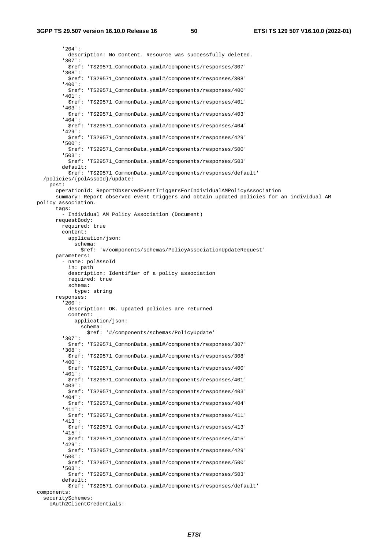'204': description: No Content. Resource was successfully deleted. '307': \$ref: 'TS29571\_CommonData.yaml#/components/responses/307' '308': \$ref: 'TS29571\_CommonData.yaml#/components/responses/308' '400': \$ref: 'TS29571\_CommonData.yaml#/components/responses/400' '401': \$ref: 'TS29571\_CommonData.yaml#/components/responses/401' '403': \$ref: 'TS29571\_CommonData.yaml#/components/responses/403' '404': \$ref: 'TS29571\_CommonData.yaml#/components/responses/404' '429': \$ref: 'TS29571\_CommonData.yaml#/components/responses/429' '500': \$ref: 'TS29571\_CommonData.yaml#/components/responses/500' '503': \$ref: 'TS29571\_CommonData.yaml#/components/responses/503' default: \$ref: 'TS29571\_CommonData.yaml#/components/responses/default' /policies/{polAssoId}/update: post: operationId: ReportObservedEventTriggersForIndividualAMPolicyAssociation summary: Report observed event triggers and obtain updated policies for an individual AM policy association. tags: - Individual AM Policy Association (Document) requestBody: required: true content: application/json: schema: \$ref: '#/components/schemas/PolicyAssociationUpdateRequest' parameters: - name: polAssoId in: path description: Identifier of a policy association required: true schema: type: string responses: '200': description: OK. Updated policies are returned content: application/json: schema: \$ref: '#/components/schemas/PolicyUpdate' '307': \$ref: 'TS29571\_CommonData.yaml#/components/responses/307' '308': \$ref: 'TS29571\_CommonData.yaml#/components/responses/308' '400': \$ref: 'TS29571\_CommonData.yaml#/components/responses/400' '401': \$ref: 'TS29571\_CommonData.yaml#/components/responses/401' '403': \$ref: 'TS29571\_CommonData.yaml#/components/responses/403' '404': \$ref: 'TS29571\_CommonData.yaml#/components/responses/404' '411': \$ref: 'TS29571\_CommonData.yaml#/components/responses/411' '413': \$ref: 'TS29571\_CommonData.yaml#/components/responses/413' '415': \$ref: 'TS29571\_CommonData.yaml#/components/responses/415' '429': \$ref: 'TS29571\_CommonData.yaml#/components/responses/429' '500': \$ref: 'TS29571\_CommonData.yaml#/components/responses/500' '503': \$ref: 'TS29571\_CommonData.yaml#/components/responses/503' default: \$ref: 'TS29571\_CommonData.yaml#/components/responses/default' components: securitySchemes:

```
 oAuth2ClientCredentials:
```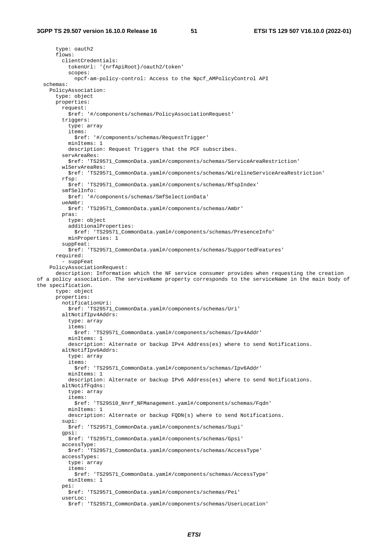type: oauth2 flows: clientCredentials: tokenUrl: '{nrfApiRoot}/oauth2/token' scopes: npcf-am-policy-control: Access to the Npcf\_AMPolicyControl API schemas: PolicyAssociation: type: object properties: request: \$ref: '#/components/schemas/PolicyAssociationRequest' triggers: type: array items: \$ref: '#/components/schemas/RequestTrigger' minItems: 1 description: Request Triggers that the PCF subscribes. servAreaRes: \$ref: 'TS29571\_CommonData.yaml#/components/schemas/ServiceAreaRestriction' wlServAreaRes: \$ref: 'TS29571\_CommonData.yaml#/components/schemas/WirelineServiceAreaRestriction' rfsp: \$ref: 'TS29571\_CommonData.yaml#/components/schemas/RfspIndex' smfSelInfo: \$ref: '#/components/schemas/SmfSelectionData' ueAmbr: \$ref: 'TS29571\_CommonData.yaml#/components/schemas/Ambr' pras: type: object additionalProperties: \$ref: 'TS29571\_CommonData.yaml#/components/schemas/PresenceInfo' minProperties: 1 suppFeat: \$ref: 'TS29571\_CommonData.yaml#/components/schemas/SupportedFeatures' required: - suppFeat PolicyAssociationRequest: description: Information which the NF service consumer provides when requesting the creation of a policy association. The serviveName property corresponds to the serviceName in the main body of the specification. type: object properties: notificationUri: \$ref: 'TS29571\_CommonData.yaml#/components/schemas/Uri' altNotifIpv4Addrs: type: array items: \$ref: 'TS29571\_CommonData.yaml#/components/schemas/Ipv4Addr' minItems: 1 description: Alternate or backup IPv4 Address(es) where to send Notifications. altNotifIpv6Addrs: type: array items: \$ref: 'TS29571\_CommonData.yaml#/components/schemas/Ipv6Addr' minItems: 1 description: Alternate or backup IPv6 Address(es) where to send Notifications. altNotifFqdns: type: array items: \$ref: 'TS29510\_Nnrf\_NFManagement.yaml#/components/schemas/Fqdn' minItems: 1 description: Alternate or backup FQDN(s) where to send Notifications. supi: \$ref: 'TS29571\_CommonData.yaml#/components/schemas/Supi' gpsi: \$ref: 'TS29571\_CommonData.yaml#/components/schemas/Gpsi' accessType: \$ref: 'TS29571\_CommonData.yaml#/components/schemas/AccessType' accessTypes: type: array items: \$ref: 'TS29571\_CommonData.yaml#/components/schemas/AccessType' minItems: 1 pei: \$ref: 'TS29571\_CommonData.yaml#/components/schemas/Pei' userLoc: \$ref: 'TS29571\_CommonData.yaml#/components/schemas/UserLocation'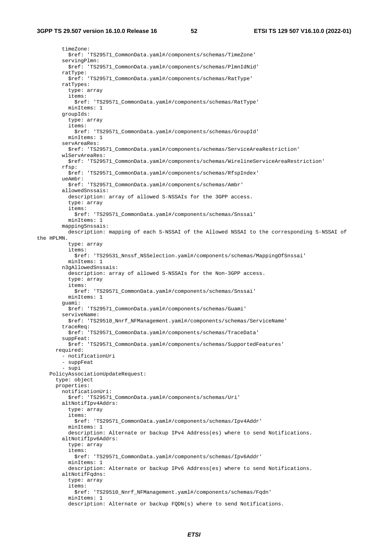timeZone: \$ref: 'TS29571\_CommonData.yaml#/components/schemas/TimeZone' servingPlmn: \$ref: 'TS29571\_CommonData.yaml#/components/schemas/PlmnIdNid' ratType: \$ref: 'TS29571\_CommonData.yaml#/components/schemas/RatType' ratTypes: type: array items: \$ref: 'TS29571\_CommonData.yaml#/components/schemas/RatType' minItems: 1 groupIds: type: array items: \$ref: 'TS29571\_CommonData.yaml#/components/schemas/GroupId' minItems: 1 servAreaRes: \$ref: 'TS29571\_CommonData.yaml#/components/schemas/ServiceAreaRestriction' wlServAreaRes: \$ref: 'TS29571\_CommonData.yaml#/components/schemas/WirelineServiceAreaRestriction' rfsp: \$ref: 'TS29571\_CommonData.yaml#/components/schemas/RfspIndex' ueAmbr: \$ref: 'TS29571\_CommonData.yaml#/components/schemas/Ambr' allowedSnssais: description: array of allowed S-NSSAIs for the 3GPP access. type: array items: \$ref: 'TS29571\_CommonData.yaml#/components/schemas/Snssai' minItems: 1 mappingSnssais: description: mapping of each S-NSSAI of the Allowed NSSAI to the corresponding S-NSSAI of the HPLMN. type: array items: \$ref: 'TS29531\_Nnssf\_NSSelection.yaml#/components/schemas/MappingOfSnssai' minItems: 1 n3gAllowedSnssais: description: array of allowed S-NSSAIs for the Non-3GPP access. type: array items: \$ref: 'TS29571\_CommonData.yaml#/components/schemas/Snssai' minItems: 1 guami: \$ref: 'TS29571\_CommonData.yaml#/components/schemas/Guami' serviveName: \$ref: 'TS29510\_Nnrf\_NFManagement.yaml#/components/schemas/ServiceName' traceReq: \$ref: 'TS29571\_CommonData.yaml#/components/schemas/TraceData' suppFeat: \$ref: 'TS29571\_CommonData.yaml#/components/schemas/SupportedFeatures' required: - notificationUri - suppFeat - supi PolicyAssociationUpdateRequest: type: object properties: notificationUri: \$ref: 'TS29571\_CommonData.yaml#/components/schemas/Uri' altNotifIpv4Addrs: type: array items: \$ref: 'TS29571\_CommonData.yaml#/components/schemas/Ipv4Addr' minItems: 1 description: Alternate or backup IPv4 Address(es) where to send Notifications. altNotifIpv6Addrs: type: array items: \$ref: 'TS29571\_CommonData.yaml#/components/schemas/Ipv6Addr' minItems: 1 description: Alternate or backup IPv6 Address(es) where to send Notifications. altNotifFqdns: type: array items: \$ref: 'TS29510\_Nnrf\_NFManagement.yaml#/components/schemas/Fqdn' minItems: 1 description: Alternate or backup FQDN(s) where to send Notifications.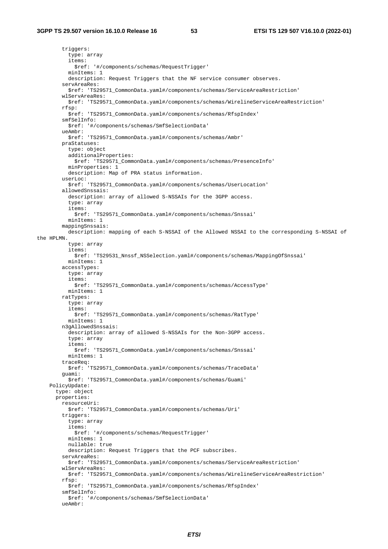triggers: type: array items: \$ref: '#/components/schemas/RequestTrigger' minItems: 1 description: Request Triggers that the NF service consumer observes. servAreaRes: \$ref: 'TS29571\_CommonData.yaml#/components/schemas/ServiceAreaRestriction' wlServAreaRes: \$ref: 'TS29571\_CommonData.yaml#/components/schemas/WirelineServiceAreaRestriction' rfsp: \$ref: 'TS29571\_CommonData.yaml#/components/schemas/RfspIndex' smfSelInfo: \$ref: '#/components/schemas/SmfSelectionData' ueAmbr: \$ref: 'TS29571\_CommonData.yaml#/components/schemas/Ambr' praStatuses: type: object additionalProperties: \$ref: 'TS29571\_CommonData.yaml#/components/schemas/PresenceInfo' minProperties: 1 description: Map of PRA status information. userLoc: \$ref: 'TS29571\_CommonData.yaml#/components/schemas/UserLocation' allowedSnssais: description: array of allowed S-NSSAIs for the 3GPP access. type: array items: \$ref: 'TS29571\_CommonData.yaml#/components/schemas/Snssai' minItems: 1 mappingSnssais: description: mapping of each S-NSSAI of the Allowed NSSAI to the corresponding S-NSSAI of the HPLMN. type: array items: \$ref: 'TS29531\_Nnssf\_NSSelection.yaml#/components/schemas/MappingOfSnssai' minItems: 1 accessTypes: type: array items: \$ref: 'TS29571\_CommonData.yaml#/components/schemas/AccessType' minItems: 1 ratTypes: type: array items: \$ref: 'TS29571\_CommonData.yaml#/components/schemas/RatType' minItems: 1 n3gAllowedSnssais: description: array of allowed S-NSSAIs for the Non-3GPP access. type: array items: \$ref: 'TS29571\_CommonData.yaml#/components/schemas/Snssai' minItems: 1 traceReq: \$ref: 'TS29571\_CommonData.yaml#/components/schemas/TraceData' guami: \$ref: 'TS29571\_CommonData.yaml#/components/schemas/Guami' PolicyUpdate: type: object properties: resourceUri: \$ref: 'TS29571\_CommonData.yaml#/components/schemas/Uri' triggers: type: array items: \$ref: '#/components/schemas/RequestTrigger' minItems: 1 nullable: true description: Request Triggers that the PCF subscribes. servAreaRes: \$ref: 'TS29571\_CommonData.yaml#/components/schemas/ServiceAreaRestriction' wlServAreaRes: \$ref: 'TS29571\_CommonData.yaml#/components/schemas/WirelineServiceAreaRestriction' rfsp: \$ref: 'TS29571\_CommonData.yaml#/components/schemas/RfspIndex' smfSelInfo: \$ref: '#/components/schemas/SmfSelectionData' ueAmbr: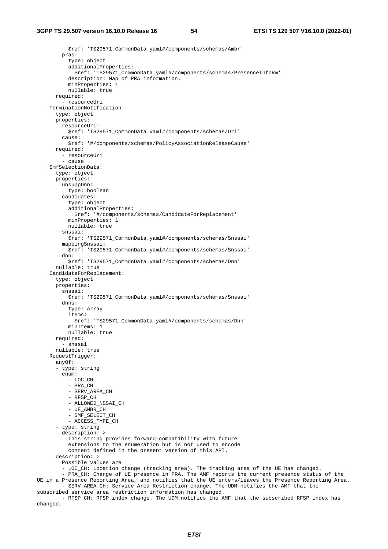\$ref: 'TS29571\_CommonData.yaml#/components/schemas/Ambr' pras: type: object additionalProperties: \$ref: 'TS29571\_CommonData.yaml#/components/schemas/PresenceInfoRm' description: Map of PRA information. minProperties: 1 nullable: true required: - resourceUri TerminationNotification: type: object properties: resourceUri: \$ref: 'TS29571\_CommonData.yaml#/components/schemas/Uri' cause: \$ref: '#/components/schemas/PolicyAssociationReleaseCause' required: - resourceUri - cause SmfSelectionData: type: object properties: unsuppDnn: type: boolean candidates: type: object additionalProperties: \$ref: '#/components/schemas/CandidateForReplacement' minProperties: 1 nullable: true snssai: \$ref: 'TS29571\_CommonData.yaml#/components/schemas/Snssai' mappingSnssai: \$ref: 'TS29571\_CommonData.yaml#/components/schemas/Snssai' dnn: \$ref: 'TS29571\_CommonData.yaml#/components/schemas/Dnn' nullable: true CandidateForReplacement: type: object properties: snssai: \$ref: 'TS29571\_CommonData.yaml#/components/schemas/Snssai' dnns: type: array items: \$ref: 'TS29571\_CommonData.yaml#/components/schemas/Dnn' minItems: 1 nullable: true required: - snssai nullable: true RequestTrigger: anyOf: - type: string enum: - LOC\_CH - PRA\_CH - SERV\_AREA\_CH - RFSP\_CH - ALLOWED\_NSSAI\_CH - UE\_AMBR\_CH - SMF\_SELECT\_CH - ACCESS TYPE CH - type: string description: > This string provides forward-compatibility with future extensions to the enumeration but is not used to encode content defined in the present version of this API. description: > Possible values are - LOC\_CH: Location change (tracking area). The tracking area of the UE has changed. - PRA\_CH: Change of UE presence in PRA. The AMF reports the current presence status of the UE in a Presence Reporting Area, and notifies that the UE enters/leaves the Presence Reporting Area. - SERV\_AREA\_CH: Service Area Restriction change. The UDM notifies the AMF that the subscribed service area restriction information has changed. - RFSP CH: RFSP index change. The UDM notifies the AMF that the subscribed RFSP index has

changed.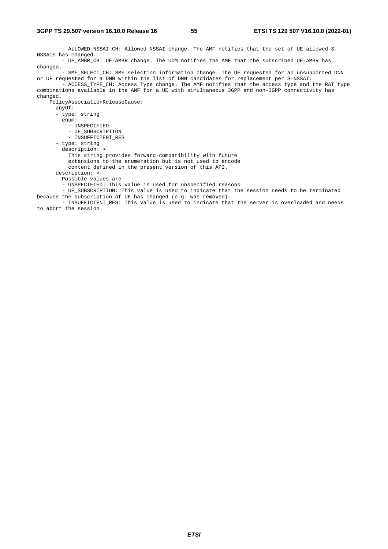- ALLOWED\_NSSAI\_CH: Allowed NSSAI change. The AMF notifies that the set of UE allowed S-NSSAIs has changed. - UE\_AMBR\_CH: UE-AMBR change. The UDM notifies the AMF that the subscribed UE-AMBR has changed. - SMF\_SELECT\_CH: SMF selection information change. The UE requested for an unsupported DNN or UE requested for a DNN within the list of DNN candidates for replacement per S-NSSAI. - ACCESS TYPE CH: Access Type change. The AMF notifies that the access type and the RAT type combinations available in the AMF for a UE with simultaneous 3GPP and non-3GPP connectivity has changed. PolicyAssociationReleaseCause: anyOf: - type: string enum: - UNSPECIFIED - UE\_SUBSCRIPTION - INSUFFICIENT\_RES - type: string description: > This string provides forward-compatibility with future extensions to the enumeration but is not used to encode content defined in the present version of this API. description: > Possible values are - UNSPECIFIED: This value is used for unspecified reasons. - UE\_SUBSCRIPTION: This value is used to indicate that the session needs to be terminated because the subscription of UE has changed (e.g. was removed). - INSUFFICIENT\_RES: This value is used to indicate that the server is overloaded and needs to abort the session.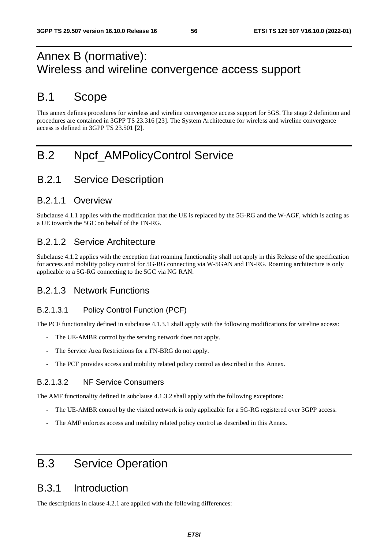## Annex B (normative): Wireless and wireline convergence access support

## B.1 Scope

This annex defines procedures for wireless and wireline convergence access support for 5GS. The stage 2 definition and procedures are contained in 3GPP TS 23.316 [23]. The System Architecture for wireless and wireline convergence access is defined in 3GPP TS 23.501 [2].

## B.2 Npcf\_AMPolicyControl Service

## B.2.1 Service Description

### B.2.1.1 Overview

Subclause 4.1.1 applies with the modification that the UE is replaced by the 5G-RG and the W-AGF, which is acting as a UE towards the 5GC on behalf of the FN-RG.

## B.2.1.2 Service Architecture

Subclause 4.1.2 applies with the exception that roaming functionality shall not apply in this Release of the specification for access and mobility policy control for 5G-RG connecting via W-5GAN and FN-RG. Roaming architecture is only applicable to a 5G-RG connecting to the 5GC via NG RAN.

### B.2.1.3 Network Functions

### B.2.1.3.1 Policy Control Function (PCF)

The PCF functionality defined in subclause 4.1.3.1 shall apply with the following modifications for wireline access:

- The UE-AMBR control by the serving network does not apply.
- The Service Area Restrictions for a FN-BRG do not apply.
- The PCF provides access and mobility related policy control as described in this Annex.

#### B.2.1.3.2 NF Service Consumers

The AMF functionality defined in subclause 4.1.3.2 shall apply with the following exceptions:

- The UE-AMBR control by the visited network is only applicable for a 5G-RG registered over 3GPP access.
- The AMF enforces access and mobility related policy control as described in this Annex.

## B.3 Service Operation

## B.3.1 Introduction

The descriptions in clause 4.2.1 are applied with the following differences: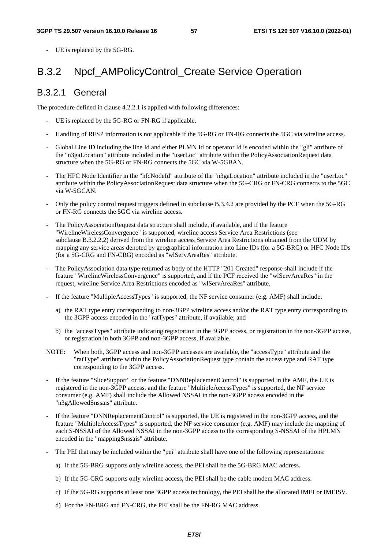UE is replaced by the 5G-RG.

## B.3.2 Npcf\_AMPolicyControl\_Create Service Operation

### B.3.2.1 General

The procedure defined in clause 4.2.2.1 is applied with following differences:

- UE is replaced by the 5G-RG or FN-RG if applicable.
- Handling of RFSP information is not applicable if the 5G-RG or FN-RG connects the 5GC via wireline access.
- Global Line ID including the line Id and either PLMN Id or operator Id is encoded within the "gli" attribute of the "n3gaLocation" attribute included in the "userLoc" attribute within the PolicyAssociationRequest data structure when the 5G-RG or FN-RG connects the 5GC via W-5GBAN.
- The HFC Node Identifier in the "hfcNodeId" attribute of the "n3gaLocation" attribute included in the "userLoc" attribute within the PolicyAssociationRequest data structure when the 5G-CRG or FN-CRG connects to the 5GC via W-5GCAN.
- Only the policy control request triggers defined in subclause B.3.4.2 are provided by the PCF when the 5G-RG or FN-RG connects the 5GC via wireline access.
- The PolicyAssociationRequest data structure shall include, if available, and if the feature "WirelineWirelessConvergence" is supported, wireline access Service Area Restrictions (see subclause B.3.2.2.2) derived from the wireline access Service Area Restrictions obtained from the UDM by mapping any service areas denoted by geographical information into Line IDs (for a 5G-BRG) or HFC Node IDs (for a 5G-CRG and FN-CRG) encoded as "wlServAreaRes" attribute.
- The PolicyAssociation data type returned as body of the HTTP "201 Created" response shall include if the feature "WirelineWirelessConvergence" is supported, and if the PCF received the "wlServAreaRes" in the request, wireline Service Area Restrictions encoded as "wlServAreaRes" attribute.
- If the feature "MultipleAccessTypes" is supported, the NF service consumer (e.g. AMF) shall include:
	- a) the RAT type entry corresponding to non-3GPP wireline access and/or the RAT type entry corresponding to the 3GPP access encoded in the "ratTypes" attribute, if available; and
	- b) the "accessTypes" attribute indicating registration in the 3GPP access, or registration in the non-3GPP access, or registration in both 3GPP and non-3GPP access, if available.
- NOTE: When both, 3GPP access and non-3GPP accesses are available, the "accessType" attribute and the "ratType" attribute within the PolicyAssociationRequest type contain the access type and RAT type corresponding to the 3GPP access.
- If the feature "SliceSupport" or the feature "DNNReplacementControl" is supported in the AMF, the UE is registered in the non-3GPP access, and the feature "MultipleAccessTypes" is supported, the NF service consumer (e.g. AMF) shall include the Allowed NSSAI in the non-3GPP access encoded in the "n3gAllowedSnssais" attribute.
- If the feature "DNNReplacementControl" is supported, the UE is registered in the non-3GPP access, and the feature "MultipleAccessTypes" is supported, the NF service consumer (e.g. AMF) may include the mapping of each S-NSSAI of the Allowed NSSAI in the non-3GPP access to the corresponding S-NSSAI of the HPLMN encoded in the "mappingSnssais" attribute.
- The PEI that may be included within the "pei" attribute shall have one of the following representations:
	- a) If the 5G-BRG supports only wireline access, the PEI shall be the 5G-BRG MAC address.
	- b) If the 5G-CRG supports only wireline access, the PEI shall be the cable modem MAC address.
	- c) If the 5G-RG supports at least one 3GPP access technology, the PEI shall be the allocated IMEI or IMEISV.
	- d) For the FN-BRG and FN-CRG, the PEI shall be the FN-RG MAC address.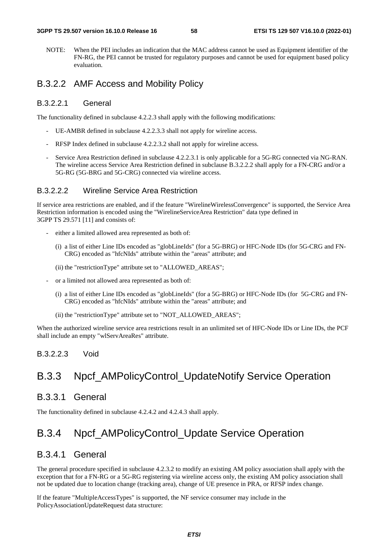NOTE: When the PEI includes an indication that the MAC address cannot be used as Equipment identifier of the FN-RG, the PEI cannot be trusted for regulatory purposes and cannot be used for equipment based policy evaluation.

### B.3.2.2 AMF Access and Mobility Policy

#### B.3.2.2.1 General

The functionality defined in subclause 4.2.2.3 shall apply with the following modifications:

- UE-AMBR defined in subclause 4.2.2.3.3 shall not apply for wireline access.
- RFSP Index defined in subclause 4.2.2.3.2 shall not apply for wireline access.
- Service Area Restriction defined in subclause 4.2.2.3.1 is only applicable for a 5G-RG connected via NG-RAN. The wireline access Service Area Restriction defined in subclause B.3.2.2.2 shall apply for a FN-CRG and/or a 5G-RG (5G-BRG and 5G-CRG) connected via wireline access.

#### B.3.2.2.2 Wireline Service Area Restriction

If service area restrictions are enabled, and if the feature "WirelineWirelessConvergence" is supported, the Service Area Restriction information is encoded using the "WirelineServiceArea Restriction" data type defined in 3GPP TS 29.571 [11] and consists of:

- either a limited allowed area represented as both of:
	- (i) a list of either Line IDs encoded as "globLineIds" (for a 5G-BRG) or HFC-Node IDs (for 5G-CRG and FN-CRG) encoded as "hfcNIds" attribute within the "areas" attribute; and
	- (ii) the "restrictionType" attribute set to "ALLOWED\_AREAS";
- or a limited not allowed area represented as both of:
	- (i) a list of either Line IDs encoded as "globLineIds" (for a 5G-BRG) or HFC-Node IDs (for 5G-CRG and FN-CRG) encoded as "hfcNIds" attribute within the "areas" attribute; and
	- (ii) the "restrictionType" attribute set to "NOT\_ALLOWED\_AREAS";

When the authorized wireline service area restrictions result in an unlimited set of HFC-Node IDs or Line IDs, the PCF shall include an empty "wlServAreaRes" attribute.

#### B.3.2.2.3 Void

## B.3.3 Npcf AMPolicyControl UpdateNotify Service Operation

### B.3.3.1 General

The functionality defined in subclause 4.2.4.2 and 4.2.4.3 shall apply.

## B.3.4 Npcf AMPolicyControl Update Service Operation

### B.3.4.1 General

The general procedure specified in subclause 4.2.3.2 to modify an existing AM policy association shall apply with the exception that for a FN-RG or a 5G-RG registering via wireline access only, the existing AM policy association shall not be updated due to location change (tracking area), change of UE presence in PRA, or RFSP index change.

If the feature "MultipleAccessTypes" is supported, the NF service consumer may include in the PolicyAssociationUpdateRequest data structure: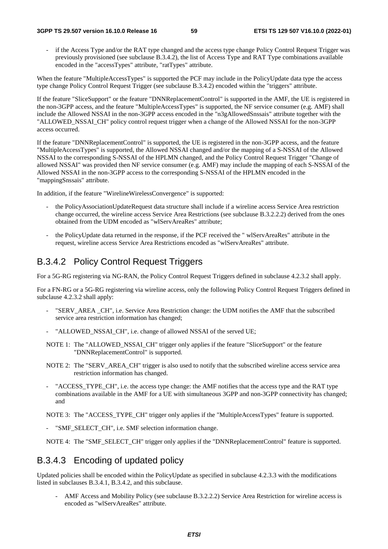if the Access Type and/or the RAT type changed and the access type change Policy Control Request Trigger was previously provisioned (see subclause B.3.4.2), the list of Access Type and RAT Type combinations available encoded in the "accessTypes" attribute, "ratTypes" attribute.

When the feature "MultipleAccessTypes" is supported the PCF may include in the PolicyUpdate data type the access type change Policy Control Request Trigger (see subclause B.3.4.2) encoded within the "triggers" attribute.

If the feature "SliceSupport" or the feature "DNNReplacementControl" is supported in the AMF, the UE is registered in the non-3GPP access, and the feature "MultipleAccessTypes" is supported, the NF service consumer (e.g. AMF) shall include the Allowed NSSAI in the non-3GPP access encoded in the "n3gAllowedSnssais" attribute together with the "ALLOWED NSSAI CH" policy control request trigger when a change of the Allowed NSSAI for the non-3GPP access occurred.

If the feature "DNNReplacementControl" is supported, the UE is registered in the non-3GPP access, and the feature "MultipleAccessTypes" is supported, the Allowed NSSAI changed and/or the mapping of a S-NSSAI of the Allowed NSSAI to the corresponding S-NSSAI of the HPLMN changed, and the Policy Control Request Trigger "Change of allowed NSSAI" was provided then NF service consumer (e.g. AMF) may include the mapping of each S-NSSAI of the Allowed NSSAI in the non-3GPP access to the corresponding S-NSSAI of the HPLMN encoded in the "mappingSnssais" attribute.

In addition, if the feature "WirelineWirelessConvergence" is supported:

- the PolicyAssociationUpdateRequest data structure shall include if a wireline access Service Area restriction change occurred, the wireline access Service Area Restrictions (see subclause B.3.2.2.2) derived from the ones obtained from the UDM encoded as "wlServAreaRes" attribute;
- the PolicyUpdate data returned in the response, if the PCF received the " wlServAreaRes" attribute in the request, wireline access Service Area Restrictions encoded as "wlServAreaRes" attribute.

### B.3.4.2 Policy Control Request Triggers

For a 5G-RG registering via NG-RAN, the Policy Control Request Triggers defined in subclause 4.2.3.2 shall apply.

For a FN-RG or a 5G-RG registering via wireline access, only the following Policy Control Request Triggers defined in subclause 4.2.3.2 shall apply:

- "SERV AREA CH", i.e. Service Area Restriction change: the UDM notifies the AMF that the subscribed service area restriction information has changed;
- "ALLOWED\_NSSAI\_CH", i.e. change of allowed NSSAI of the served UE;
- NOTE 1: The "ALLOWED\_NSSAI\_CH" trigger only applies if the feature "SliceSupport" or the feature "DNNReplacementControl" is supported.
- NOTE 2: The "SERV AREA CH" trigger is also used to notify that the subscribed wireline access service area restriction information has changed.
- "ACCESS\_TYPE\_CH", i.e. the access type change: the AMF notifies that the access type and the RAT type combinations available in the AMF for a UE with simultaneous 3GPP and non-3GPP connectivity has changed; and

NOTE 3: The "ACCESS\_TYPE\_CH" trigger only applies if the "MultipleAccessTypes" feature is supported.

"SMF\_SELECT\_CH", i.e. SMF selection information change.

NOTE 4: The "SMF\_SELECT\_CH" trigger only applies if the "DNNReplacementControl" feature is supported.

### B.3.4.3 Encoding of updated policy

Updated policies shall be encoded within the PolicyUpdate as specified in subclause 4.2.3.3 with the modifications listed in subclauses B.3.4.1, B.3.4.2, and this subclause.

AMF Access and Mobility Policy (see subclause B.3.2.2.2) Service Area Restriction for wireline access is encoded as "wlServAreaRes" attribute.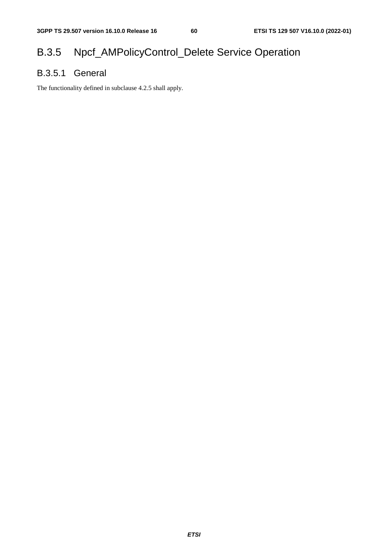## B.3.5 Npcf\_AMPolicyControl\_Delete Service Operation

## B.3.5.1 General

The functionality defined in subclause 4.2.5 shall apply.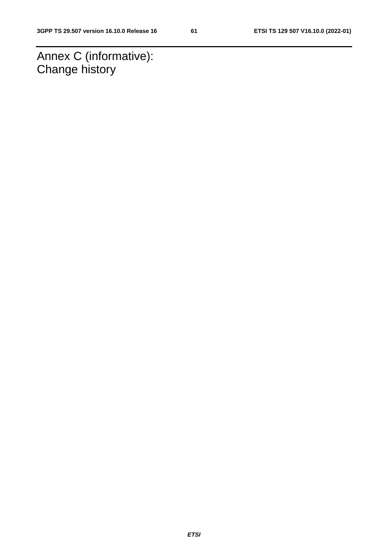Annex C (informative): Change history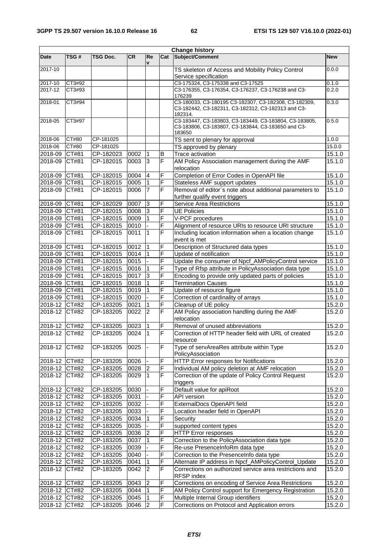| <b>Change history</b>          |              |                        |              |                |        |                                                               |                  |
|--------------------------------|--------------|------------------------|--------------|----------------|--------|---------------------------------------------------------------|------------------|
| <b>Date</b>                    | TSG#         | <b>TSG Doc.</b>        | <b>CR</b>    | Re             | Cat    | Subject/Comment                                               | <b>New</b>       |
| 2017-10                        |              |                        |              | v              |        | TS skeleton of Access and Mobility Policy Control             | 0.0.0            |
|                                |              |                        |              |                |        | Service specification                                         |                  |
| 2017-10                        | CT3#92       |                        |              |                |        | C3-175324, C3-175338 and C3-17525                             | 0.1.0            |
| 2017-12                        | CT3#93       |                        |              |                |        | C3-176355, C3-176354, C3-176237, C3-176238 and C3-            | 0.2.0            |
|                                |              |                        |              |                |        | 176239                                                        |                  |
| 2018-01                        | CT3#94       |                        |              |                |        | C3-180033, C3-180195 C3-182307, C3-182308, C3-182309,         | 0.3.0            |
|                                |              |                        |              |                |        | C3-182442, C3-182311, C3-182312, C3-182313 and C3-<br>182314. |                  |
| 2018-05                        | CT3#97       |                        |              |                |        | C3-183447, C3-183803, C3-183449, C3-183804, C3-183805,        | 0.5.0            |
|                                |              |                        |              |                |        | C3-183806, C3-183807, C3-183844, C3-183650 and C3-            |                  |
|                                |              |                        |              |                |        | 183650                                                        |                  |
| 2018-06                        | CT#80        | CP-181025              |              |                |        | TS sent to plenary for approval                               | 1.0.0            |
| 2018-06                        | <b>CT#80</b> | CP-181025              |              |                |        | TS approved by plenary                                        | 15.0.0           |
| 2018-09<br>2018-09             | CT#81        | CP-182023<br>CP-182015 | 0002<br>0003 | Ι1<br>3        | B<br>F | Trace activation                                              | 15.1.0<br>15.1.0 |
|                                | CT#81        |                        |              |                |        | AM Policy Association management during the AMF<br>relocation |                  |
| 2018-09                        | CT#81        | CP-182015              | 0004         | $\overline{4}$ | F      | Completion of Error Codes in OpenAPI file                     | 15.1.0           |
| 2018-09                        | CT#81        | CP-182015              | 0005         | 11             | F      | Stateless AMF support updates                                 | 15.1.0           |
| 2018-09                        | CT#81        | CP-182015              | 0006         | $\overline{7}$ | F      | Removal of editor's note about additional parameters to       | 15.1.0           |
|                                |              |                        |              |                |        | further qualify event triggers                                |                  |
| 2018-09 CT#81                  |              | CP-182029              | 0007         | 3              | F      | <b>Service Area Restrictions</b>                              | 15.1.0           |
| 2018-09 CT#81                  |              | CP-182015              | 0008         | IЗ             | F      | <b>UE Policies</b>                                            | 15.1.0           |
| 2018-09 CT#81                  |              | CP-182015              | 0009         |                | F      | V-PCF procedures                                              | 15.1.0           |
| 2018-09 CT#81                  |              | CP-182015              | 0010         |                | F      | Alignment of resource URIs to resource URI structure          | 15.1.0           |
| 2018-09                        | CT#81        | CP-182015              | 0011         | $\overline{1}$ | F      | Including location information when a location change         | 15.1.0           |
|                                |              |                        |              |                |        | event is met                                                  |                  |
| 2018-09 CT#81                  |              | CP-182015              | 0012         | 1              | F      | Description of Structured data types                          | 15.1.0           |
| 2018-09 CT#81                  |              | CP-182015              | 0014         |                | F      | Update of notification                                        | 15.1.0           |
| 2018-09 CT#81                  |              | CP-182015              | 0015         |                | F      | Update the consumer of Npcf_AMPolicyControl service           | 15.1.0           |
| 2018-09 CT#81                  |              | CP-182015              | 0016         | l1             | F      | Type of Rfsp attribute in PolicyAssociation data type         | 15.1.0           |
| 2018-09                        | CT#81        | $CF-182015$            | 0017         | 3              | F      | Encoding to provide only updated parts of policies            | 15.1.0           |
| 2018-09                        | CT#81        | $CF-182015$            | 0018         | $\overline{1}$ | F      | <b>Termination Causes</b>                                     | 15.1.0           |
| 2018-09 CT#81                  |              | CP-182015              | 0019         |                | F<br>F | Update of resource figure                                     | 15.1.0           |
| 2018-09 CT#81                  |              | CP-182015<br>CP-183205 | 0020<br>0021 |                | F      | Correction of cardinality of arrays<br>Cleanup of UE policy   | 15.1.0           |
| 2018-12 CT#82<br>2018-12 CT#82 |              | CP-183205              | 0022         | $\overline{2}$ | F      | AM Policy association handling during the AMF                 | 15.2.0<br>15.2.0 |
|                                |              |                        |              |                |        | relocation                                                    |                  |
| 2018-12 CT#82                  |              | CP-183205              | 0023         | 1              | F      | Removal of unused abbreviations                               | 15.2.0           |
| 2018-12 CT#82                  |              | CP-183205              | 0024         | 1              | F      | Correction of HTTP header field with URL of created           | 15.2.0           |
|                                |              |                        |              |                |        | resource                                                      |                  |
| 2018-12                        | CT#82        | CP-183205              | 0025         |                | F      | Type of servAreaRes attribute within Type                     | 15.2.0           |
|                                |              |                        |              |                |        | PolicyAssociation                                             |                  |
| 2018-12 CT#82                  |              | CP-183205              | 0026         |                | F      | <b>HTTP Error responses for Notifications</b>                 | 15.2.0           |
| 2018-12 CT#82                  |              | CP-183205              | 0028         | $\overline{2}$ | F      | Individual AM policy deletion at AMF relocation               | 15.2.0           |
| 2018-12                        | CT#82        | CP-183205              | 0029         |                | F      | Correction of the update of Policy Control Request            | 15.2.0           |
| 2018-12 CT#82                  |              |                        |              |                | F      | triggers                                                      |                  |
| 2018-12 CT#82                  |              | CP-183205<br>CP-183205 | 0030<br>0031 |                | F      | Default value for apiRoot<br><b>API</b> version               | 15.2.0<br>15.2.0 |
| 2018-12 CT#82                  |              | CP-183205              | 0032         |                | F      | ExternalDocs OpenAPI field                                    | 15.2.0           |
| 2018-12 CT#82                  |              | CP-183205              | 0033         |                | F      | Location header field in OpenAPI                              | 15.2.0           |
| 2018-12 CT#82                  |              | CP-183205              | 0034         |                | F      | Security                                                      | 15.2.0           |
| 2018-12 CT#82                  |              | CP-183205              | 0035         |                | F      | supported content types                                       | 15.2.0           |
| 2018-12 CT#82                  |              | CP-183205              | 0036         | $\overline{2}$ | F      | <b>HTTP Error responses</b>                                   | 15.2.0           |
| 2018-12 CT#82                  |              | CP-183205              | 0037         | $\overline{1}$ | F      | Correction to the PolicyAssociation data type                 | 15.2.0           |
| 2018-12 CT#82                  |              | CP-183205              | 0039         |                | F      | Re-use PresenceInfoRm data type                               | 15.2.0           |
| 2018-12 CT#82                  |              | CP-183205              | 0040         |                | F      | Correction to the PresenceInfo data type                      | 15.2.0           |
| 2018-12 CT#82                  |              | CP-183205              | 0041         |                | F      | Alternate IP address in Npcf_AMPolicyControl_Update           | 15.2.0           |
| 2018-12                        | CT#82        | CP-183205              | 0042         | $\overline{2}$ | F      | Corrections on authorized service area restrictions and       | 15.2.0           |
|                                |              |                        |              |                |        | RFSP index                                                    |                  |
| 2018-12 CT#82                  |              | CP-183205              | 0043         | $\overline{2}$ | F      | Corrections on encoding of Service Area Restrictions          | 15.2.0           |
| 2018-12 CT#82                  |              | CP-183205              | 0044         | 1              | F      | AM Policy Control support for Emergency Registration          | 15.2.0           |
| 2018-12 CT#82                  |              | CP-183205              | 0045         | 11             | F      | Multiple Internal Group identifiers                           | 15.2.0           |
| 2018-12                        | CT#82        | CP-183205              | 0046         | 2              | Ŀ      | Corrections on Protocol and Application errors                | 15.2.0           |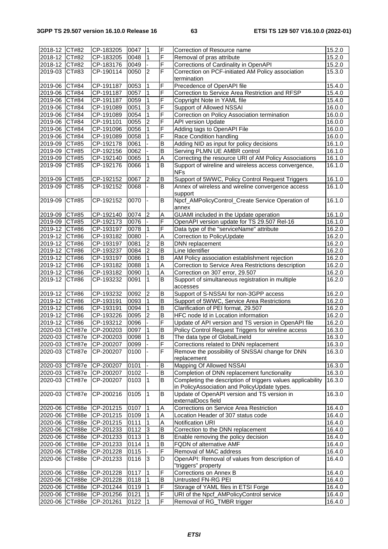| 2018-12 CT#82  |               | CP-183205                | 0047   | $\mathbf 1$    | F              | Correction of Resource name                                 | 15.2.0 |
|----------------|---------------|--------------------------|--------|----------------|----------------|-------------------------------------------------------------|--------|
| 2018-12 CT#82  |               | CP-183205                | 0048   | $\overline{1}$ | F              | Removal of pras attribute                                   | 15.2.0 |
| 2018-12 CT#82  |               | CP-183176                | 0049   |                | F              | Corrections of Cardinality in OpenAPI                       | 15.2.0 |
| 2019-03 CT#83  |               | CP-190114                | 0050   | <sup>2</sup>   | F              | Correction on PCF-initiated AM Policy association           | 15.3.0 |
|                |               |                          |        |                |                | termination                                                 |        |
| 2019-06 CT#84  |               | CP-191187                | 0053   | 1              | F              | Precedence of OpenAPI file                                  | 15.4.0 |
| 2019-06 CT#84  |               | CP-191187                | 0057   | 1              | F              | Correction to Service Area Restriction and RFSP             | 15.4.0 |
| 2019-06 CT#84  |               | CP-191187                | 0059   |                | F              | Copyright Note in YAML file                                 | 15.4.0 |
| 2019-06 CT#84  |               | CP-191089                | 0051   | 3              | F              |                                                             |        |
|                |               |                          |        |                |                | Support of Allowed NSSAI                                    | 16.0.0 |
| 2019-06        | CT#84         | CP-191089                | 0054   |                | F              | Correction on Policy Association termination                | 16.0.0 |
| 2019-06 CT#84  |               | CP-191101                | 0055   | $\overline{2}$ | F              | <b>API version Update</b>                                   | 16.0.0 |
| 2019-06 CT#84  |               | CP-191096                | 0056   | $\overline{1}$ | F              | Adding tags to OpenAPI File                                 | 16.0.0 |
| 2019-06        | CT#84         | CP-191089                | 0058   |                | F              | Race Condition handling                                     | 16.0.0 |
| 2019-09        | CT#85         | CP-192178                | 0061   |                | B              | Adding NID as input for policy decisions                    | 16.1.0 |
| 2019-09        | CT#85         | CP-192156                | 0062   |                | B              | Serving PLMN UE AMBR control                                | 16.1.0 |
| 2019-09 CT#85  |               | CP-192140                | 0065   | 11             | A              | Correcting the resource URI of AM Policy Associations       | 16.1.0 |
| 2019-09        | CT#85         | CP-192176                | 0066   | l1             | B              | Support of wireline and wireless access convergence,        | 16.1.0 |
|                |               |                          |        |                |                | <b>NFs</b>                                                  |        |
| 2019-09 CT#85  |               | CP-192152                | 0067   | 2              | В              | Support of 5WWC, Policy Control Request Triggers            | 16.1.0 |
|                |               |                          |        |                |                |                                                             |        |
| 2019-09        | CT#85         | CP-192152                | 0068   |                | B              | Annex of wireless and wireline convergence access           | 16.1.0 |
|                |               |                          |        |                |                | support                                                     |        |
| 2019-09        | CT#85         | CP-192152                | 0070   |                | B              | Npcf_AMPolicyControl_Create Service Operation of            | 16.1.0 |
|                |               |                          |        |                |                | annex                                                       |        |
| 2019-09 CT#85  |               | CP-192140                | 0074   | $\overline{2}$ | Α              | GUAMI included in the Update operation                      | 16.1.0 |
| 2019-09 CT#85  |               | CP-192173                | 0076   |                | F              | OpenAPI version update for TS 29.507 Rel-16                 | 16.1.0 |
| 2019-12 CT#86  |               | CP-193197                | 0078   |                | F              | Data type of the "serviceName" attribute                    | 16.2.0 |
| 2019-12 CT#86  |               | CP-193182                | 0080   |                | Α              | Correction to PolicyUpdate                                  | 16.2.0 |
| 2019-12 CT#86  |               | CP-193197                | 0081   | $\overline{2}$ | B              | DNN replacement                                             | 16.2.0 |
| 2019-12 CT#86  |               | CP-193237                | 0084   | 2              | B              | Line Identifier                                             | 16.2.0 |
| 2019-12 CT#86  |               | CP-193197                | 0086   | 1              | B              | AM Policy association establishment rejection               | 16.2.0 |
| 2019-12 CT#86  |               |                          | 0088   |                |                |                                                             |        |
|                |               | CP-193182                |        |                | Α              | Correction to Service Area Restrictions description         | 16.2.0 |
| 2019-12 CT#86  |               | CP-193182                | 0090   |                | Α              | Correction on 307 error, 29.507                             | 16.2.0 |
| 2019-12        | CT#86         | CP-193232                | 0091   | 1              | В              | Support of simultaneous registration in multiple            | 16.2.0 |
|                |               |                          |        |                |                | accesses                                                    |        |
| 2019-12 CT#86  |               | CP-193232                | 0092   | $\overline{2}$ | B              | Support of S-NSSAI for non-3GPP access                      | 16.2.0 |
| 2019-12 CT#86  |               | CP-193191                | 0093   | $\overline{1}$ | B              | Support of 5WWC, Service Area Restrictions                  | 16.2.0 |
| 2019-12 CT#86  |               | CP-193191                | 0094   | $\overline{1}$ | B              | Clarification of PEI format, 29.507                         | 16.2.0 |
| 2019-12 CT#86  |               | CP-193226                | 0095   | 2              | B              | HFC node Id in Location information                         | 16.2.0 |
| 2019-12 CT#86  |               | CP-193212                | 0096   |                | F              | Update of API version and TS version in OpenAPI file        | 16.2.0 |
| 2020-03 CT#87e |               | CP-200203                | 0097   |                | B              | Policy Control Request Triggers for wireline access         | 16.3.0 |
|                |               | 2020-03 CT#87e CP-200203 | 0098 1 |                | $\overline{B}$ | The data type of GlobalLineld                               | 16.3.0 |
| 2020-03 CT#87e |               | CP-200207                | 0099   |                | F              | Corrections related to DNN replacement                      | 16.3.0 |
|                |               |                          |        |                |                |                                                             |        |
| 2020-03 CT#87e |               | CP-200207                | 0100   |                | F              | Remove the possibility of SNSSAI change for DNN             | 16.3.0 |
|                |               |                          |        |                |                | replacement                                                 |        |
| 2020-03 CT#87e |               | CP-200207                | 0101   |                | В              | Mapping Of Allowed NSSAI                                    | 16.3.0 |
| 2020-03 CT#87e |               | CP-200207                | 0102   |                | B              | Completion of DNN replacement functionality                 | 16.3.0 |
| 2020-03        | <b>CT#87e</b> | CP-200207                | 0103   | $\vert$ 1      | B              | Completing the description of triggers values applicability | 16.3.0 |
|                |               |                          |        |                |                | in PolicyAssociation and PolicyUpdate types.                |        |
| 2020-03        | CT#87e        | CP-200216                | 0105   | 11.            | В              | Update of OpenAPI version and TS version in                 | 16.3.0 |
|                |               |                          |        |                |                | externalDocs field                                          |        |
| 2020-06 CT#88e |               | CP-201215                | 0107   | 1              | Α              | Corrections on Service Area Restriction                     | 16.4.0 |
| 2020-06 CT#88e |               | CP-201215                | 0109   | 1              | Α              | Location Header of 307 status code                          | 16.4.0 |
| 2020-06 CT#88e |               | CP-201215                | 0111   | 11             | Α              | Notification URI                                            | 16.4.0 |
| 2020-06        | <b>CT#88e</b> | CP-201233                | 0112   | 3              | B              | Correction to the DNN replacement                           | 16.4.0 |
|                |               |                          |        |                | B              | Enable removing the policy decision                         |        |
| 2020-06        | CT#88e        | CP-201233                | 0113   |                |                |                                                             | 16.4.0 |
| 2020-06        | CT#88e        | CP-201233                | 0114   |                | B              | FQDN of alternative AMF                                     | 16.4.0 |
| 2020-06 CT#88e |               | CP-201228                | 0115   |                | F              | Removal of MAC address                                      | 16.4.0 |
| 2020-06        | CT#88e        | CP-201233                | 0116   | l3             | D              | OpenAPI: Removal of values from description of              | 16.4.0 |
|                |               |                          |        |                |                | "triggers" property                                         |        |
| 2020-06 CT#88e |               | CP-201228                | 0117   |                | F              | Corrections on Annex B                                      | 16.4.0 |
| 2020-06 CT#88e |               | CP-201228                | 0118   |                | B              | Untrusted FN-RG PEI                                         | 16.4.0 |
| 2020-06 CT#88e |               | CP-201244                | 0119   |                | F              | Storage of YAML files in ETSI Forge                         | 16.4.0 |
| 2020-06 CT#88e |               | CP-201256                | 0121   | 11             | F              | URI of the Npcf_AMPolicyControl service                     | 16.4.0 |
| 2020-06 CT#88e |               | CP-201261                | 0122   | 11             | F              | Removal of RG_TMBR trigger                                  | 16.4.0 |
|                |               |                          |        |                |                |                                                             |        |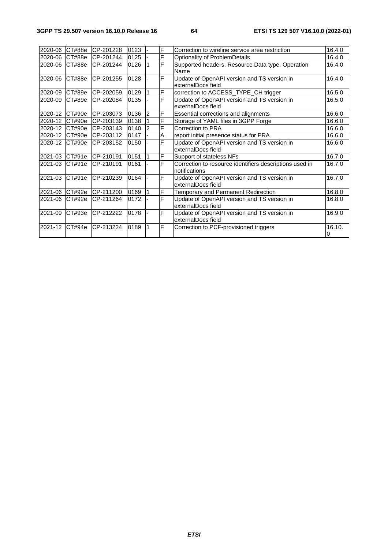| 2020-06        | CT#88e         | CP-201228 | 0123 |    | F              | Correction to wireline service area restriction                          | 16.4.0       |
|----------------|----------------|-----------|------|----|----------------|--------------------------------------------------------------------------|--------------|
| 2020-06 CT#88e |                | CP-201244 | 0125 |    | F              | Optionality of ProblemDetails                                            | 16.4.0       |
| 2020-06        | CT#88e         | CP-201244 | 0126 |    | $\overline{F}$ | Supported headers, Resource Data type, Operation<br>Name                 | 16.4.0       |
| 2020-06        | CT#88e         | CP-201255 | 0128 |    | F              | Update of OpenAPI version and TS version in<br>externalDocs field        | 16.4.0       |
| 2020-09        | CT#89e         | CP-202059 | 0129 |    | F              | correction to ACCESS_TYPE_CH trigger                                     | 16.5.0       |
| 2020-09        | CT#89e         | CP-202084 | 0135 |    | F              | Update of OpenAPI version and TS version in<br>externalDocs field        | 16.5.0       |
| 2020-12 CT#90e |                | CP-203073 | 0136 | 12 | F              | Essential corrections and alignments                                     | 16.6.0       |
| 2020-12 CT#90e |                | CP-203139 | 0138 |    | F              | Storage of YAML files in 3GPP Forge                                      | 16.6.0       |
| 2020-12        | CT#90e         | CP-203143 | 0140 |    | F              | Correction to PRA                                                        | 16.6.0       |
| 2020-12 CT#90e |                | CP-203112 | 0147 |    | A              | report initial presence status for PRA                                   | 16.6.0       |
| 2020-12 CT#90e |                | CP-203152 | 0150 |    | F              | Update of OpenAPI version and TS version in<br>externalDocs field        | 16.6.0       |
|                | 2021-03 CT#91e | CP-210191 | 0151 |    | $\mathsf F$    | Support of stateless NFs                                                 | 16.7.0       |
| 2021-03        | CT#91e         | CP-210191 | 0161 |    | F              | Correction to resource identifiers descriptions used in<br>notifications | 16.7.0       |
| 2021-03 CT#91e |                | CP-210239 | 0164 |    | IF             | Update of OpenAPI version and TS version in<br>externalDocs field        | 16.7.0       |
| 2021-06 CT#92e |                | CP-211200 | 0169 |    | F              | Temporary and Permanent Redirection                                      | 16.8.0       |
| 2021-06        | CT#92e         | CP-211264 | 0172 |    | F              | Update of OpenAPI version and TS version in<br>externalDocs field        | 16.8.0       |
| 2021-09 CT#93e |                | CP-212222 | 0178 |    | F              | Update of OpenAPI version and TS version in<br>externalDocs field        | 16.9.0       |
| 2021-12        | CT#94e         | CP-213224 | 0189 |    | IF             | Correction to PCF-provisioned triggers                                   | 16.10.<br>10 |